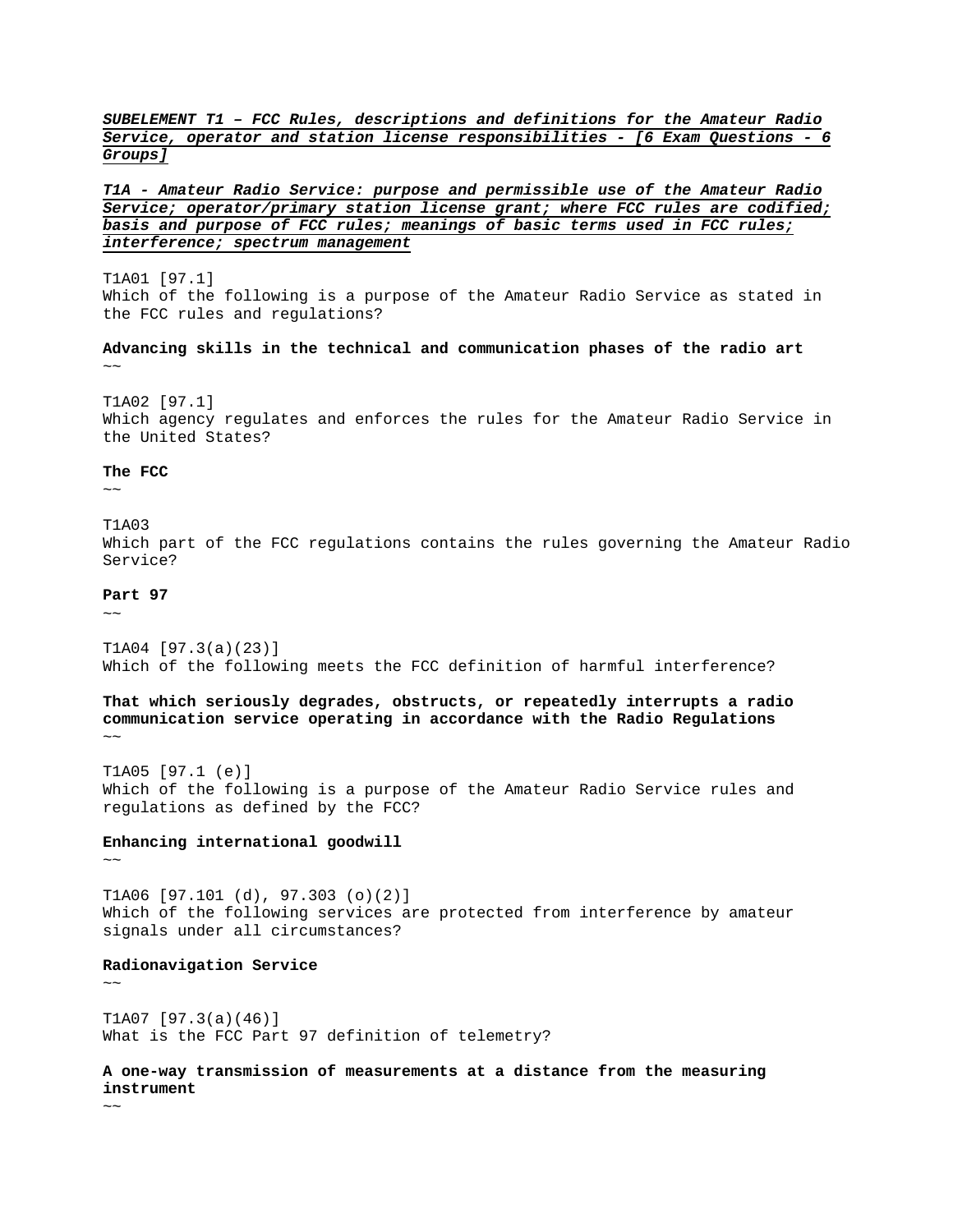# *SUBELEMENT T1 – FCC Rules, descriptions and definitions for the Amateur Radio Service, operator and station license responsibilities - [6 Exam Questions - 6 Groups]*

# *T1A - Amateur Radio Service: purpose and permissible use of the Amateur Radio Service; operator/primary station license grant; where FCC rules are codified; basis and purpose of FCC rules; meanings of basic terms used in FCC rules; interference; spectrum management*

T1A01 [97.1] Which of the following is a purpose of the Amateur Radio Service as stated in the FCC rules and regulations?

**Advancing skills in the technical and communication phases of the radio art**  $\sim\,$ 

T1A02 [97.1] Which agency regulates and enforces the rules for the Amateur Radio Service in the United States?

#### **The FCC**

 $\sim\sim$ 

T1A03 Which part of the FCC regulations contains the rules governing the Amateur Radio Service?

#### **Part 97**

 $\sim\sim$ 

T1A04 [97.3(a)(23)] Which of the following meets the FCC definition of harmful interference?

**That which seriously degrades, obstructs, or repeatedly interrupts a radio communication service operating in accordance with the Radio Regulations**  $\sim\sim$ 

T1A05 [97.1 (e)] Which of the following is a purpose of the Amateur Radio Service rules and regulations as defined by the FCC?

**Enhancing international goodwill**

```
\sim \sim
```
T1A06 [97.101 (d), 97.303 (o)(2)] Which of the following services are protected from interference by amateur signals under all circumstances?

### **Radionavigation Service**

 $\sim\!\sim$ 

T1A07 [97.3(a)(46)] What is the FCC Part 97 definition of telemetry?

**A one-way transmission of measurements at a distance from the measuring instrument**

 $\sim$  ~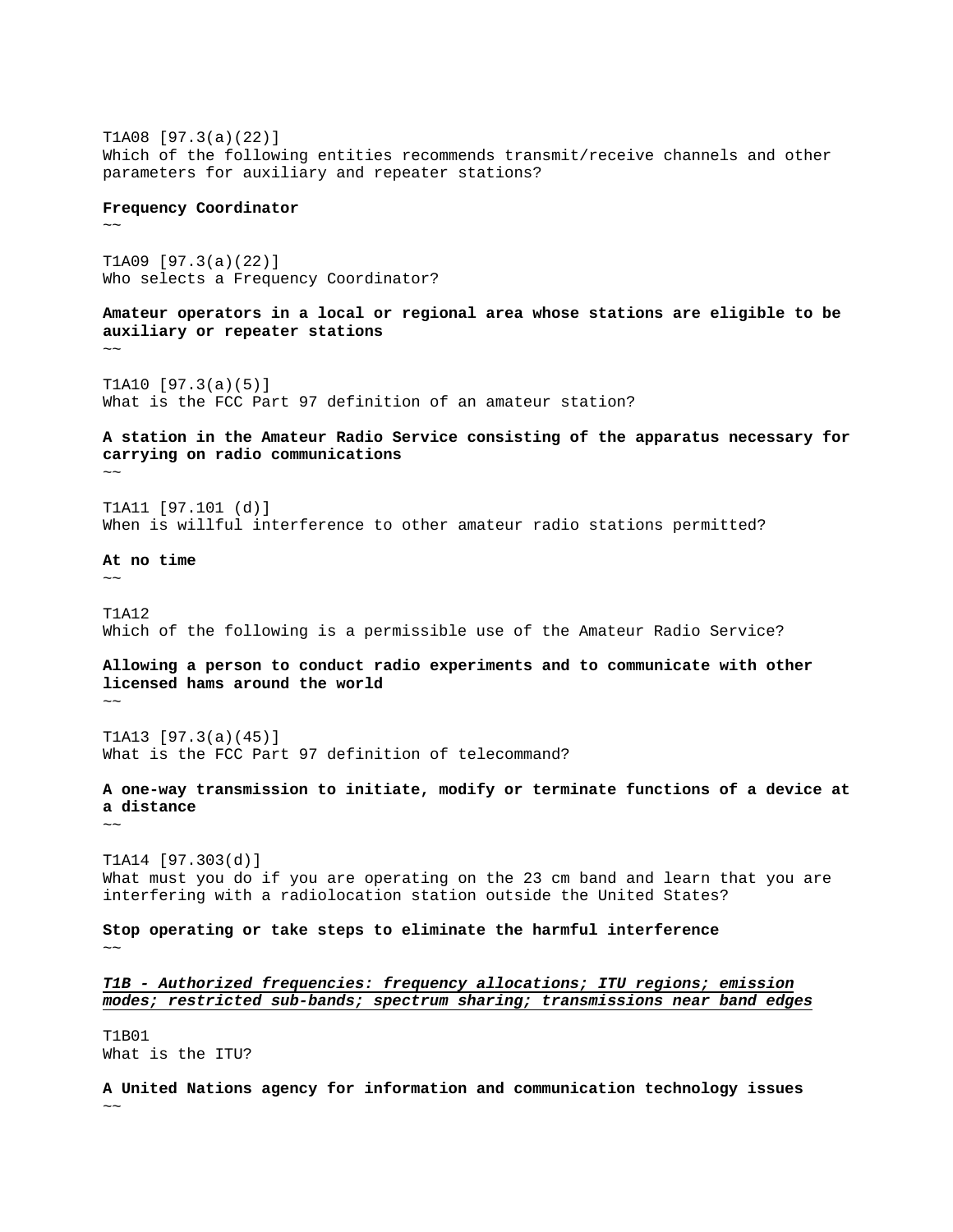Which of the following entities recommends transmit/receive channels and other parameters for auxiliary and repeater stations? **Frequency Coordinator**  $\sim\sim$ T1A09 [97.3(a)(22)] Who selects a Frequency Coordinator? **Amateur operators in a local or regional area whose stations are eligible to be auxiliary or repeater stations**  $\sim$   $\sim$ T1A10 [97.3(a)(5)] What is the FCC Part 97 definition of an amateur station? **A station in the Amateur Radio Service consisting of the apparatus necessary for carrying on radio communications**  $\sim$  ~ T1A11 [97.101 (d)] When is willful interference to other amateur radio stations permitted? **At no time**   $\sim\sim$ T1A12 Which of the following is a permissible use of the Amateur Radio Service? **Allowing a person to conduct radio experiments and to communicate with other licensed hams around the world**  $\sim\sim$ T1A13 [97.3(a)(45)] What is the FCC Part 97 definition of telecommand? **A one-way transmission to initiate, modify or terminate functions of a device at a distance**  $\sim\sim$ T1A14 [97.303(d)] What must you do if you are operating on the 23 cm band and learn that you are interfering with a radiolocation station outside the United States? **Stop operating or take steps to eliminate the harmful interference**  $\sim\sim$ *T1B - Authorized frequencies: frequency allocations; ITU regions; emission modes; restricted sub-bands; spectrum sharing; transmissions near band edges*  T1B01 What is the ITU? **A United Nations agency for information and communication technology issues**  $\sim$  ~

T1A08 [97.3(a)(22)]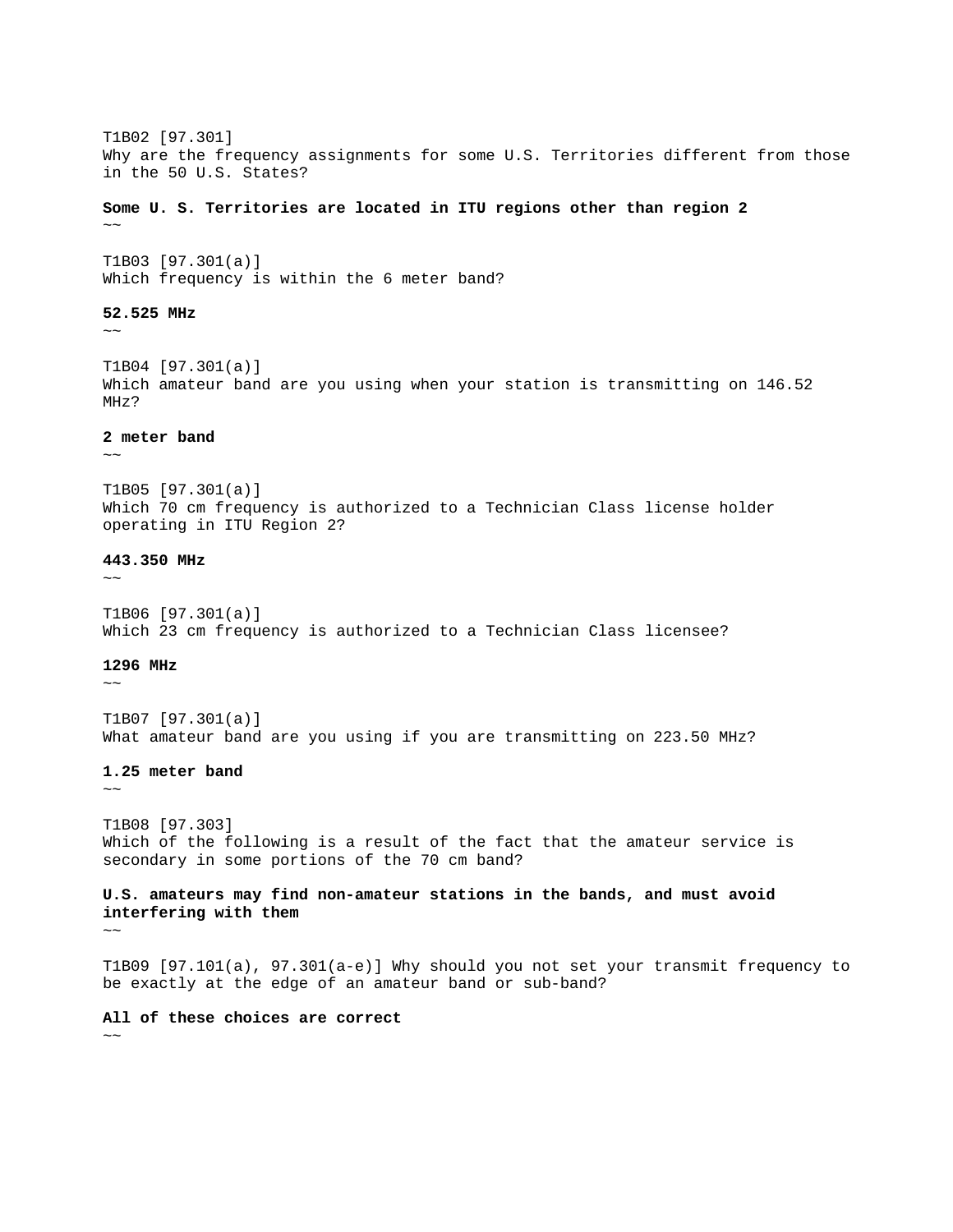T1B02 [97.301] Why are the frequency assignments for some U.S. Territories different from those in the 50 U.S. States? **Some U. S. Territories are located in ITU regions other than region 2**  $\sim\sim$ T1B03 [97.301(a)] Which frequency is within the 6 meter band? **52.525 MHz**  $\sim\sim$ T1B04 [97.301(a)] Which amateur band are you using when your station is transmitting on 146.52 MHz? **2 meter band**  $\sim\sim$ T1B05 [97.301(a)] Which 70 cm frequency is authorized to a Technician Class license holder operating in ITU Region 2? **443.350 MHz**  $\sim\sim$ T1B06 [97.301(a)] Which 23 cm frequency is authorized to a Technician Class licensee? **1296 MHz**  $\sim$   $\sim$ T1B07 [97.301(a)] What amateur band are you using if you are transmitting on 223.50 MHz? **1.25 meter band**  $\sim$   $\sim$ T1B08 [97.303] Which of the following is a result of the fact that the amateur service is secondary in some portions of the 70 cm band? **U.S. amateurs may find non-amateur stations in the bands, and must avoid interfering with them**  $\sim\sim$ T1B09 [97.101(a), 97.301(a-e)] Why should you not set your transmit frequency to be exactly at the edge of an amateur band or sub-band? **All of these choices are correct**  $\sim\sim$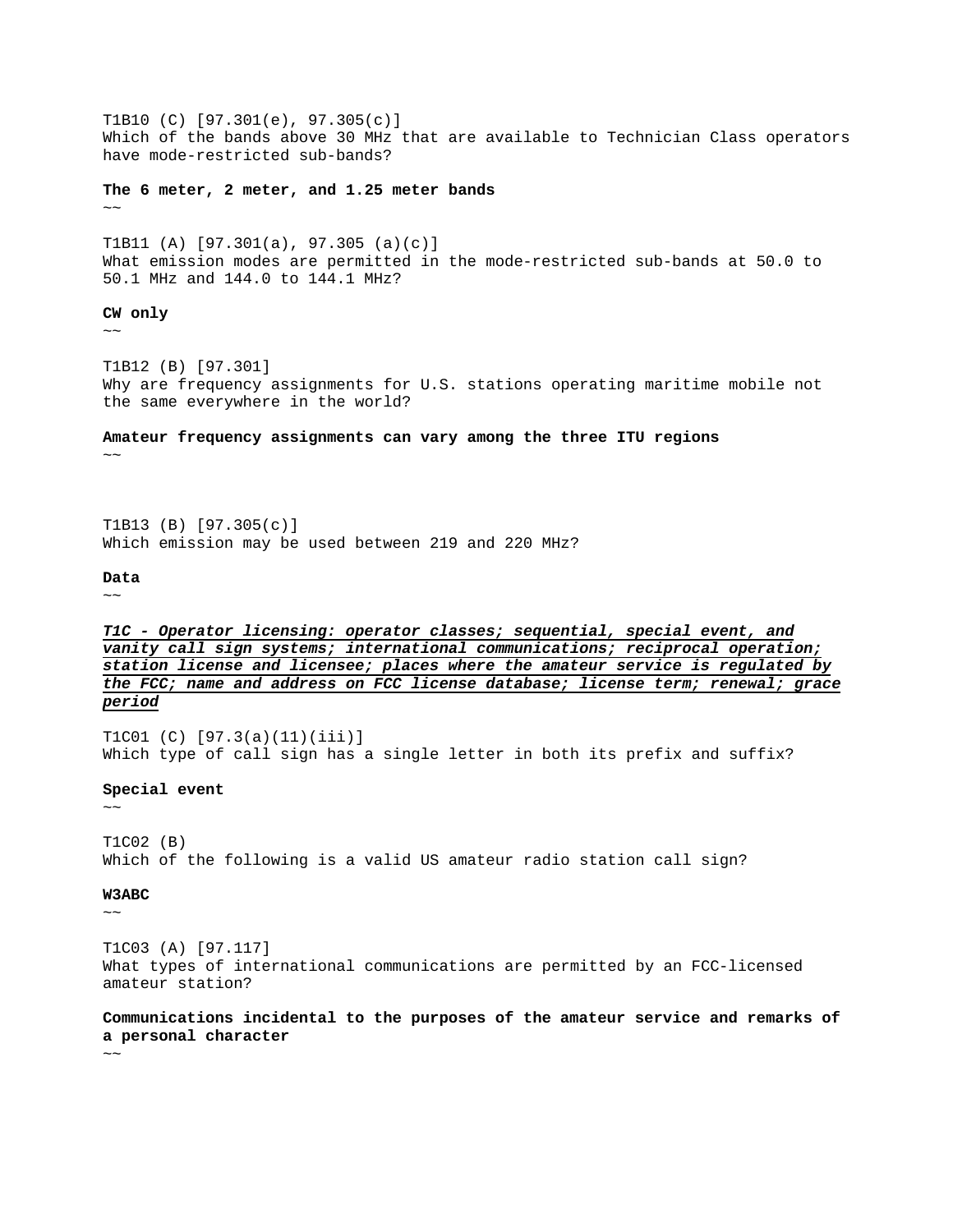T1B10 (C) [97.301(e), 97.305(c)] Which of the bands above 30 MHz that are available to Technician Class operators have mode-restricted sub-bands?

**The 6 meter, 2 meter, and 1.25 meter bands**

T1B11 (A) [97.301(a), 97.305 (a)(c)] What emission modes are permitted in the mode-restricted sub-bands at 50.0 to 50.1 MHz and 144.0 to 144.1 MHz?

#### **CW only**

 $\sim\sim$ 

 $\sim\!\sim$ 

T1B12 (B) [97.301] Why are frequency assignments for U.S. stations operating maritime mobile not the same everywhere in the world?

**Amateur frequency assignments can vary among the three ITU regions**  $\sim\,$ 

T1B13 (B) [97.305(c)] Which emission may be used between 219 and 220 MHz?

### **Data**

 $\sim\sim$ 

*T1C - Operator licensing: operator classes; sequential, special event, and vanity call sign systems; international communications; reciprocal operation; station license and licensee; places where the amateur service is regulated by the FCC; name and address on FCC license database; license term; renewal; grace period*

T1C01 (C) [97.3(a)(11)(iii)] Which type of call sign has a single letter in both its prefix and suffix?

#### **Special event**

 $\sim\sim$ 

T1C02 (B) Which of the following is a valid US amateur radio station call sign?

#### **W3ABC**

 $\sim\sim$ 

T1C03 (A) [97.117] What types of international communications are permitted by an FCC-licensed amateur station?

**Communications incidental to the purposes of the amateur service and remarks of a personal character**

 $\sim\!\sim$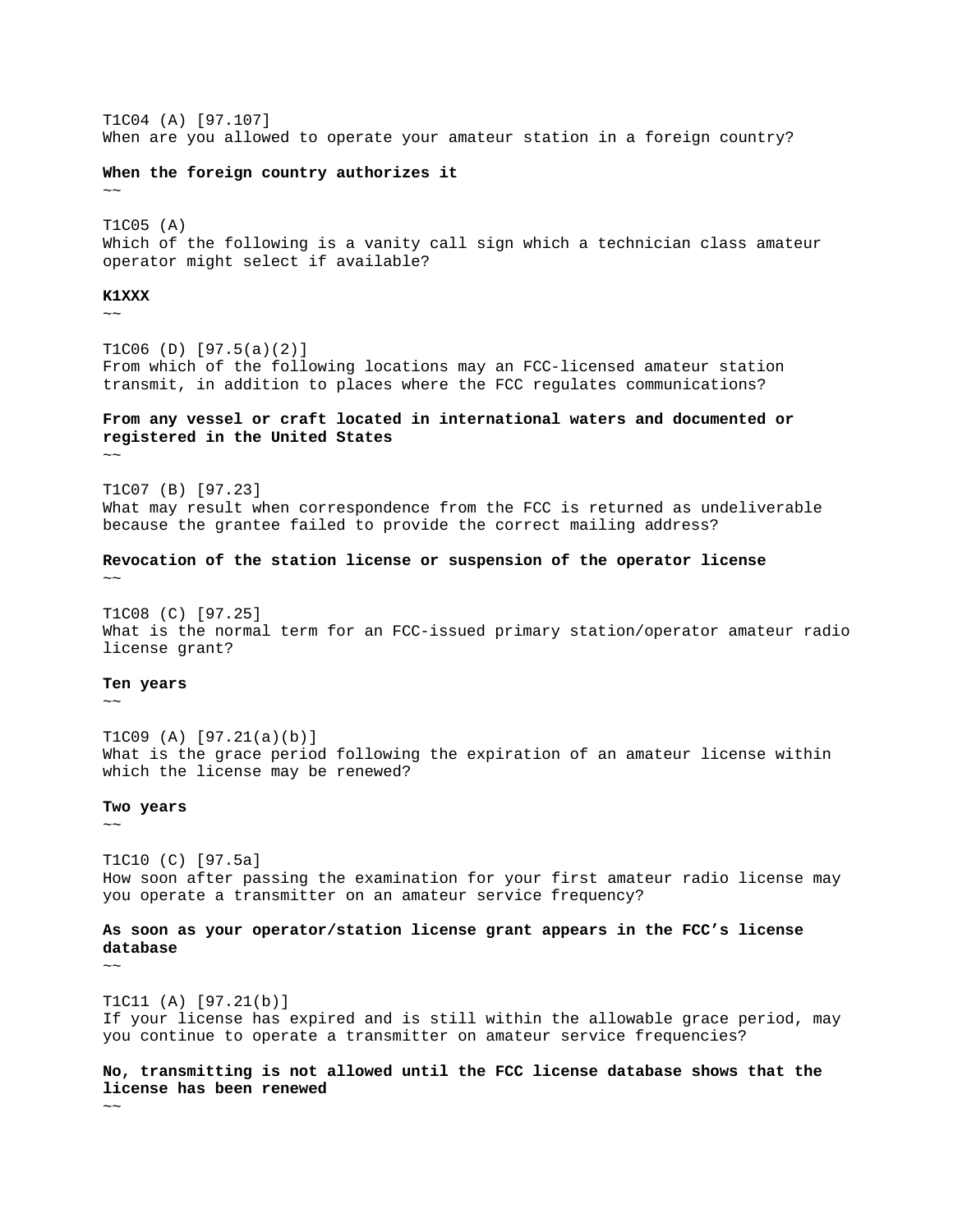T1C04 (A) [97.107] When are you allowed to operate your amateur station in a foreign country? **When the foreign country authorizes it**  $\sim\,$ T1C05 (A) Which of the following is a vanity call sign which a technician class amateur operator might select if available? **K1XXX**  $\sim\sim$ T1C06 (D) [97.5(a)(2)] From which of the following locations may an FCC-licensed amateur station transmit, in addition to places where the FCC regulates communications? **From any vessel or craft located in international waters and documented or registered in the United States**  $\sim$  ~ T1C07 (B) [97.23] What may result when correspondence from the FCC is returned as undeliverable because the grantee failed to provide the correct mailing address? **Revocation of the station license or suspension of the operator license**  $\sim\sim$ T1C08 (C) [97.25] What is the normal term for an FCC-issued primary station/operator amateur radio license grant? **Ten years**  $\sim\sim$ T1C09 (A) [97.21(a)(b)] What is the grace period following the expiration of an amateur license within which the license may be renewed? **Two years**  $\sim\sim$ T1C10 (C) [97.5a] How soon after passing the examination for your first amateur radio license may you operate a transmitter on an amateur service frequency? **As soon as your operator/station license grant appears in the FCC's license database**  $\sim\sim$ T1C11 (A) [97.21(b)]

If your license has expired and is still within the allowable grace period, may you continue to operate a transmitter on amateur service frequencies?

**No, transmitting is not allowed until the FCC license database shows that the license has been renewed**  $\sim$  ~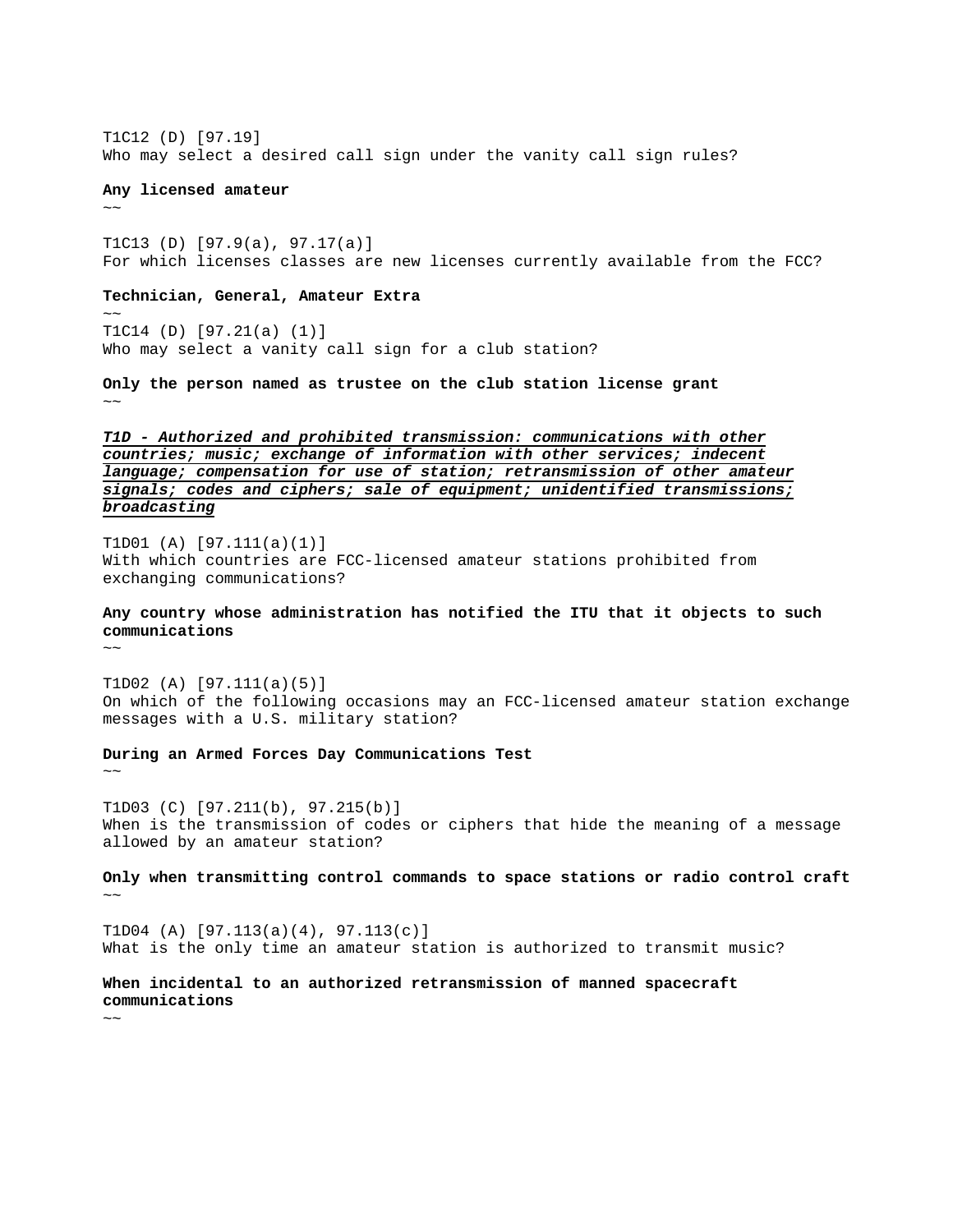T1C12 (D) [97.19] Who may select a desired call sign under the vanity call sign rules?

#### **Any licensed amateur**

 $\sim\, \sim$ 

T1C13 (D) [97.9(a), 97.17(a)] For which licenses classes are new licenses currently available from the FCC?

#### **Technician, General, Amateur Extra**

 $\sim\sim$ T1C14 (D) [97.21(a) (1)] Who may select a vanity call sign for a club station?

**Only the person named as trustee on the club station license grant**  $\sim\sim$ 

*T1D - Authorized and prohibited transmission: communications with other countries; music; exchange of information with other services; indecent language; compensation for use of station; retransmission of other amateur signals; codes and ciphers; sale of equipment; unidentified transmissions; broadcasting* 

T1D01 (A) [97.111(a)(1)] With which countries are FCC-licensed amateur stations prohibited from exchanging communications?

# **Any country whose administration has notified the ITU that it objects to such communications**

 $\sim\sim$ 

T1D02 (A) [97.111(a)(5)] On which of the following occasions may an FCC-licensed amateur station exchange messages with a U.S. military station?

**During an Armed Forces Day Communications Test**  $\sim\sim$ 

T1D03 (C) [97.211(b), 97.215(b)] When is the transmission of codes or ciphers that hide the meaning of a message allowed by an amateur station?

**Only when transmitting control commands to space stations or radio control craft**  $\sim$  ~

T1D04 (A) [97.113(a)(4), 97.113(c)] What is the only time an amateur station is authorized to transmit music?

**When incidental to an authorized retransmission of manned spacecraft communications**

 $\sim\sim$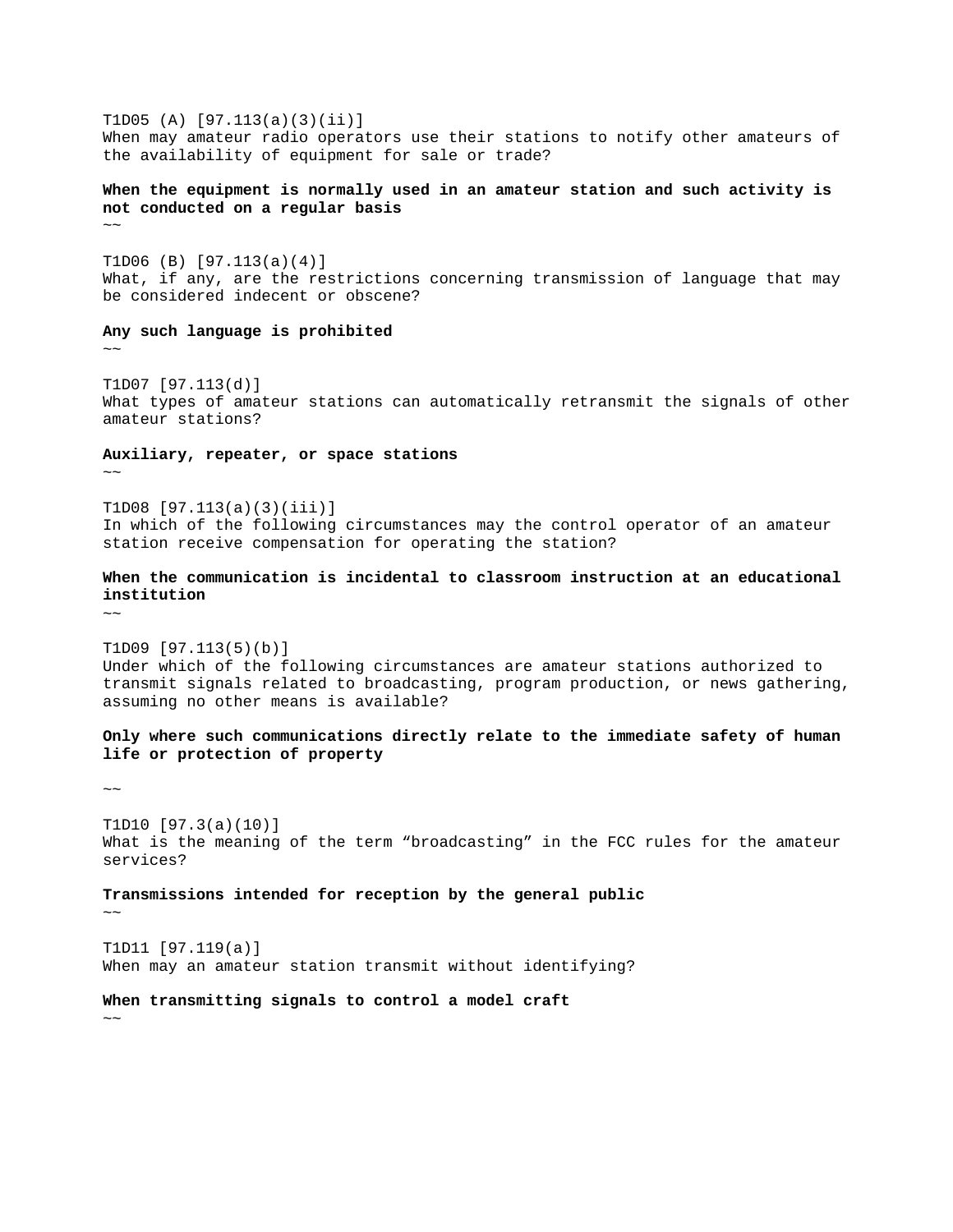T1D05 (A) [97.113(a)(3)(ii)] When may amateur radio operators use their stations to notify other amateurs of the availability of equipment for sale or trade?

**When the equipment is normally used in an amateur station and such activity is not conducted on a regular basis**

 $\sim\sim$ 

T1D06 (B) [97.113(a)(4)] What, if any, are the restrictions concerning transmission of language that may be considered indecent or obscene?

# **Any such language is prohibited**

 $\sim\sim$ 

T1D07 [97.113(d)] What types of amateur stations can automatically retransmit the signals of other amateur stations?

#### **Auxiliary, repeater, or space stations**

 $\sim\sim$ 

T1D08 [97.113(a)(3)(iii)] In which of the following circumstances may the control operator of an amateur station receive compensation for operating the station?

# **When the communication is incidental to classroom instruction at an educational institution**

 $\sim$   $\sim$ 

T1D09 [97.113(5)(b)] Under which of the following circumstances are amateur stations authorized to transmit signals related to broadcasting, program production, or news gathering, assuming no other means is available?

**Only where such communications directly relate to the immediate safety of human life or protection of property**

 $\sim$   $\sim$ 

 $\sim\sim$ 

T1D10 [97.3(a)(10)] What is the meaning of the term "broadcasting" in the FCC rules for the amateur services?

**Transmissions intended for reception by the general public**  $\sim$  ~

T1D11 [97.119(a)] When may an amateur station transmit without identifying?

**When transmitting signals to control a model craft**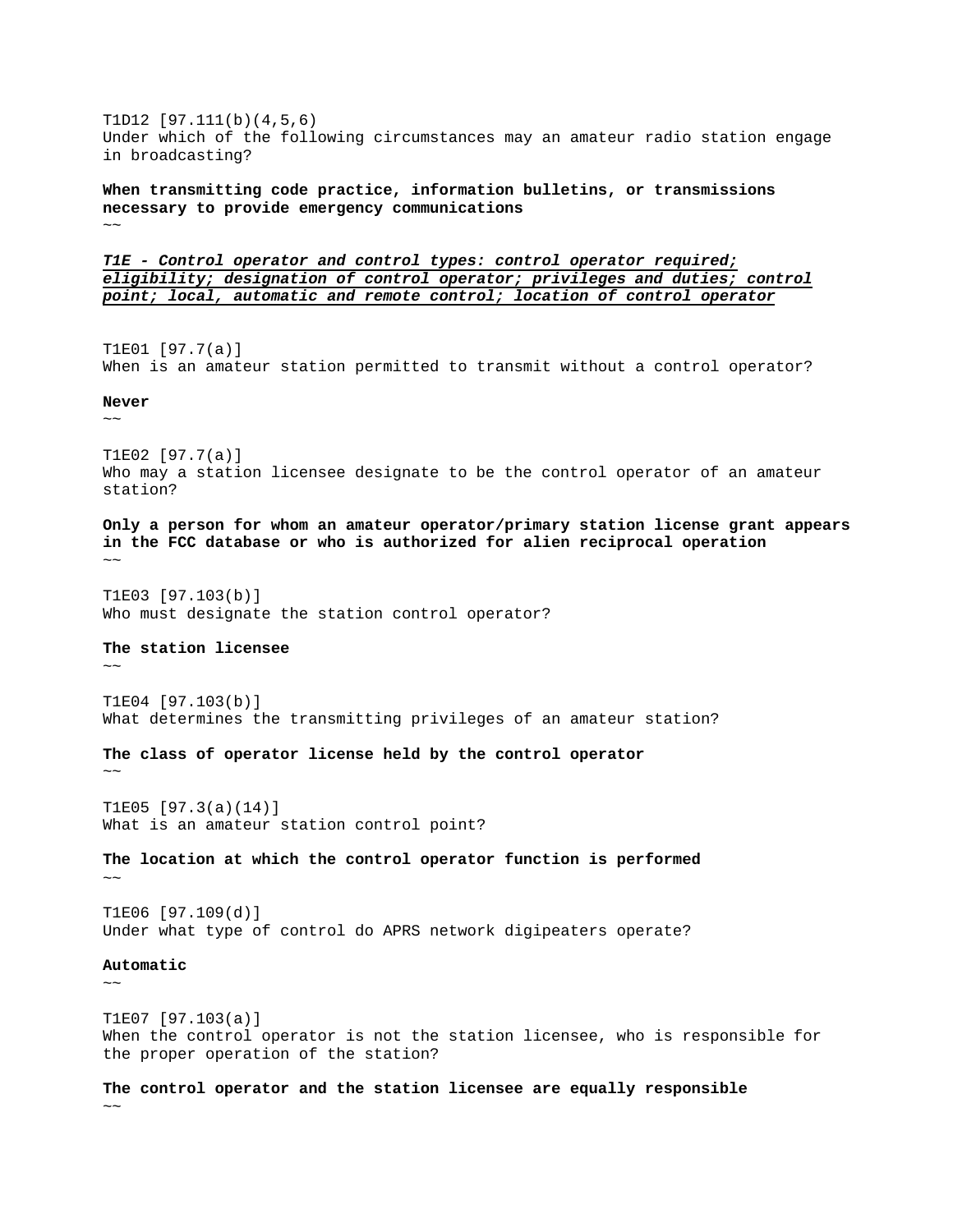T1D12 [97.111(b)(4,5,6) Under which of the following circumstances may an amateur radio station engage in broadcasting? **When transmitting code practice, information bulletins, or transmissions necessary to provide emergency communications**  $\sim\sim$ *T1E - Control operator and control types: control operator required; eligibility; designation of control operator; privileges and duties; control point; local, automatic and remote control; location of control operator*  T1E01 [97.7(a)] When is an amateur station permitted to transmit without a control operator? **Never**  $\sim\sim$ T1E02 [97.7(a)] Who may a station licensee designate to be the control operator of an amateur station? **Only a person for whom an amateur operator/primary station license grant appears in the FCC database or who is authorized for alien reciprocal operation**  $\sim$  ~ T1E03 [97.103(b)] Who must designate the station control operator? **The station licensee**  $\sim\sim$ T1E04 [97.103(b)] What determines the transmitting privileges of an amateur station? **The class of operator license held by the control operator**  $\sim\sim$ T1E05 [97.3(a)(14)] What is an amateur station control point? **The location at which the control operator function is performed**  $\sim\sim$ T1E06 [97.109(d)] Under what type of control do APRS network digipeaters operate? **Automatic**  $\sim$   $\sim$ T1E07 [97.103(a)] When the control operator is not the station licensee, who is responsible for the proper operation of the station? **The control operator and the station licensee are equally responsible**

 $\sim$   $\sim$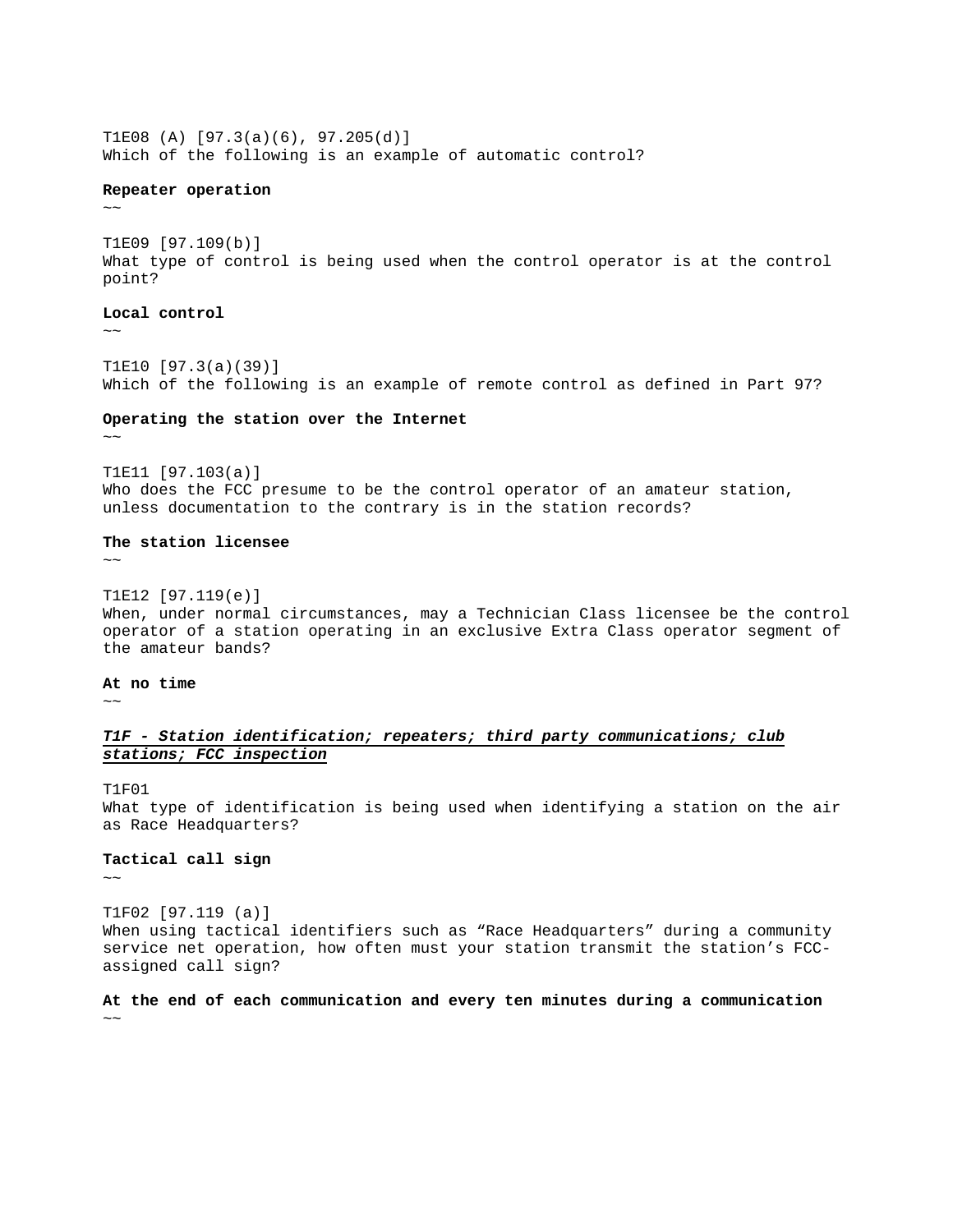T1E08 (A) [97.3(a)(6), 97.205(d)] Which of the following is an example of automatic control?

### **Repeater operation**

 $\sim\, \sim$ 

T1E09 [97.109(b)] What type of control is being used when the control operator is at the control point?

**Local control**

 $\sim$   $\sim$ 

T1E10 [97.3(a)(39)] Which of the following is an example of remote control as defined in Part 97?

**Operating the station over the Internet**

 $\sim\sim$ 

T1E11 [97.103(a)] Who does the FCC presume to be the control operator of an amateur station, unless documentation to the contrary is in the station records?

#### **The station licensee**

 $\sim\sim$ 

T1E12 [97.119(e)] When, under normal circumstances, may a Technician Class licensee be the control operator of a station operating in an exclusive Extra Class operator segment of the amateur bands?

#### **At no time**

 $\sim\sim$ 

# *T1F - Station identification; repeaters; third party communications; club stations; FCC inspection*

T1F01

What type of identification is being used when identifying a station on the air as Race Headquarters?

#### **Tactical call sign**

 $\sim\!\sim$ 

T1F02 [97.119 (a)] When using tactical identifiers such as "Race Headquarters" during a community service net operation, how often must your station transmit the station's FCCassigned call sign?

**At the end of each communication and every ten minutes during a communication**  $\sim\sim$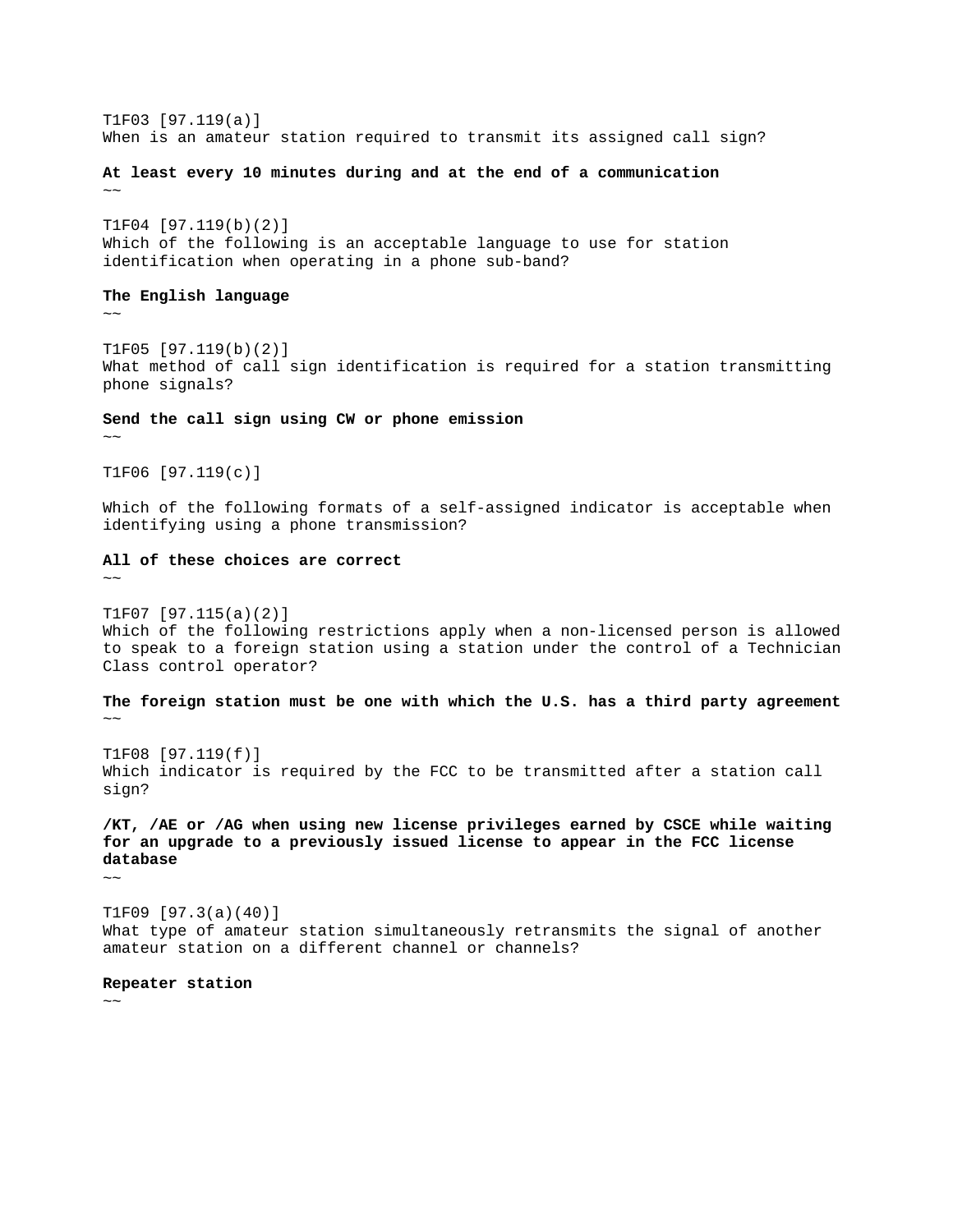T1F03 [97.119(a)] When is an amateur station required to transmit its assigned call sign?

**At least every 10 minutes during and at the end of a communication**  $\sim\!\sim$ 

T1F04 [97.119(b)(2)] Which of the following is an acceptable language to use for station identification when operating in a phone sub-band?

#### **The English language**

 $\sim\sim$ 

T1F05 [97.119(b)(2)] What method of call sign identification is required for a station transmitting phone signals?

**Send the call sign using CW or phone emission**

 $\sim\sim$ 

T1F06 [97.119(c)]

Which of the following formats of a self-assigned indicator is acceptable when identifying using a phone transmission?

# **All of these choices are correct**

 $\sim\sim$ 

T1F07 [97.115(a)(2)] Which of the following restrictions apply when a non-licensed person is allowed to speak to a foreign station using a station under the control of a Technician Class control operator?

**The foreign station must be one with which the U.S. has a third party agreement**  $\sim\sim$ 

T1F08 [97.119(f)] Which indicator is required by the FCC to be transmitted after a station call sign?

**/KT, /AE or /AG when using new license privileges earned by CSCE while waiting for an upgrade to a previously issued license to appear in the FCC license database**

 $\sim\sim$ 

T1F09 [97.3(a)(40)] What type of amateur station simultaneously retransmits the signal of another amateur station on a different channel or channels?

**Repeater station**

~~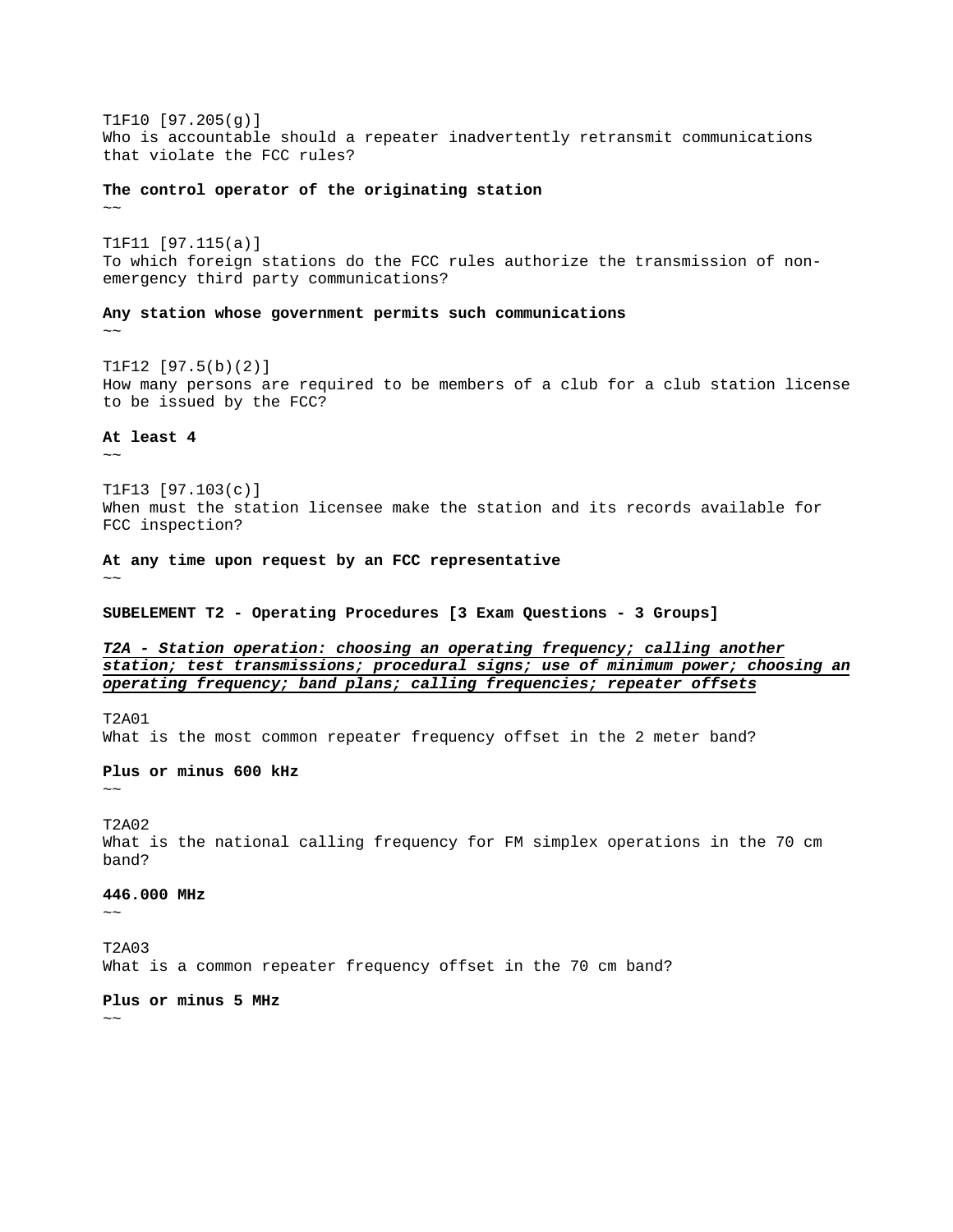T1F10 [97.205(g)] Who is accountable should a repeater inadvertently retransmit communications that violate the FCC rules?

**The control operator of the originating station**  $\sim\!\sim$ 

T1F11 [97.115(a)] To which foreign stations do the FCC rules authorize the transmission of nonemergency third party communications?

**Any station whose government permits such communications**  $\sim$   $\sim$ 

T1F12 [97.5(b)(2)] How many persons are required to be members of a club for a club station license to be issued by the FCC?

#### **At least 4**

 $\sim\sim$ 

T1F13 [97.103(c)] When must the station licensee make the station and its records available for FCC inspection?

# **At any time upon request by an FCC representative**

 $\sim\sim$ 

**SUBELEMENT T2 - Operating Procedures [3 Exam Questions - 3 Groups]**

# *T2A - Station operation: choosing an operating frequency; calling another station; test transmissions; procedural signs; use of minimum power; choosing an operating frequency; band plans; calling frequencies; repeater offsets*

T2A01

What is the most common repeater frequency offset in the 2 meter band?

# **Plus or minus 600 kHz**

 $\sim\sim$ 

T2A02

What is the national calling frequency for FM simplex operations in the 70 cm band?

# **446.000 MHz**

 $\sim$  ~

T2A03 What is a common repeater frequency offset in the 70 cm band?

# **Plus or minus 5 MHz**

 $\sim\sim$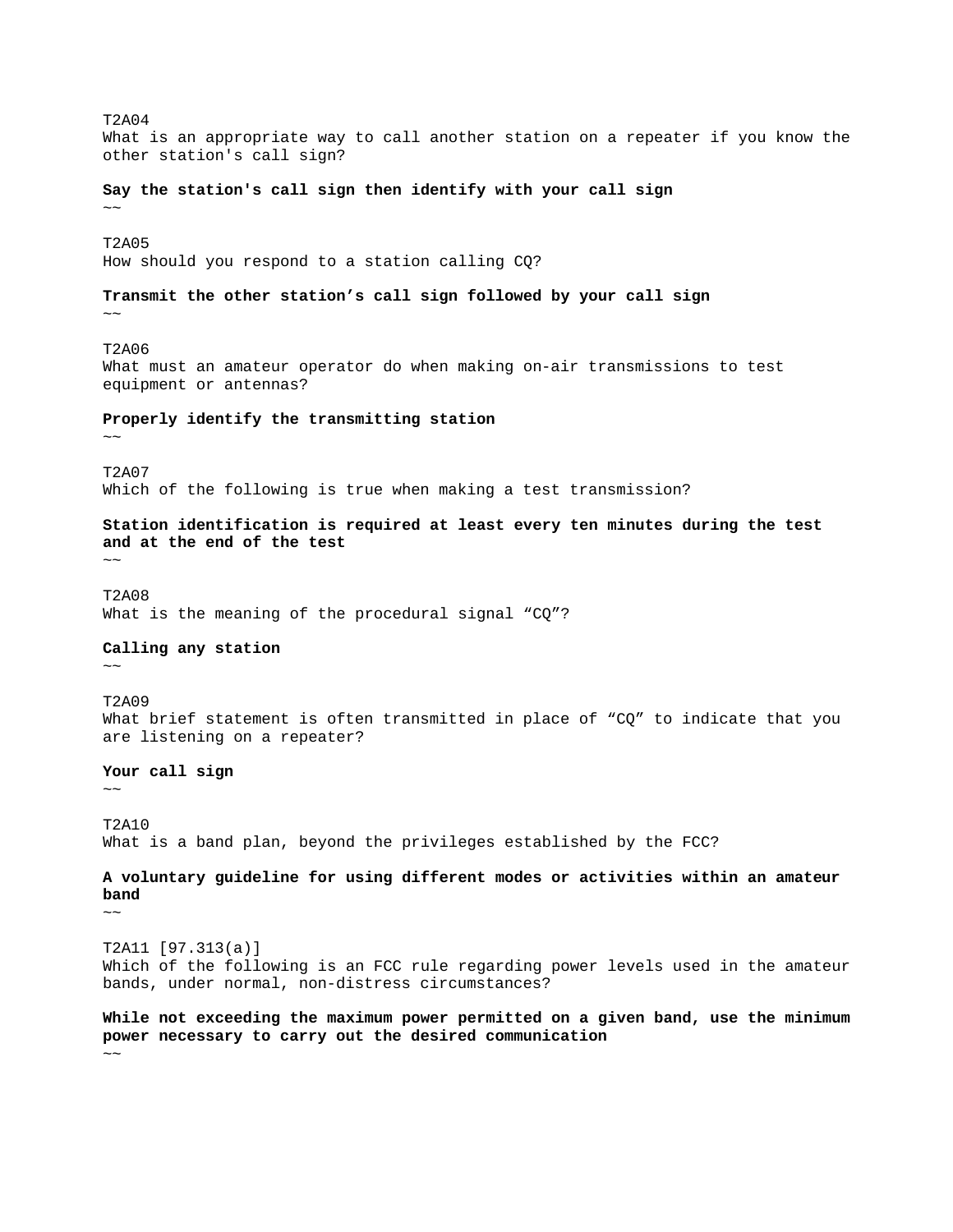T2A04 What is an appropriate way to call another station on a repeater if you know the other station's call sign? **Say the station's call sign then identify with your call sign**  $\sim\!\sim$ T2A05 How should you respond to a station calling CQ? **Transmit the other station's call sign followed by your call sign**  $\sim$   $\sim$ T2A06 What must an amateur operator do when making on-air transmissions to test equipment or antennas? **Properly identify the transmitting station**  $\sim\sim$ T2A07 Which of the following is true when making a test transmission? **Station identification is required at least every ten minutes during the test and at the end of the test**  $\sim\sim$ T2A08 What is the meaning of the procedural signal "CQ"? **Calling any station**  $\sim\sim$ T2A09 What brief statement is often transmitted in place of "CQ" to indicate that you are listening on a repeater? **Your call sign**   $\sim$   $\sim$ T2A10 What is a band plan, beyond the privileges established by the FCC? **A voluntary guideline for using different modes or activities within an amateur band**  $\sim\sim$ T2A11 [97.313(a)] Which of the following is an FCC rule regarding power levels used in the amateur bands, under normal, non-distress circumstances? **While not exceeding the maximum power permitted on a given band, use the minimum power necessary to carry out the desired communication**  $\sim\,$   $\sim$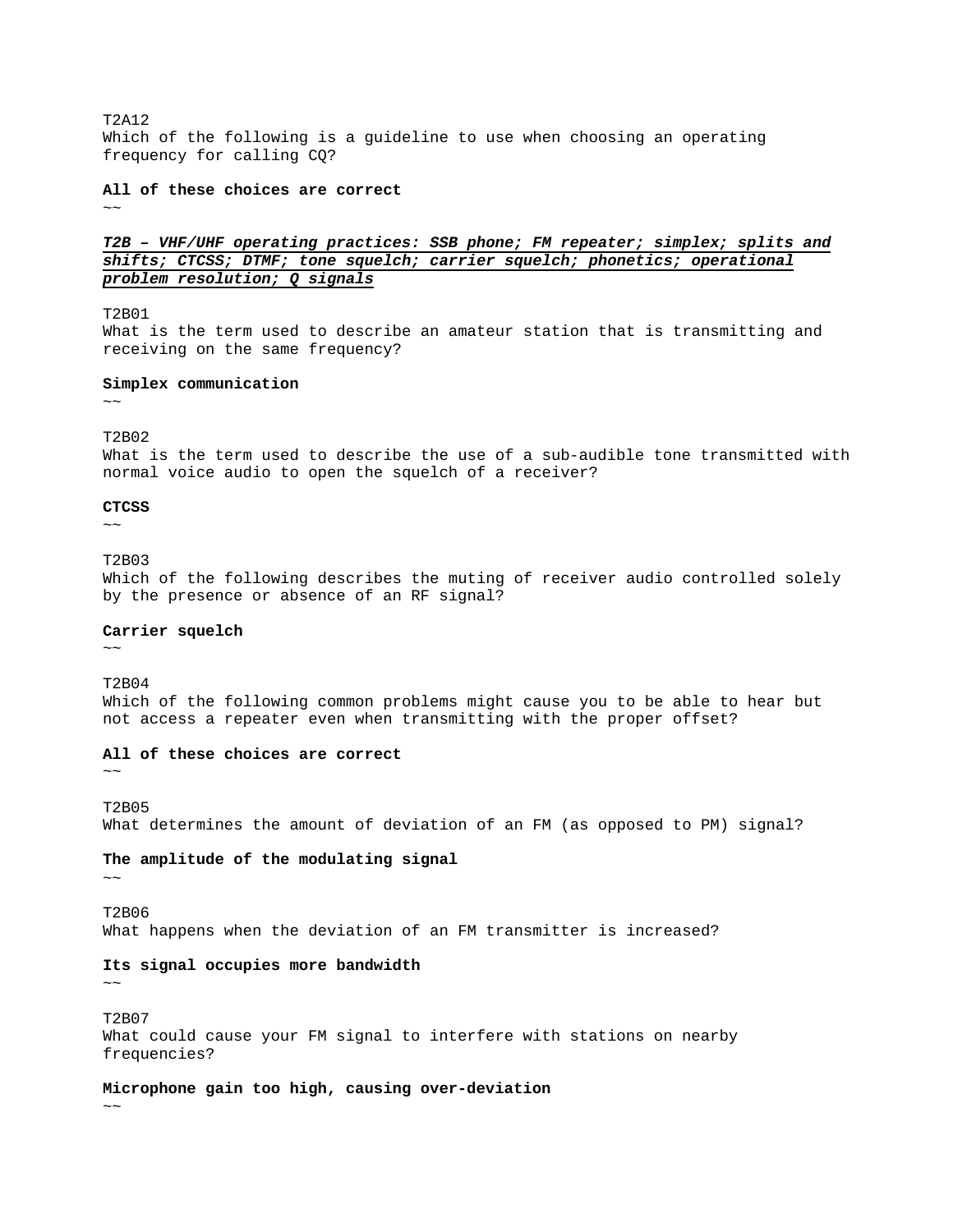T2A12 Which of the following is a guideline to use when choosing an operating frequency for calling CQ?

# **All of these choices are correct**

 $\sim\sim$ 

# *T2B – VHF/UHF operating practices: SSB phone; FM repeater; simplex; splits and shifts; CTCSS; DTMF; tone squelch; carrier squelch; phonetics; operational problem resolution; Q signals*

T2B01

What is the term used to describe an amateur station that is transmitting and receiving on the same frequency?

# **Simplex communication**

 $\sim\sim$ 

T2B02

What is the term used to describe the use of a sub-audible tone transmitted with normal voice audio to open the squelch of a receiver?

#### **CTCSS**

 $\sim\, \sim$ 

T2B03

Which of the following describes the muting of receiver audio controlled solely by the presence or absence of an RF signal?

### **Carrier squelch**

 $\sim\sim$ 

T2B04 Which of the following common problems might cause you to be able to hear but not access a repeater even when transmitting with the proper offset?

#### **All of these choices are correct**

 $\sim\sim$ 

T2B05 What determines the amount of deviation of an FM (as opposed to PM) signal?

#### **The amplitude of the modulating signal**

 $\sim\!\sim$ 

 $\sim$   $\sim$ 

T2B06 What happens when the deviation of an FM transmitter is increased?

# **Its signal occupies more bandwidth**

T2B07 What could cause your FM signal to interfere with stations on nearby frequencies?

**Microphone gain too high, causing over-deviation**   $\sim$  ~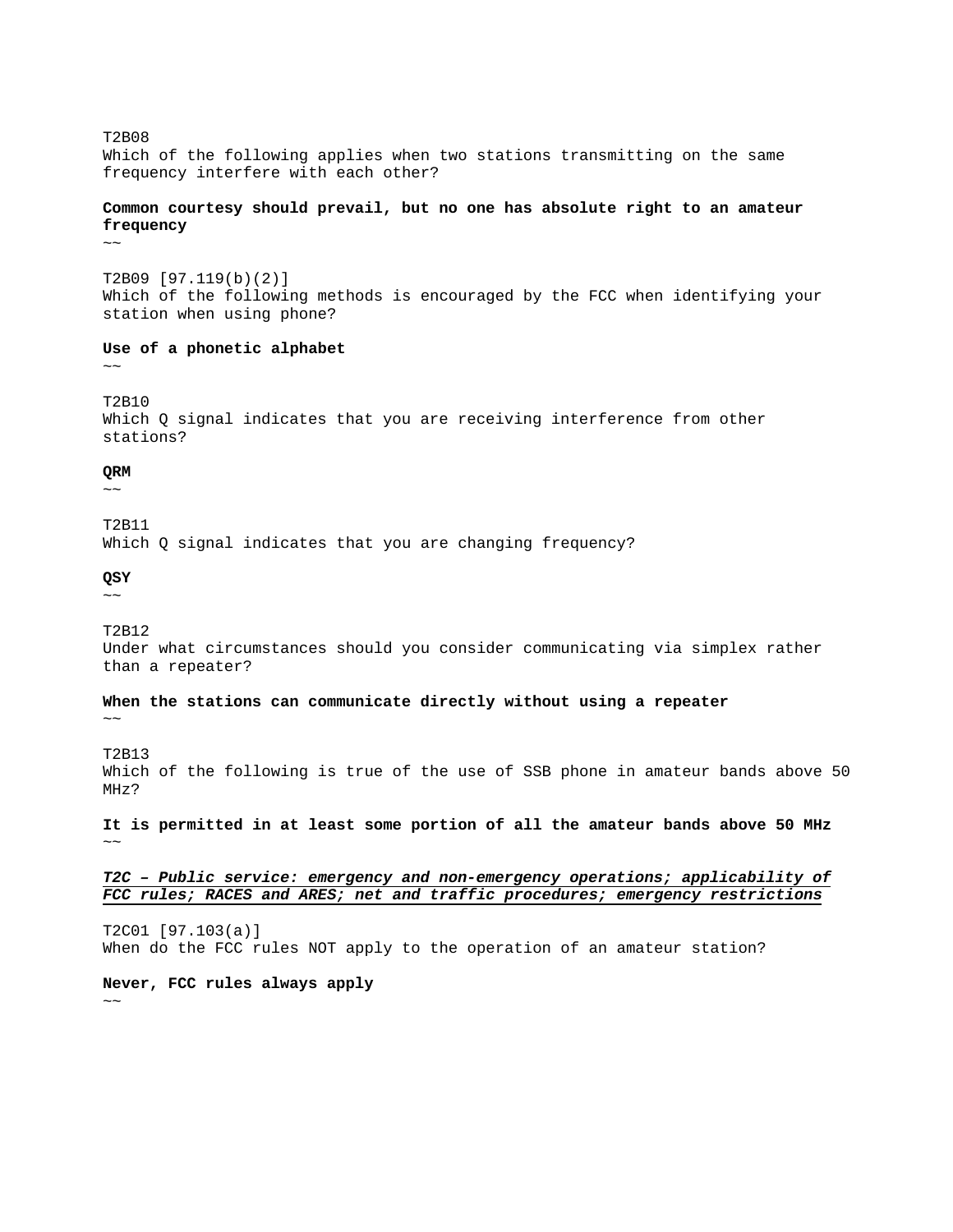T2B08 Which of the following applies when two stations transmitting on the same frequency interfere with each other?

# **Common courtesy should prevail, but no one has absolute right to an amateur frequency**

 $\sim\sim$ 

T2B09 [97.119(b)(2)] Which of the following methods is encouraged by the FCC when identifying your station when using phone?

### **Use of a phonetic alphabet**

 $\sim\sim$ 

T2B10 Which Q signal indicates that you are receiving interference from other stations?

# **QRM**

 $\sim$   $\sim$ 

T2B11 Which Q signal indicates that you are changing frequency?

### **QSY**

 $\sim\sim$ 

# T2B12

Under what circumstances should you consider communicating via simplex rather than a repeater?

# **When the stations can communicate directly without using a repeater**

 $\sim\sim$ 

T2B13 Which of the following is true of the use of SSB phone in amateur bands above 50 MHz?

**It is permitted in at least some portion of all the amateur bands above 50 MHz**  $\sim\sim$ 

*T2C – Public service: emergency and non-emergency operations; applicability of FCC rules; RACES and ARES; net and traffic procedures; emergency restrictions*

T2C01 [97.103(a)] When do the FCC rules NOT apply to the operation of an amateur station?

**Never, FCC rules always apply**  $\sim$   $\sim$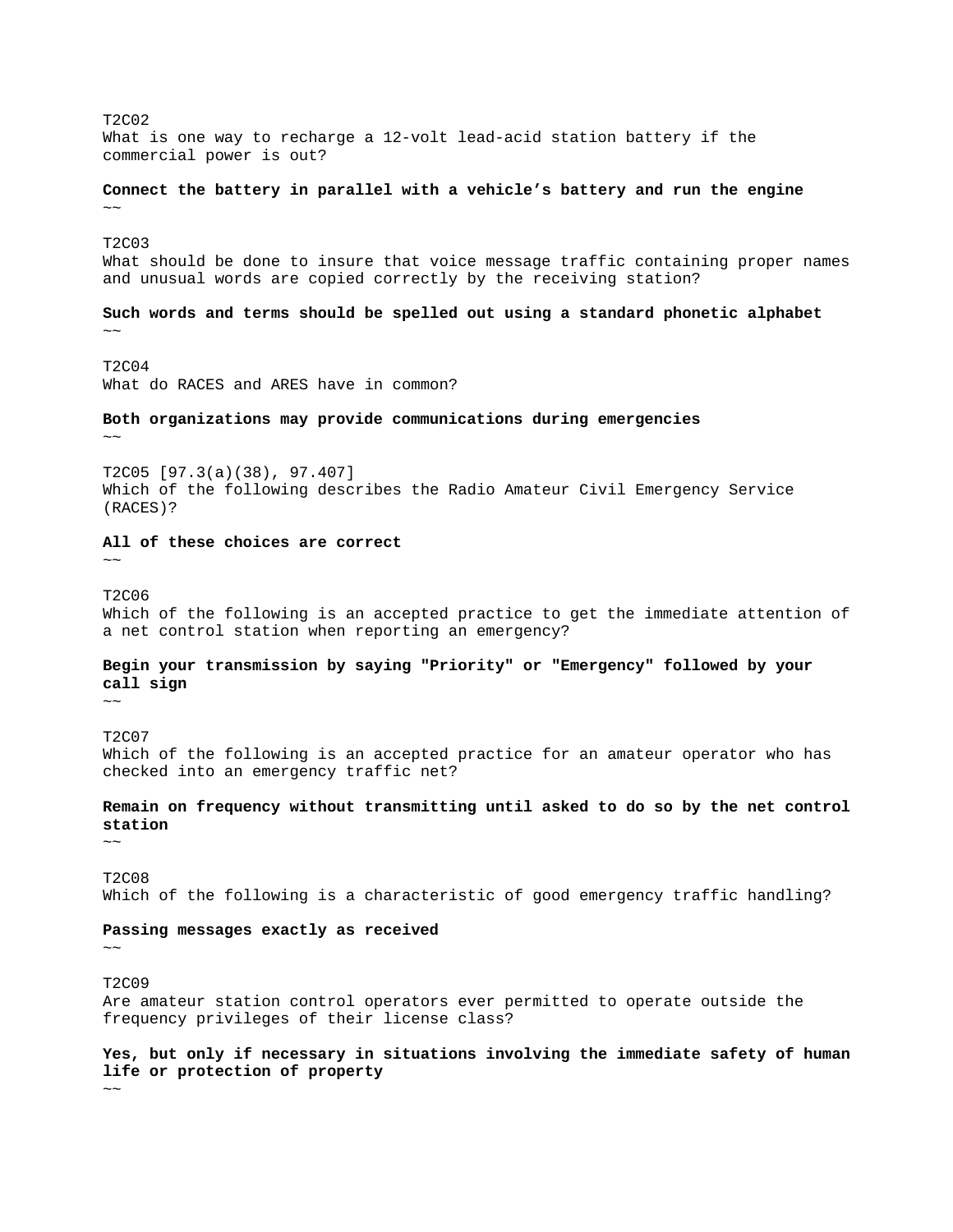T2C02 What is one way to recharge a 12-volt lead-acid station battery if the commercial power is out? **Connect the battery in parallel with a vehicle's battery and run the engine**  $\sim\, \sim$ T2C03 What should be done to insure that voice message traffic containing proper names and unusual words are copied correctly by the receiving station? **Such words and terms should be spelled out using a standard phonetic alphabet**  $\sim$   $\sim$ T2C04 What do RACES and ARES have in common? **Both organizations may provide communications during emergencies**  $\sim\, \sim$ T2C05 [97.3(a)(38), 97.407] Which of the following describes the Radio Amateur Civil Emergency Service (RACES)? **All of these choices are correct**  $\sim\sim$ T2C06 Which of the following is an accepted practice to get the immediate attention of a net control station when reporting an emergency? **Begin your transmission by saying "Priority" or "Emergency" followed by your call sign**  $\sim\sim$ T2C07 Which of the following is an accepted practice for an amateur operator who has checked into an emergency traffic net? **Remain on frequency without transmitting until asked to do so by the net control station**  $\sim$   $\sim$ T2C08 Which of the following is a characteristic of good emergency traffic handling? **Passing messages exactly as received**  $\sim\sim$ T2C09 Are amateur station control operators ever permitted to operate outside the frequency privileges of their license class? **Yes, but only if necessary in situations involving the immediate safety of human life or protection of property**  $\sim$   $\sim$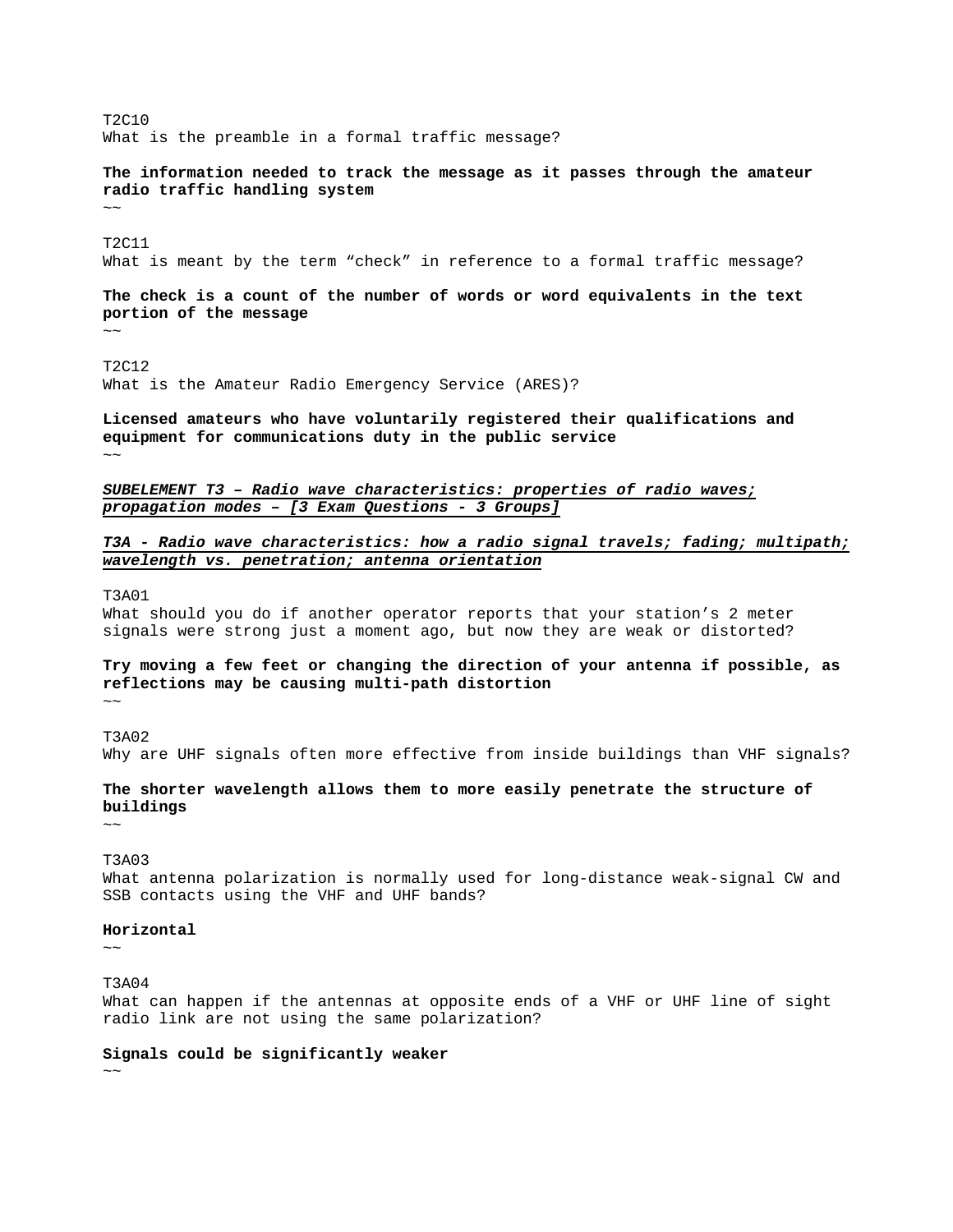T2C10 What is the preamble in a formal traffic message? **The information needed to track the message as it passes through the amateur radio traffic handling system**  $\sim\, \sim$ T2C11 What is meant by the term "check" in reference to a formal traffic message? **The check is a count of the number of words or word equivalents in the text portion of the message**  $\sim\sim$ T2C12 What is the Amateur Radio Emergency Service (ARES)? **Licensed amateurs who have voluntarily registered their qualifications and equipment for communications duty in the public service**  $\sim\,$   $\sim$ *SUBELEMENT T3 – Radio wave characteristics: properties of radio waves; propagation modes – [3 Exam Questions - 3 Groups] T3A - Radio wave characteristics: how a radio signal travels; fading; multipath; wavelength vs. penetration; antenna orientation* T3A01

What should you do if another operator reports that your station's 2 meter signals were strong just a moment ago, but now they are weak or distorted?

**Try moving a few feet or changing the direction of your antenna if possible, as reflections may be causing multi-path distortion**  $\sim\sim$ 

T3A02

Why are UHF signals often more effective from inside buildings than VHF signals?

# **The shorter wavelength allows them to more easily penetrate the structure of buildings**

 $\sim\, \sim$ 

#### T3A03

What antenna polarization is normally used for long-distance weak-signal CW and SSB contacts using the VHF and UHF bands?

#### **Horizontal**

 $\sim\sim$ 

T3A04

What can happen if the antennas at opposite ends of a VHF or UHF line of sight radio link are not using the same polarization?

**Signals could be significantly weaker**

 $\sim\sim$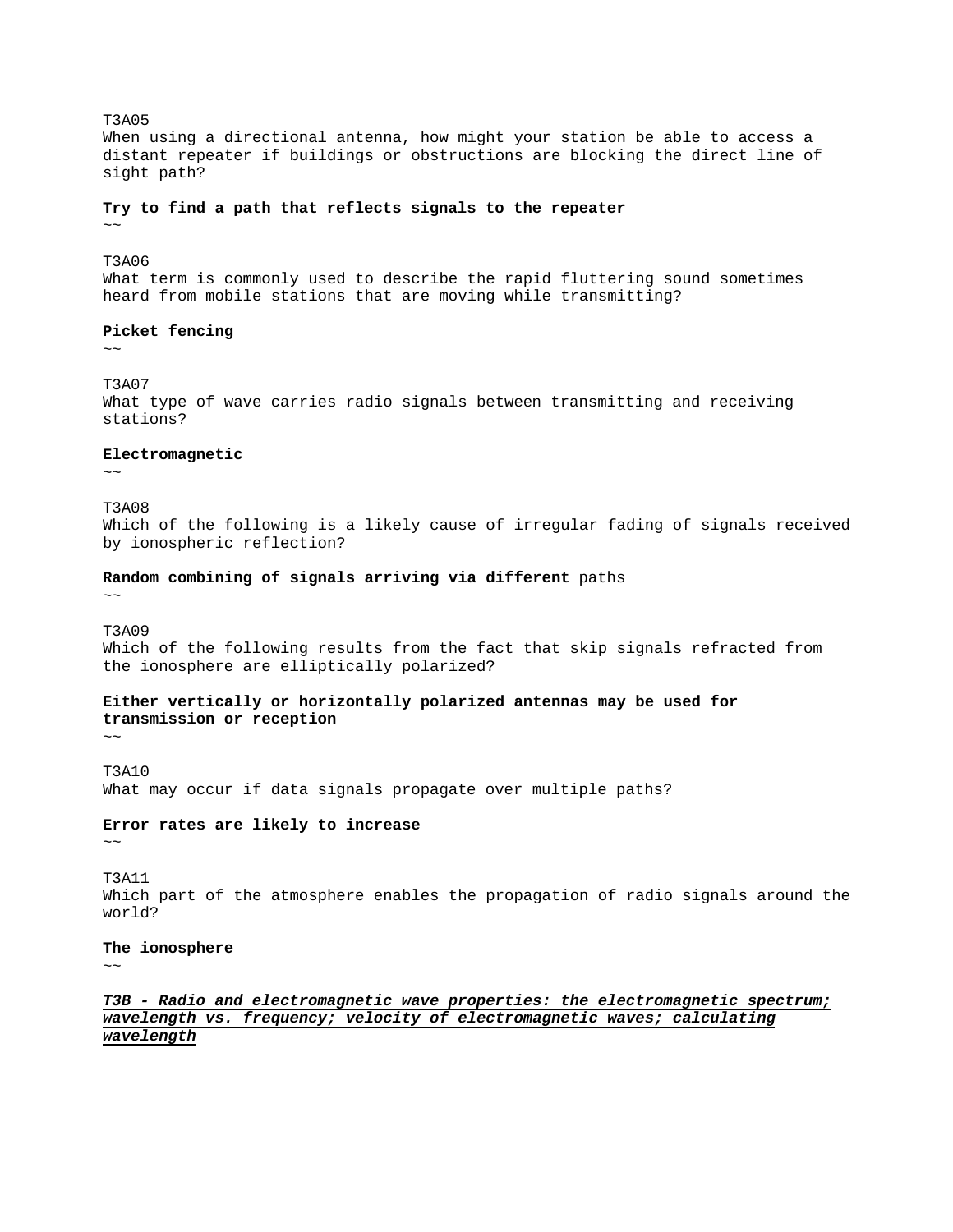T3A05 When using a directional antenna, how might your station be able to access a distant repeater if buildings or obstructions are blocking the direct line of sight path? **Try to find a path that reflects signals to the repeater**  $\sim\sim$ T3A06 What term is commonly used to describe the rapid fluttering sound sometimes heard from mobile stations that are moving while transmitting? **Picket fencing**  $\sim\sim$ T3A07 What type of wave carries radio signals between transmitting and receiving stations? **Electromagnetic**  $\sim$   $\sim$ T3A08 Which of the following is a likely cause of irregular fading of signals received by ionospheric reflection? **Random combining of signals arriving via different** paths  $\sim\sim$ T3A09 Which of the following results from the fact that skip signals refracted from the ionosphere are elliptically polarized? **Either vertically or horizontally polarized antennas may be used for transmission or reception**  $\sim\sim$ T3A10 What may occur if data signals propagate over multiple paths? **Error rates are likely to increase**  $\sim$  ~ T3A11 Which part of the atmosphere enables the propagation of radio signals around the world? **The ionosphere**  $\sim$   $\sim$ *T3B - Radio and electromagnetic wave properties: the electromagnetic spectrum; wavelength vs. frequency; velocity of electromagnetic waves; calculating wavelength*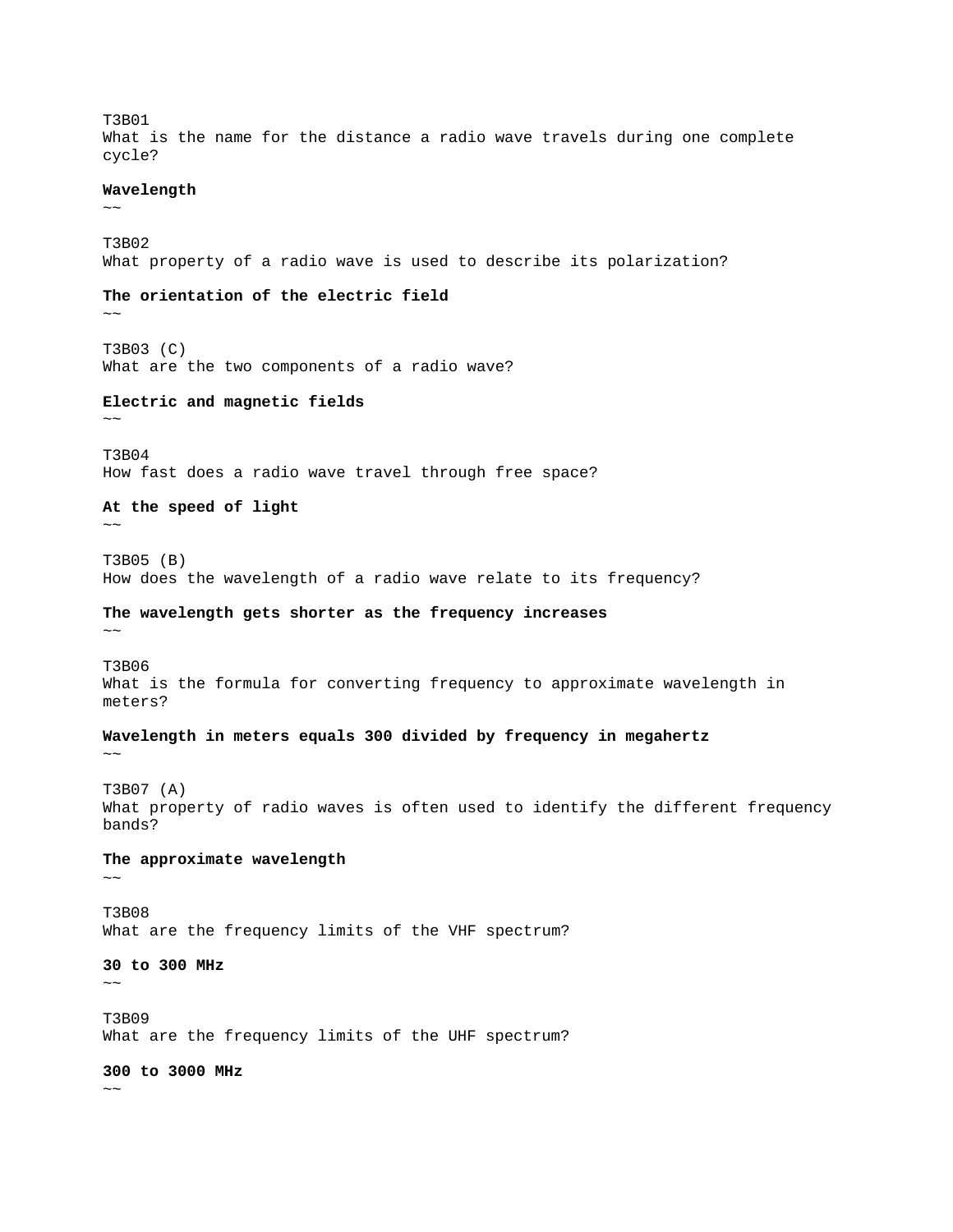T3B01 What is the name for the distance a radio wave travels during one complete cycle? **Wavelength**  $\sim\, \sim$ T3B02 What property of a radio wave is used to describe its polarization? **The orientation of the electric field**  $\sim\sim$ T3B03 (C) What are the two components of a radio wave? **Electric and magnetic fields**  $\sim\sim$ T3B04 How fast does a radio wave travel through free space? **At the speed of light**  $\sim\, \sim$ T3B05 (B) How does the wavelength of a radio wave relate to its frequency? **The wavelength gets shorter as the frequency increases**  $\sim\sim$ T3B06 What is the formula for converting frequency to approximate wavelength in meters? **Wavelength in meters equals 300 divided by frequency in megahertz**  $\sim\, \sim$ T3B07 (A) What property of radio waves is often used to identify the different frequency bands? **The approximate wavelength**  $\sim\!\sim$ T3B08 What are the frequency limits of the VHF spectrum? **30 to 300 MHz**  $\sim$   $\sim$ T3B09 What are the frequency limits of the UHF spectrum? **300 to 3000 MHz**

 $\sim\sim$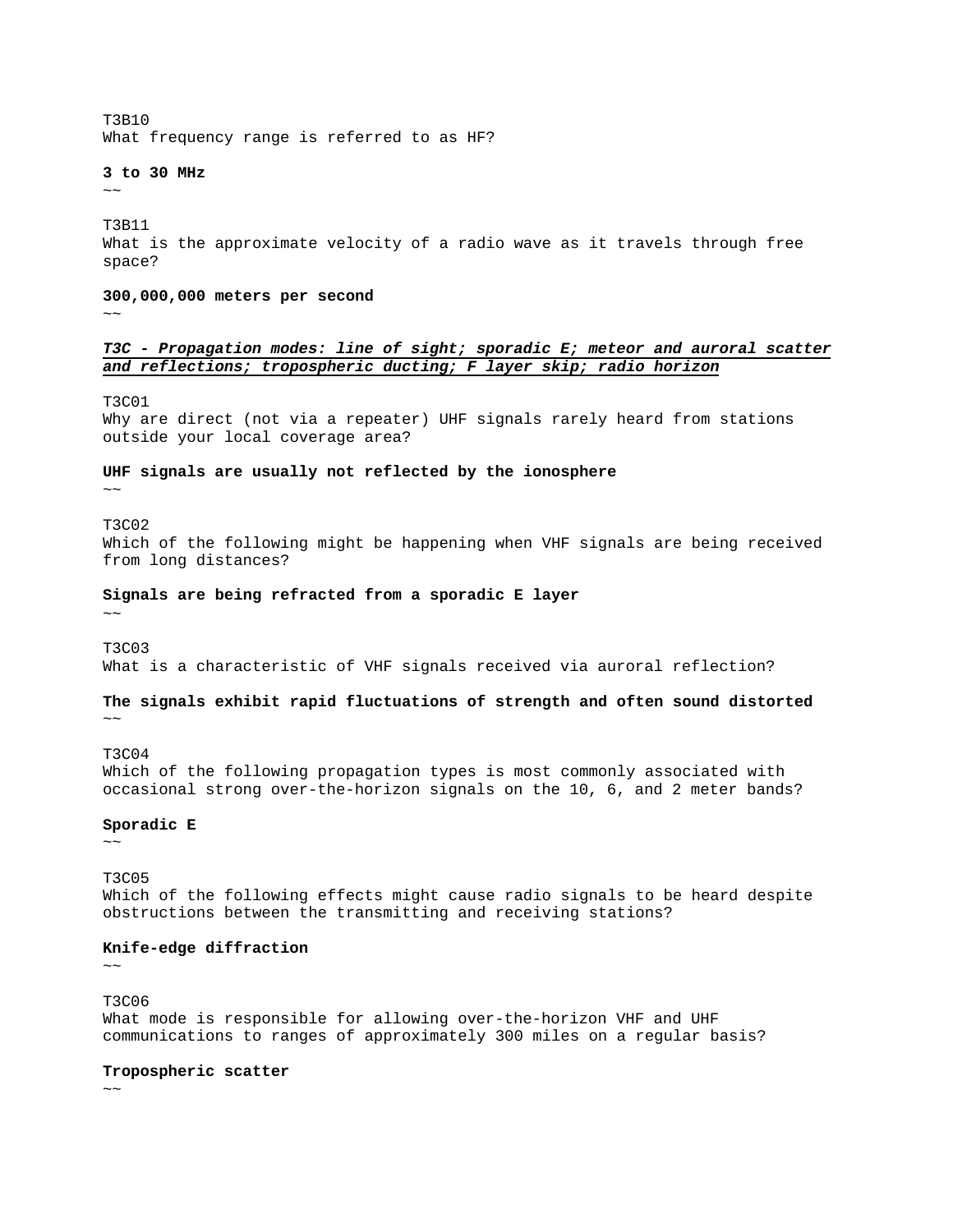T3B10 What frequency range is referred to as HF?

#### **3 to 30 MHz**

 $\sim\!\sim$ 

T3B11

What is the approximate velocity of a radio wave as it travels through free space?

**300,000,000 meters per second**  $\sim\sim$ 

# *T3C - Propagation modes: line of sight; sporadic E; meteor and auroral scatter and reflections; tropospheric ducting; F layer skip; radio horizon*

T3C01

Why are direct (not via a repeater) UHF signals rarely heard from stations outside your local coverage area?

# **UHF signals are usually not reflected by the ionosphere**

 $\sim\sim$ 

#### T3C02

Which of the following might be happening when VHF signals are being received from long distances?

#### **Signals are being refracted from a sporadic E layer**

 $\sim\sim$ 

T3C03 What is a characteristic of VHF signals received via auroral reflection?

# **The signals exhibit rapid fluctuations of strength and often sound distorted**  $\sim\!\sim$

T3C04 Which of the following propagation types is most commonly associated with occasional strong over-the-horizon signals on the 10, 6, and 2 meter bands?

# **Sporadic E**

 $\sim$  ~

T3C05

Which of the following effects might cause radio signals to be heard despite obstructions between the transmitting and receiving stations?

# **Knife-edge diffraction**

 $\sim$   $\sim$ 

T3C06

What mode is responsible for allowing over-the-horizon VHF and UHF communications to ranges of approximately 300 miles on a regular basis?

# **Tropospheric scatter**

 $\sim$   $\sim$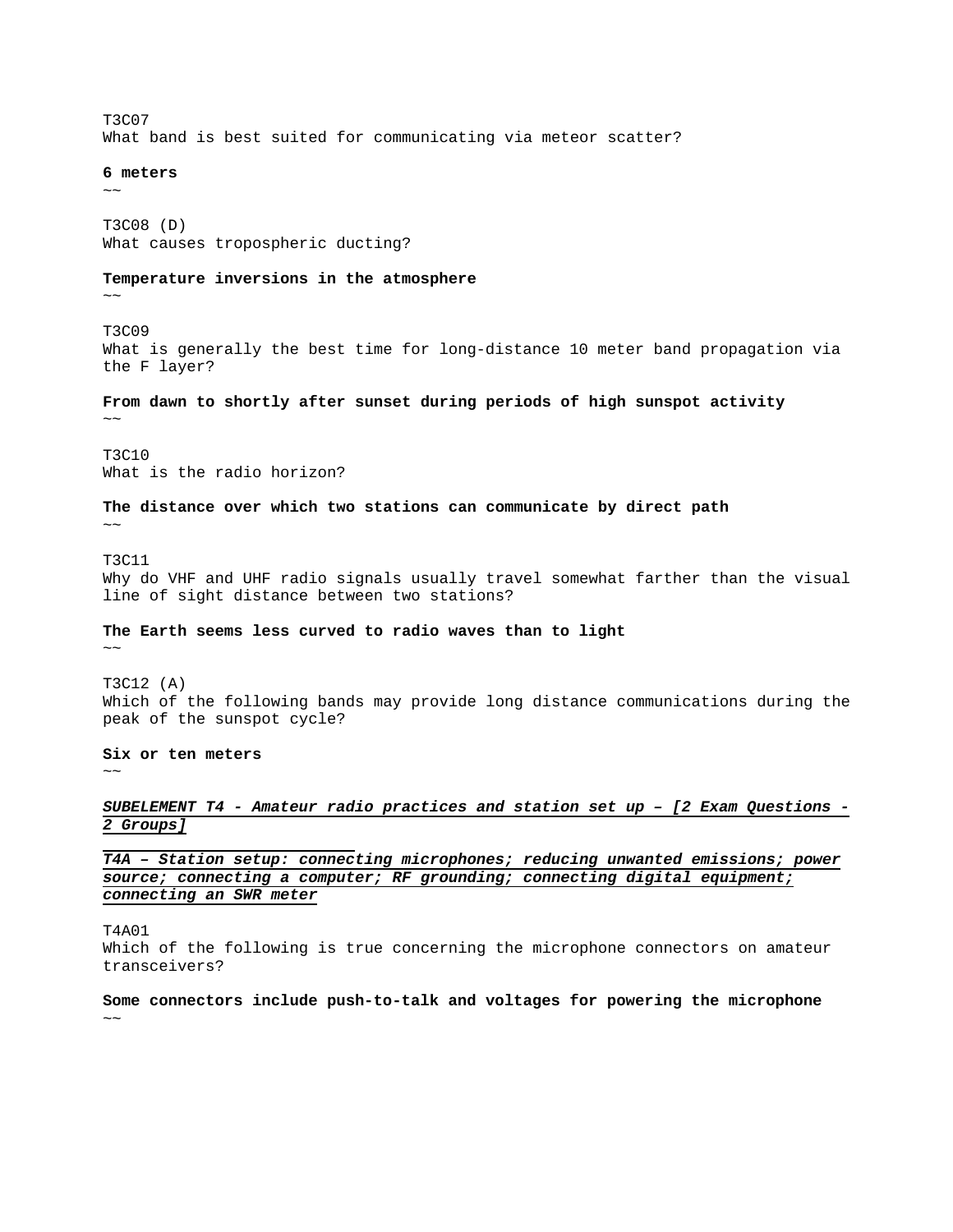T3C07 What band is best suited for communicating via meteor scatter?

### **6 meters**

 $\sim\!\sim$ 

T3C08 (D) What causes tropospheric ducting?

#### **Temperature inversions in the atmosphere**

 $\sim\sim$ 

T3C09 What is generally the best time for long-distance 10 meter band propagation via the F layer?

**From dawn to shortly after sunset during periods of high sunspot activity**  $\sim\, \sim$ 

T3C10 What is the radio horizon?

# **The distance over which two stations can communicate by direct path**  $\sim\sim$

T3C11 Why do VHF and UHF radio signals usually travel somewhat farther than the visual line of sight distance between two stations?

# **The Earth seems less curved to radio waves than to light**

 $\sim\sim$ 

T3C12 (A) Which of the following bands may provide long distance communications during the peak of the sunspot cycle?

# **Six or ten meters**

 $\sim\sim$ 

# *SUBELEMENT T4 - Amateur radio practices and station set up – [2 Exam Questions - 2 Groups]*

# *T4A – Station setup: connecting microphones; reducing unwanted emissions; power source; connecting a computer; RF grounding; connecting digital equipment; connecting an SWR meter*

T4A01

Which of the following is true concerning the microphone connectors on amateur transceivers?

**Some connectors include push-to-talk and voltages for powering the microphone**  $\sim\sim$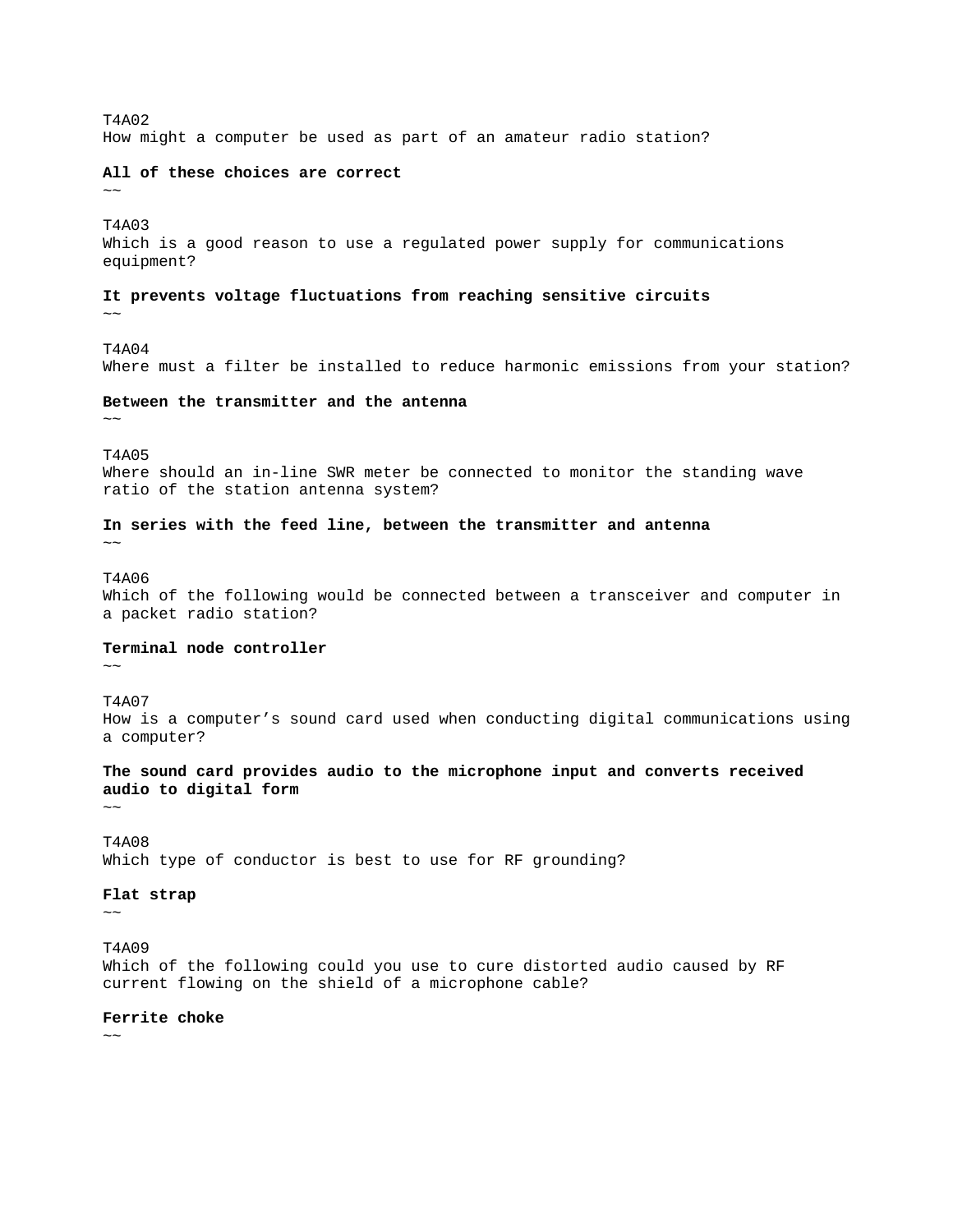T4A02 How might a computer be used as part of an amateur radio station? **All of these choices are correct**  $\sim\sim$ T4A03 Which is a good reason to use a regulated power supply for communications equipment? **It prevents voltage fluctuations from reaching sensitive circuits**  $\sim$  ~ T4A04 Where must a filter be installed to reduce harmonic emissions from your station? **Between the transmitter and the antenna**  $\sim\sim$ T4A05 Where should an in-line SWR meter be connected to monitor the standing wave ratio of the station antenna system? **In series with the feed line, between the transmitter and antenna**  $\sim\sim$ T4A06 Which of the following would be connected between a transceiver and computer in a packet radio station? **Terminal node controller**  $\sim\sim$ T4A07 How is a computer's sound card used when conducting digital communications using a computer? **The sound card provides audio to the microphone input and converts received audio to digital form**  $\sim$   $\sim$ T4A08 Which type of conductor is best to use for RF grounding? **Flat strap**  $\sim\!\sim$ T4A09 Which of the following could you use to cure distorted audio caused by RF current flowing on the shield of a microphone cable? **Ferrite choke**  $\sim\sim$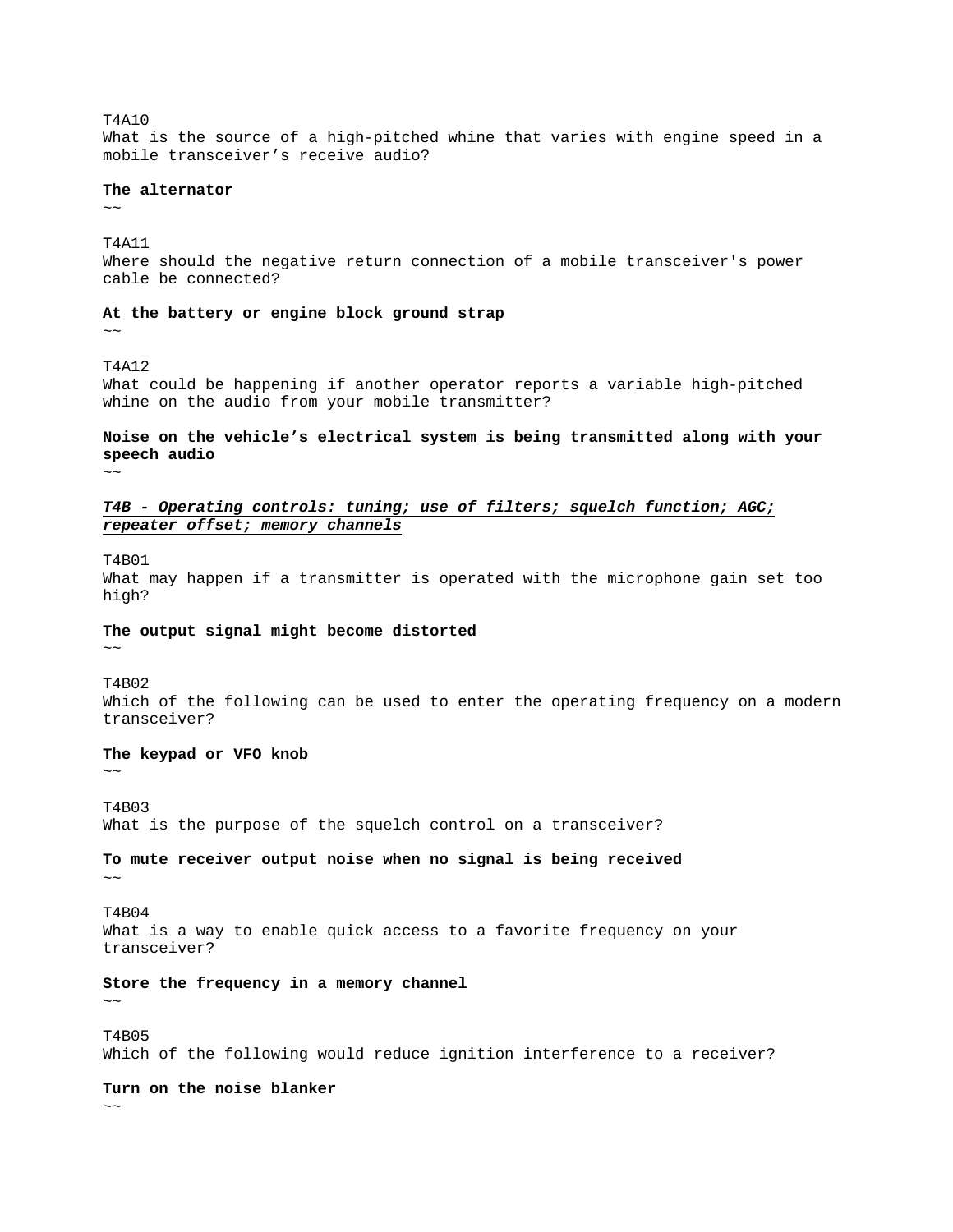T4A10 What is the source of a high-pitched whine that varies with engine speed in a mobile transceiver's receive audio?

### **The alternator**

 $\sim$   $\sim$ 

T4A11 Where should the negative return connection of a mobile transceiver's power cable be connected?

#### **At the battery or engine block ground strap**

 $\sim$   $\sim$ 

T4A12

What could be happening if another operator reports a variable high-pitched whine on the audio from your mobile transmitter?

**Noise on the vehicle's electrical system is being transmitted along with your speech audio**

 $\sim\sim$ 

# *T4B - Operating controls: tuning; use of filters; squelch function; AGC; repeater offset; memory channels*

T4B01 What may happen if a transmitter is operated with the microphone gain set too high?

### **The output signal might become distorted**

 $\sim\sim$ 

T4B02 Which of the following can be used to enter the operating frequency on a modern transceiver?

#### **The keypad or VFO knob**

 $\sim\sim$ 

T4B03 What is the purpose of the squelch control on a transceiver?

**To mute receiver output noise when no signal is being received**  $\sim\!\sim$ 

T4B04 What is a way to enable quick access to a favorite frequency on your transceiver?

**Store the frequency in a memory channel**  $\sim\sim$ 

T4B05 Which of the following would reduce ignition interference to a receiver?

**Turn on the noise blanker**  $\sim$   $\sim$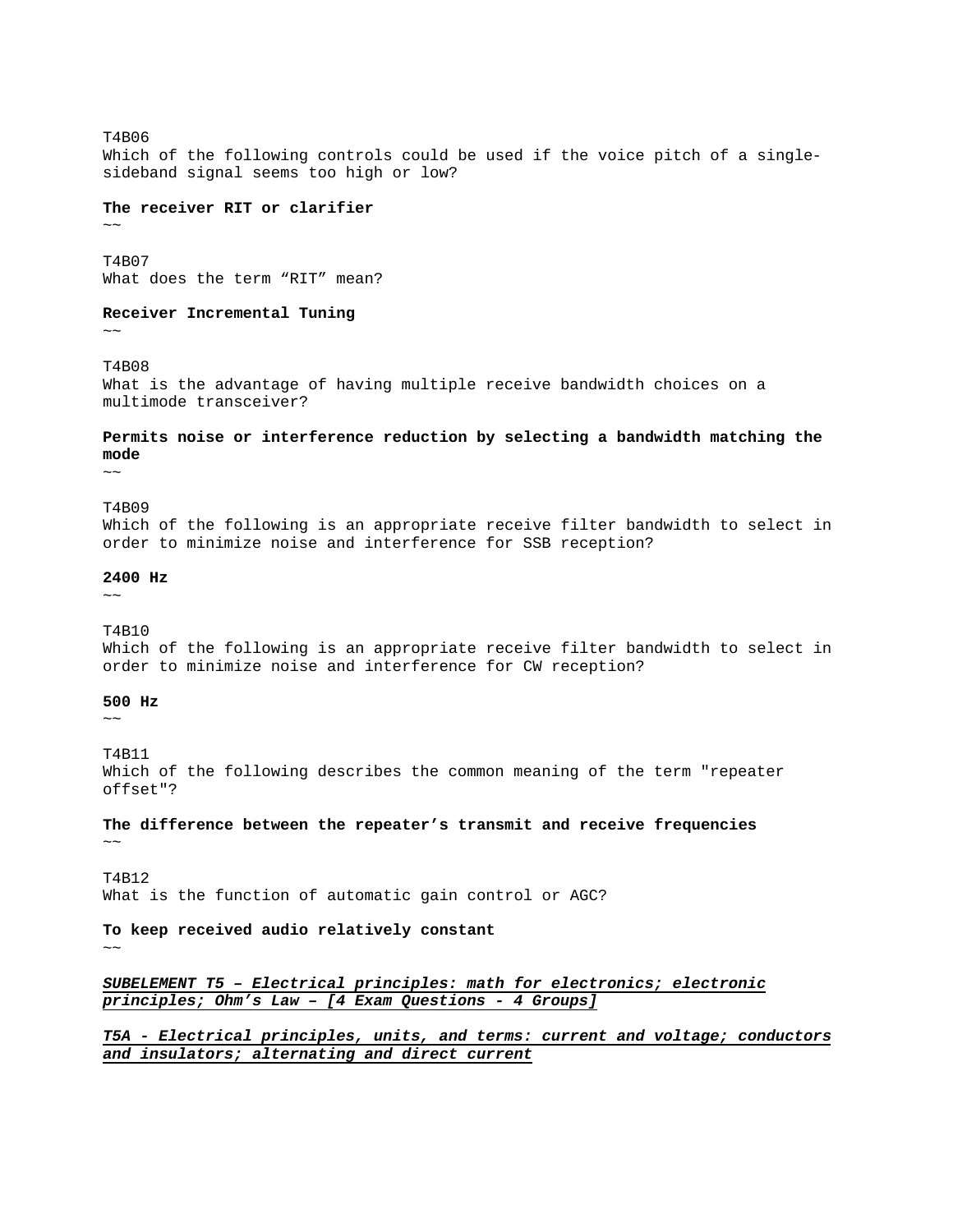T4B06 Which of the following controls could be used if the voice pitch of a singlesideband signal seems too high or low?

#### **The receiver RIT or clarifier**

 $\sim\sim$ 

T4B07 What does the term "RIT" mean?

#### **Receiver Incremental Tuning**

 $\sim\sim$ 

T4B08

What is the advantage of having multiple receive bandwidth choices on a multimode transceiver?

**Permits noise or interference reduction by selecting a bandwidth matching the mode**

 $\sim$   $\sim$ 

T4B09 Which of the following is an appropriate receive filter bandwidth to select in order to minimize noise and interference for SSB reception?

#### **2400 Hz**

 $\sim\sim$ 

T4B10

Which of the following is an appropriate receive filter bandwidth to select in order to minimize noise and interference for CW reception?

#### **500 Hz**

 $\sim\sim$ 

T4B11 Which of the following describes the common meaning of the term "repeater offset"?

**The difference between the repeater's transmit and receive frequencies**  $\sim$   $\sim$ 

T4B12 What is the function of automatic gain control or AGC?

**To keep received audio relatively constant**

 $\sim\sim$ 

*SUBELEMENT T5 – Electrical principles: math for electronics; electronic principles; Ohm's Law – [4 Exam Questions - 4 Groups]*

*T5A - Electrical principles, units, and terms: current and voltage; conductors and insulators; alternating and direct current*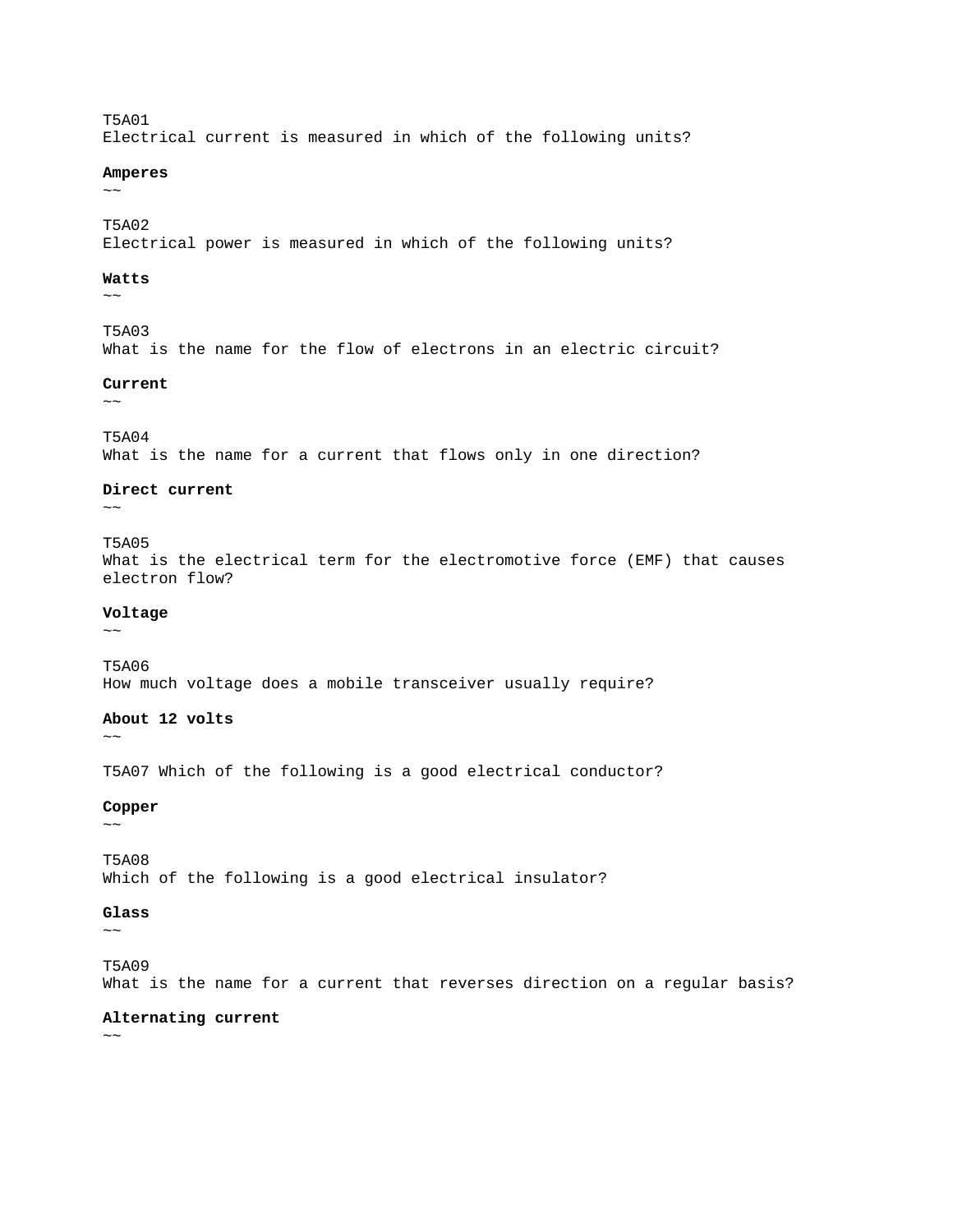T5A01 Electrical current is measured in which of the following units? **Amperes**  $\sim\sim$ T5A02 Electrical power is measured in which of the following units? **Watts**  $\sim\, \sim$ T5A03 What is the name for the flow of electrons in an electric circuit? **Current**   $\sim\, \sim$ T5A04 What is the name for a current that flows only in one direction? **Direct current**  $\sim$   $\sim$ T5A05 What is the electrical term for the electromotive force (EMF) that causes electron flow? **Voltage**  $\sim\, \sim$ T5A06 How much voltage does a mobile transceiver usually require? **About 12 volts**  $\sim$  ~ T5A07 Which of the following is a good electrical conductor? **Copper**  $\sim\sim$ T5A08 Which of the following is a good electrical insulator? **Glass**  $\sim\sim$ T5A09 What is the name for a current that reverses direction on a regular basis? **Alternating current**  $\sim\sim$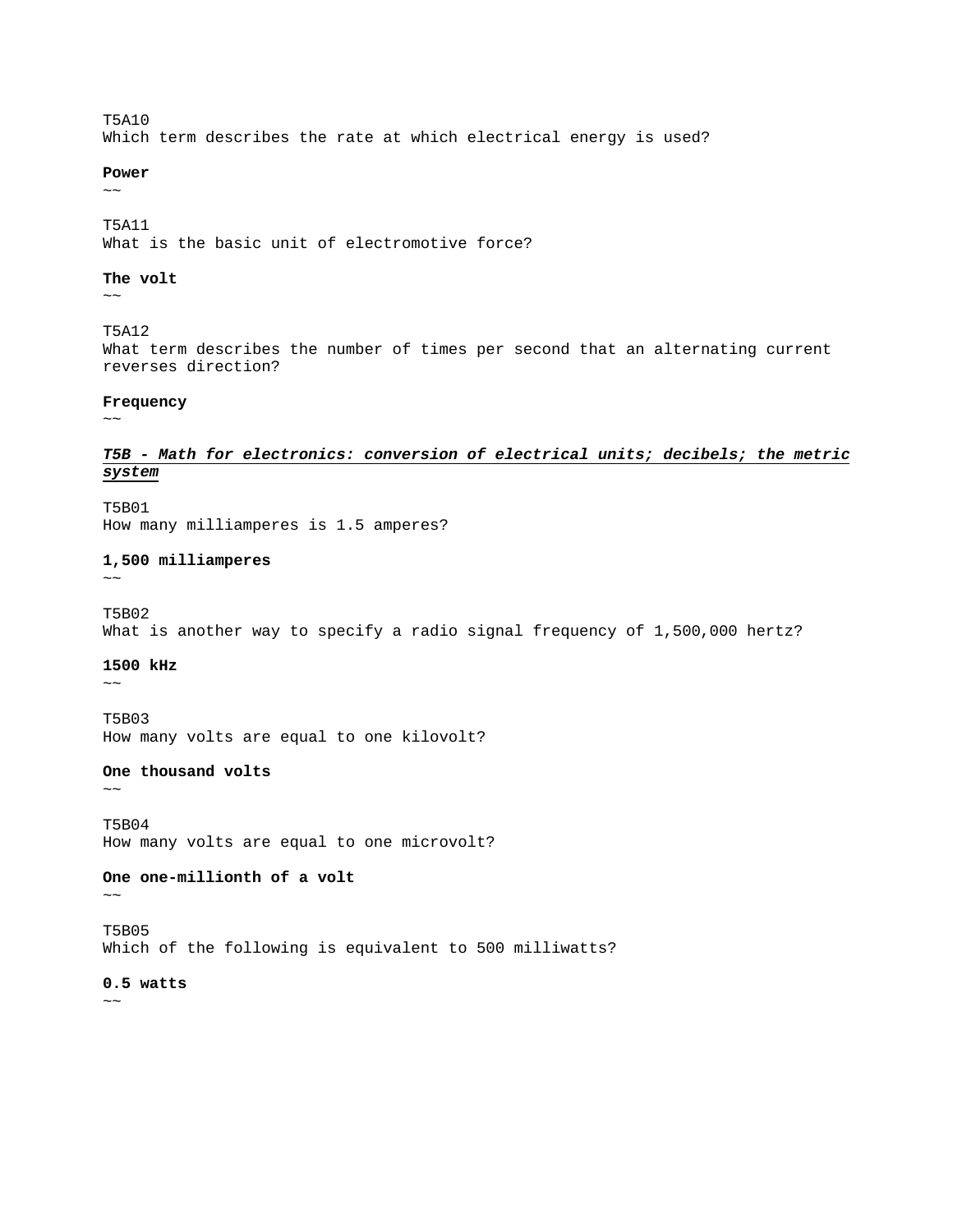T5A10 Which term describes the rate at which electrical energy is used?

# **Power**

 $\sim\, \sim$ 

#### T5A11

What is the basic unit of electromotive force?

# **The volt**

 $\sim\sim$ 

T5A12

What term describes the number of times per second that an alternating current reverses direction?

### **Frequency**

 $\sim\!\sim$ 

# *T5B - Math for electronics: conversion of electrical units; decibels; the metric system*

T5B01 How many milliamperes is 1.5 amperes?

# **1,500 milliamperes**

 $\sim\, \sim$ 

T5B02 What is another way to specify a radio signal frequency of 1,500,000 hertz?

# **1500 kHz**

 $\sim\sim$ 

T5B03 How many volts are equal to one kilovolt?

# **One thousand volts**

 $\sim\sim$ 

T5B04 How many volts are equal to one microvolt?

### **One one-millionth of a volt**

 $\sim$  ~

T5B05 Which of the following is equivalent to 500 milliwatts?

# **0.5 watts**

 $\sim$   $\sim$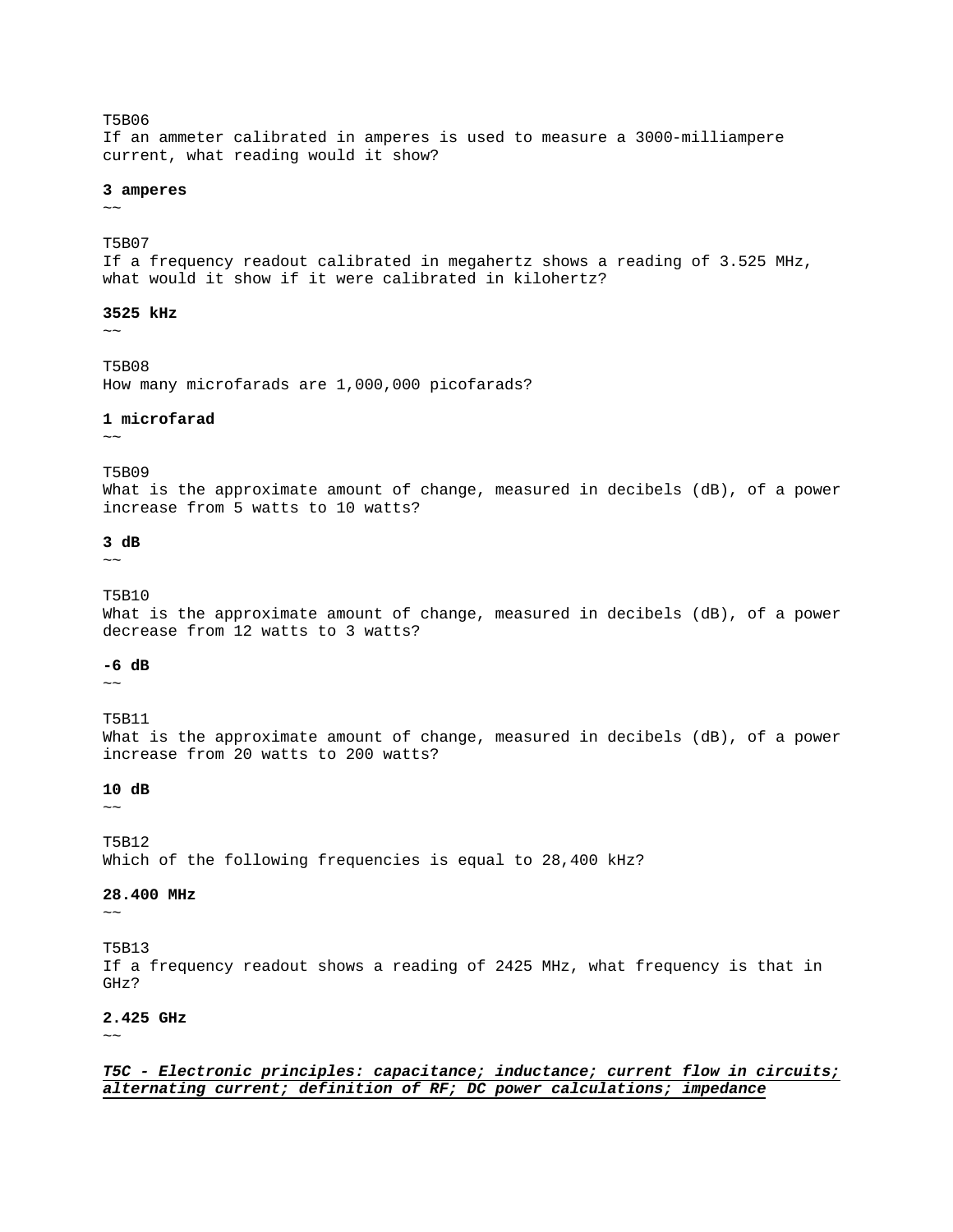T5B06 If an ammeter calibrated in amperes is used to measure a 3000-milliampere current, what reading would it show?

### **3 amperes**

 $\sim\sim$ 

T5B07 If a frequency readout calibrated in megahertz shows a reading of 3.525 MHz, what would it show if it were calibrated in kilohertz?

#### **3525 kHz**

 $\sim\sim$ 

T5B08 How many microfarads are 1,000,000 picofarads?

### **1 microfarad**

 $\sim$  ~

T5B09

What is the approximate amount of change, measured in decibels (dB), of a power increase from 5 watts to 10 watts?

### **3 dB**

 $\sim\sim$ 

```
T5B10
```
What is the approximate amount of change, measured in decibels (dB), of a power decrease from 12 watts to 3 watts?

# **-6 dB**

 $\sim\sim$ 

T5B11 What is the approximate amount of change, measured in decibels (dB), of a power increase from 20 watts to 200 watts?

# **10 dB**

 $\sim\sim$ 

T5B12 Which of the following frequencies is equal to 28,400 kHz?

# **28.400 MHz**

 $\sim\sim$ 

T5B13

If a frequency readout shows a reading of 2425 MHz, what frequency is that in GHz?

### **2.425 GHz**

 $\sim\sim$ 

*T5C - Electronic principles: capacitance; inductance; current flow in circuits; alternating current; definition of RF; DC power calculations; impedance*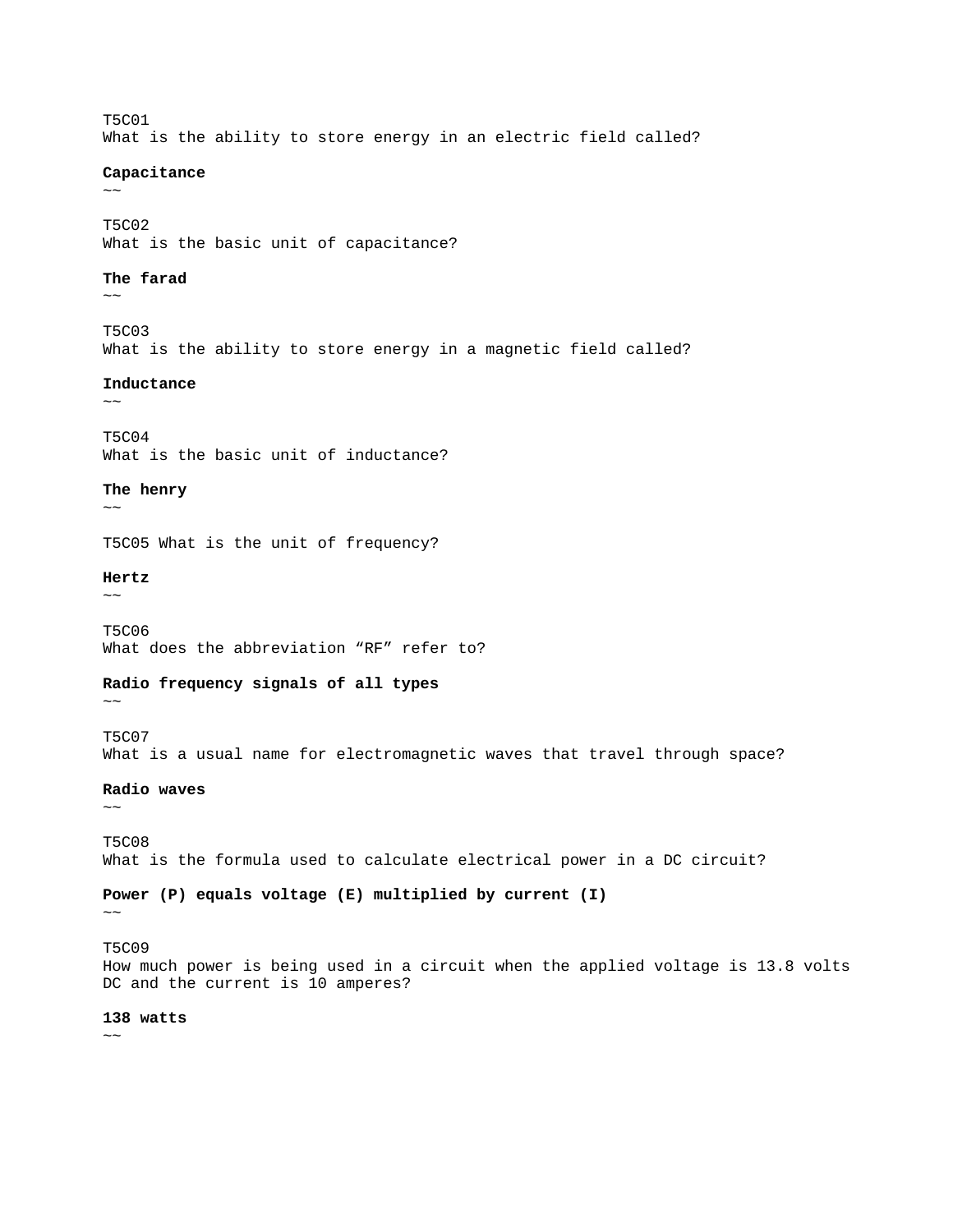T5C01 What is the ability to store energy in an electric field called? **Capacitance**

# $\sim\sim$

T5C02 What is the basic unit of capacitance?

# **The farad**

 $\sim\!\sim$ 

T5C03 What is the ability to store energy in a magnetic field called?

# **Inductance**

 $\sim\sim$ 

T5C04 What is the basic unit of inductance?

# **The henry**

 $\sim\sim$ 

T5C05 What is the unit of frequency?

# **Hertz**

 $\sim\, \sim$ 

T5C06 What does the abbreviation "RF" refer to?

# **Radio frequency signals of all types**

 $\sim\, \sim$ 

T5C07 What is a usual name for electromagnetic waves that travel through space?

# **Radio waves**

 $\sim$   $\sim$ 

T5C08 What is the formula used to calculate electrical power in a DC circuit?

# **Power (P) equals voltage (E) multiplied by current (I)**

 $\sim\sim$ 

T5C09 How much power is being used in a circuit when the applied voltage is 13.8 volts DC and the current is 10 amperes?

# **138 watts**

 $\sim\sim$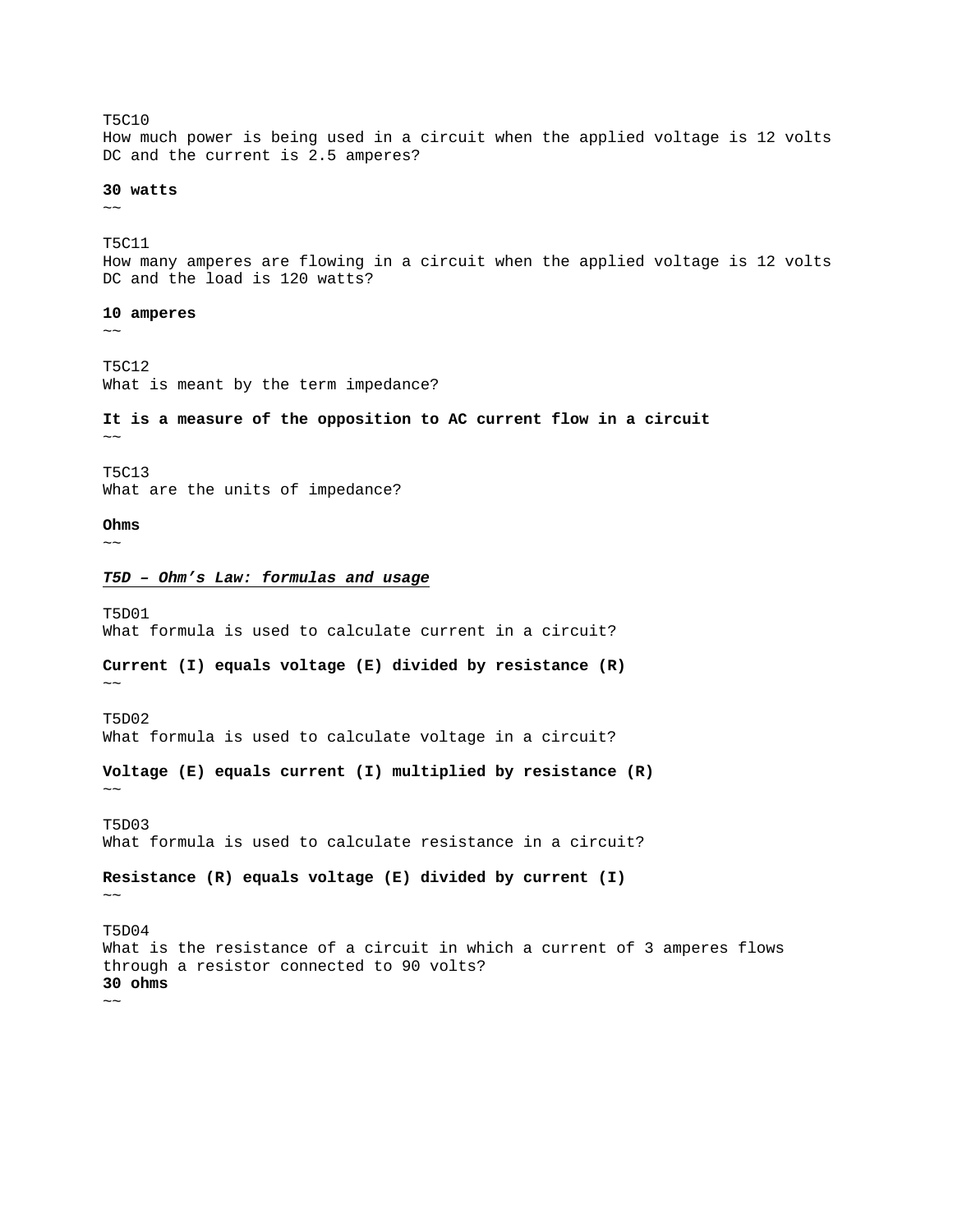T5C10 How much power is being used in a circuit when the applied voltage is 12 volts DC and the current is 2.5 amperes? **30 watts**  $\sim\,$ T5C11 How many amperes are flowing in a circuit when the applied voltage is 12 volts DC and the load is 120 watts? **10 amperes**  $\sim\sim$ T5C12 What is meant by the term impedance? **It is a measure of the opposition to AC current flow in a circuit**  $\sim\!\sim$ T5C13 What are the units of impedance? **Ohms**  $\sim\,$   $\sim$ *T5D – Ohm's Law: formulas and usage*  T5D01 What formula is used to calculate current in a circuit? **Current (I) equals voltage (E) divided by resistance (R)**  $\sim$   $\sim$ T5D02 What formula is used to calculate voltage in a circuit? **Voltage (E) equals current (I) multiplied by resistance (R)**  $\sim\sim$ T5D03 What formula is used to calculate resistance in a circuit? **Resistance (R) equals voltage (E) divided by current (I)**  $\sim\sim$ T5D04 What is the resistance of a circuit in which a current of 3 amperes flows through a resistor connected to 90 volts? **30 ohms** ~~~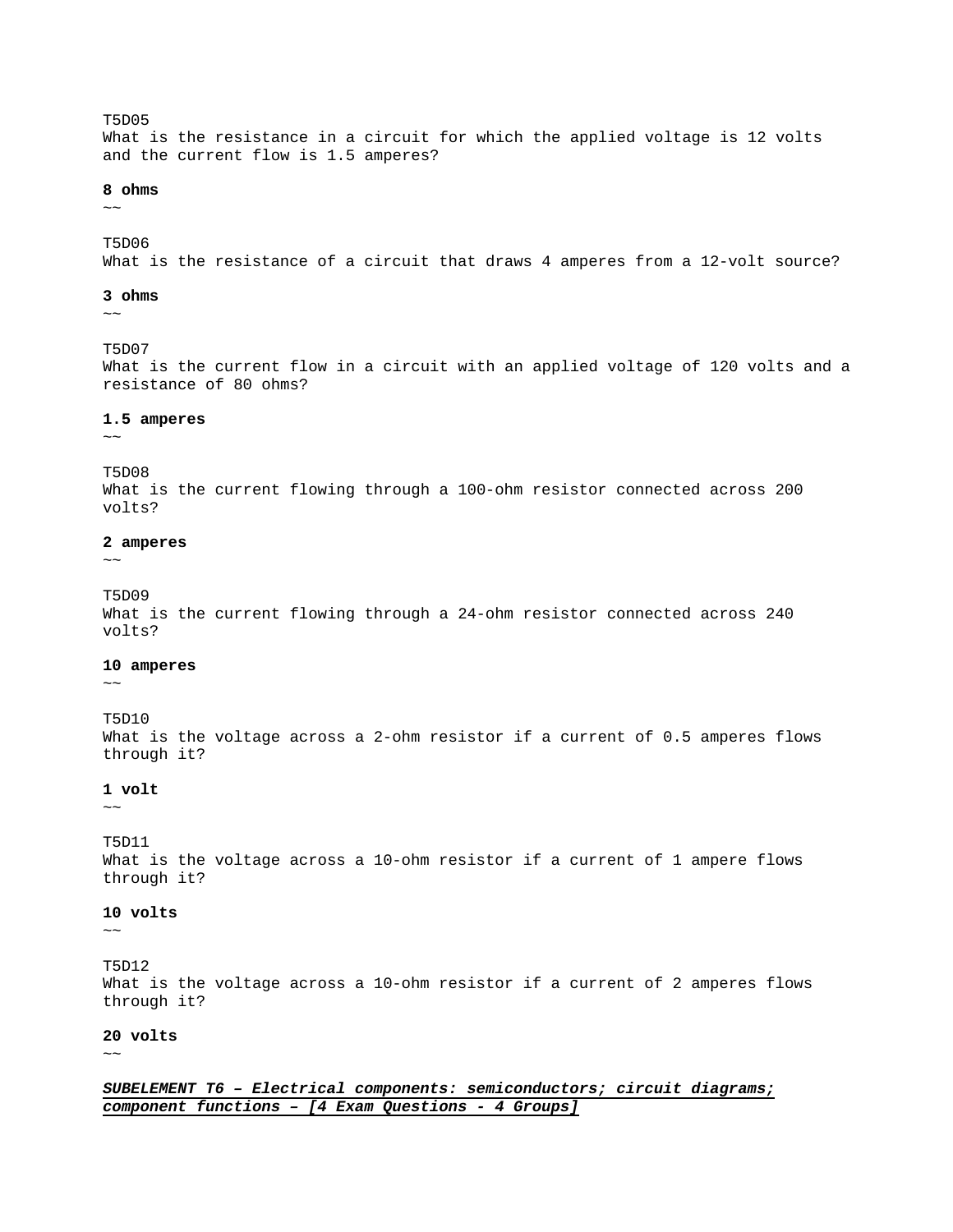What is the resistance in a circuit for which the applied voltage is 12 volts and the current flow is 1.5 amperes?

### **8 ohms**

 $\sim\, \sim$ 

# T5D06

What is the resistance of a circuit that draws 4 amperes from a 12-volt source?

#### **3 ohms**

 $\sim\sim$ 

T5D07

What is the current flow in a circuit with an applied voltage of 120 volts and a resistance of 80 ohms?

#### **1.5 amperes**

 $\sim\sim$ 

T5D08

What is the current flowing through a 100-ohm resistor connected across 200 volts?

### **2 amperes**

 $\sim\sim$ 

T5D09

What is the current flowing through a 24-ohm resistor connected across 240 volts?

# **10 amperes**

 $\sim$   $\sim$ 

T5D10 What is the voltage across a 2-ohm resistor if a current of 0.5 amperes flows through it?

#### **1 volt**

 $\sim\sim$ 

# T5D11

What is the voltage across a 10-ohm resistor if a current of 1 ampere flows through it?

#### **10 volts**

 $\sim\sim$ 

T5D12

What is the voltage across a 10-ohm resistor if a current of 2 amperes flows through it?

#### **20 volts**

 $\sim\sim$ 

*SUBELEMENT T6 – Electrical components: semiconductors; circuit diagrams; component functions – [4 Exam Questions - 4 Groups]*

T5D05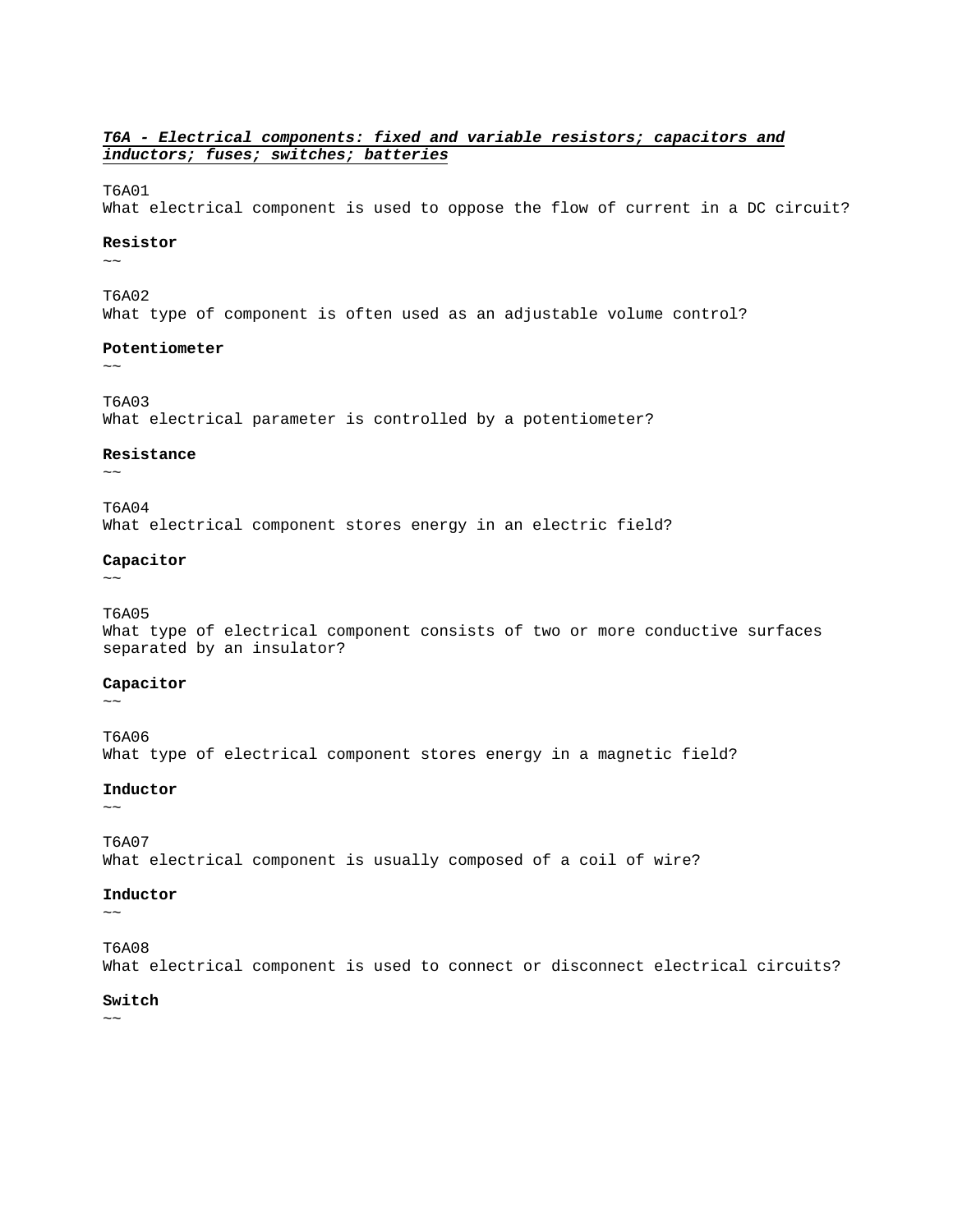# *T6A - Electrical components: fixed and variable resistors; capacitors and inductors; fuses; switches; batteries*

#### T6A01

What electrical component is used to oppose the flow of current in a DC circuit?

#### **Resistor**

 $\sim\sim$ 

T6A02

What type of component is often used as an adjustable volume control?

### **Potentiometer**

 $\sim\sim$ 

T6A03

What electrical parameter is controlled by a potentiometer?

#### **Resistance**

 $\sim$  ~

# T6A04

What electrical component stores energy in an electric field?

#### **Capacitor**

 $\sim\, \sim$ 

```
T6A05
```
What type of electrical component consists of two or more conductive surfaces separated by an insulator?

#### **Capacitor**

 $\sim\sim$ 

T6A06 What type of electrical component stores energy in a magnetic field?

#### **Inductor**

 $\sim$   $\sim$ 

T6A07 What electrical component is usually composed of a coil of wire?

### **Inductor**

 $\sim\sim$ 

T6A08 What electrical component is used to connect or disconnect electrical circuits?

# **Switch**

 $\sim\sim$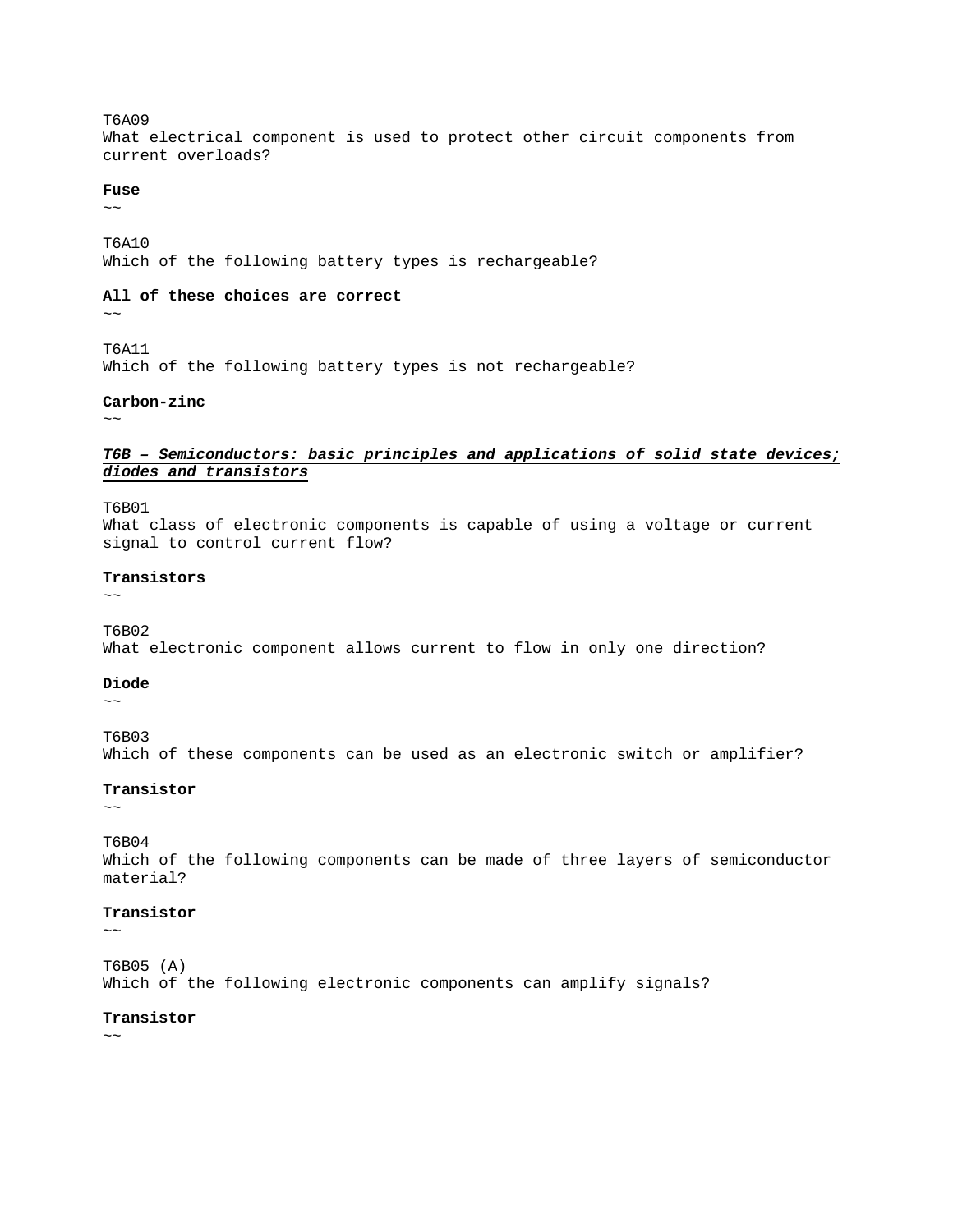T6A09

What electrical component is used to protect other circuit components from current overloads?

# **Fuse**

 $\sim\,$ 

# T6A10

Which of the following battery types is rechargeable?

#### **All of these choices are correct**

 $\sim$   $\sim$ 

T6A11

Which of the following battery types is not rechargeable?

#### **Carbon-zinc**

 $\sim\sim$ 

# *T6B – Semiconductors: basic principles and applications of solid state devices; diodes and transistors*

T6B01

What class of electronic components is capable of using a voltage or current signal to control current flow?

#### **Transistors**

 $\sim\sim$ 

T6B02 What electronic component allows current to flow in only one direction?

#### **Diode**

 $\sim\sim$ 

T6B03

Which of these components can be used as an electronic switch or amplifier?

### **Transistor**

 $\sim$   $\sim$ 

```
T6B04
```
Which of the following components can be made of three layers of semiconductor material?

# **Transistor**

 $\sim\sim$ 

T6B05 (A)

Which of the following electronic components can amplify signals?

# **Transistor**

 $\sim$   $\sim$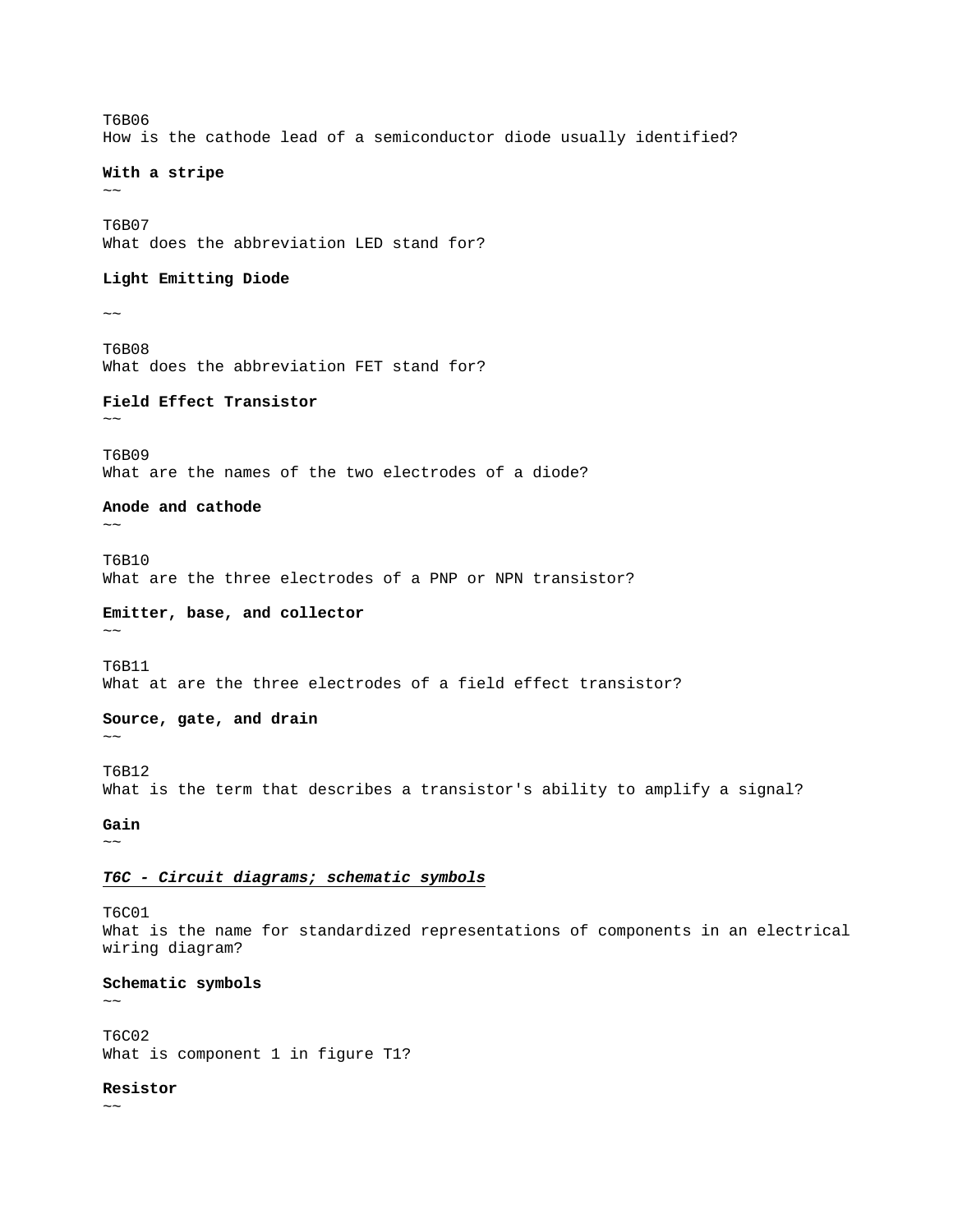How is the cathode lead of a semiconductor diode usually identified? **With a stripe**  $\sim\!\sim$ T6B07 What does the abbreviation LED stand for? **Light Emitting Diode**  $\sim\sim$ T6B08 What does the abbreviation FET stand for? **Field Effect Transistor**  $\sim$   $\sim$ T6B09 What are the names of the two electrodes of a diode? **Anode and cathode**  $\sim\, \sim$ T6B10 What are the three electrodes of a PNP or NPN transistor? **Emitter, base, and collector**  $\sim\sim$ T6B11 What at are the three electrodes of a field effect transistor? **Source, gate, and drain**  $\sim\,$   $\sim$ T6B12 What is the term that describes a transistor's ability to amplify a signal? **Gain**  $\sim$   $\sim$ *T6C - Circuit diagrams; schematic symbols*  T6C01 What is the name for standardized representations of components in an electrical wiring diagram? **Schematic symbols**  $\sim\sim$ T6C02 What is component 1 in figure T1? **Resistor**  $\sim\sim$ 

T6B06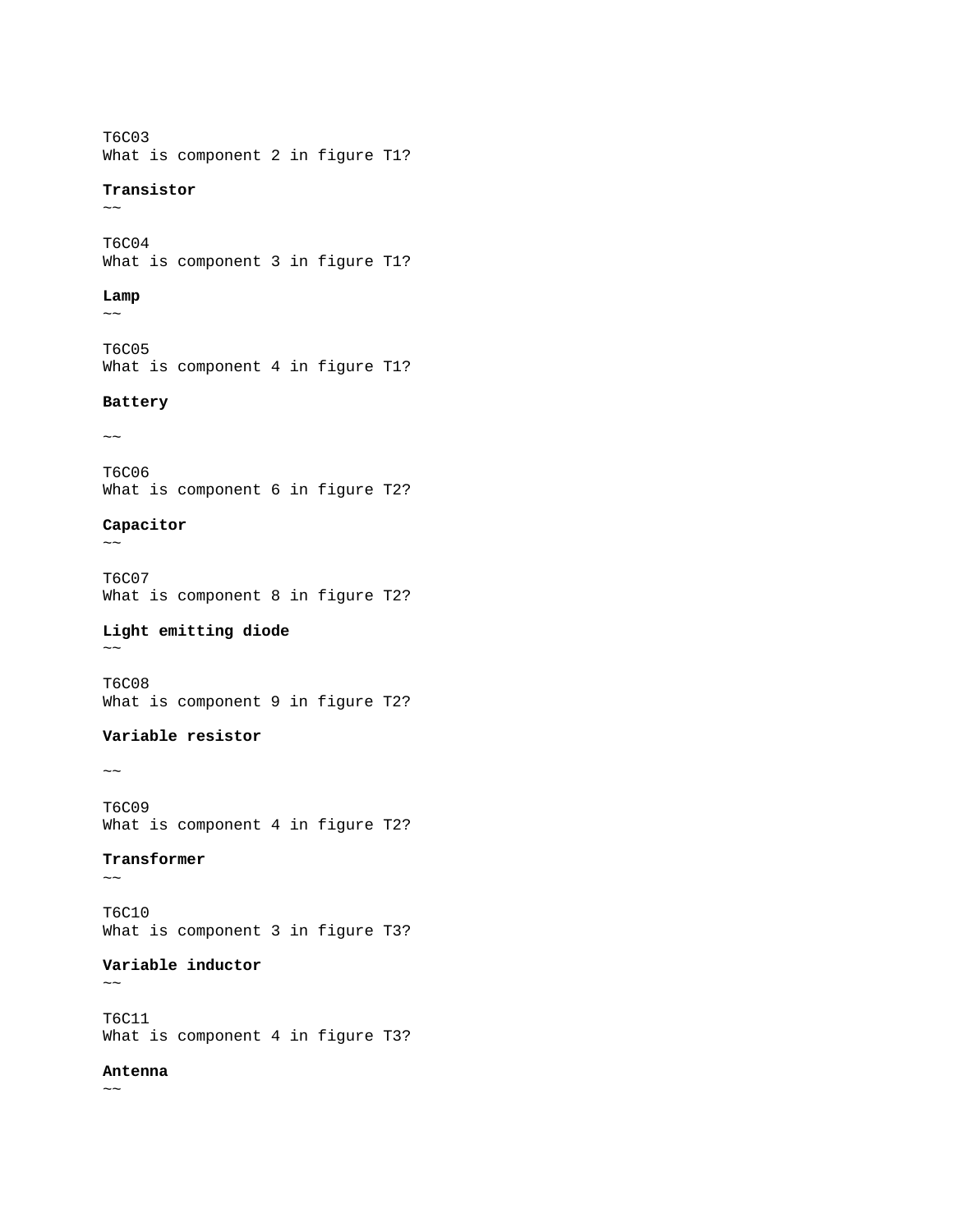T6C03 What is component 2 in figure T1?

# **Transistor**

 $\sim\,$ 

T6C04 What is component 3 in figure T1?

### **Lamp**

 $\sim$   $\sim$ 

T6C05 What is component 4 in figure T1?

# **Battery**

 $\sim\, \sim$ 

T6C06 What is component 6 in figure T2?

# **Capacitor**

 $\sim\!\sim$ 

T6C07 What is component 8 in figure T2?

### **Light emitting diode**

 $\sim$   $\sim$ 

T6C08 What is component 9 in figure T2?

# **Variable resistor**

 $\sim\sim$ 

T6C09 What is component 4 in figure T2?

# **Transformer**

 $\sim\, \sim$ 

T6C10 What is component 3 in figure T3?

# **Variable inductor**

 $\sim$   $\sim$ 

T6C11 What is component 4 in figure T3?

### **Antenna**

 $\sim\, \sim$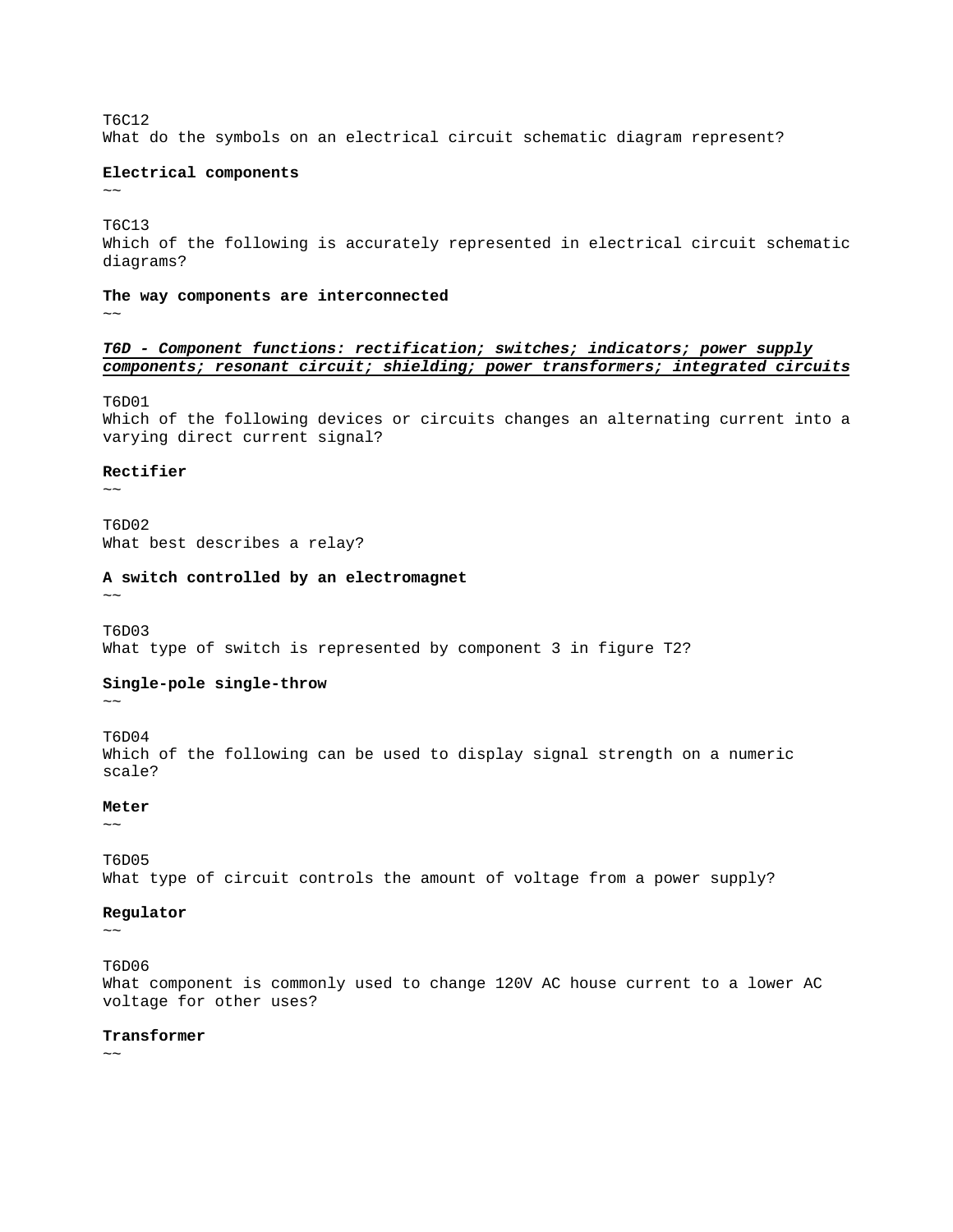T6C12

What do the symbols on an electrical circuit schematic diagram represent?

# **Electrical components**

 $\sim\!\sim$ 

T6C13

Which of the following is accurately represented in electrical circuit schematic diagrams?

# **The way components are interconnected**

 $\sim\sim$ 

# *T6D - Component functions: rectification; switches; indicators; power supply components; resonant circuit; shielding; power transformers; integrated circuits*

T6D01

Which of the following devices or circuits changes an alternating current into a varying direct current signal?

### **Rectifier**

 $\sim$   $\sim$ 

T6D02 What best describes a relay?

#### **A switch controlled by an electromagnet**

 $\sim\sim$ 

T6D03 What type of switch is represented by component 3 in figure T2?

### **Single-pole single-throw**

 $\sim\sim$ 

T6D04 Which of the following can be used to display signal strength on a numeric scale?

#### **Meter**

 $\sim\sim$ 

#### T6D05

What type of circuit controls the amount of voltage from a power supply?

#### **Regulator**

 $\sim\sim$ 

T6D06

What component is commonly used to change 120V AC house current to a lower AC voltage for other uses?

# **Transformer**

 $\sim\sim$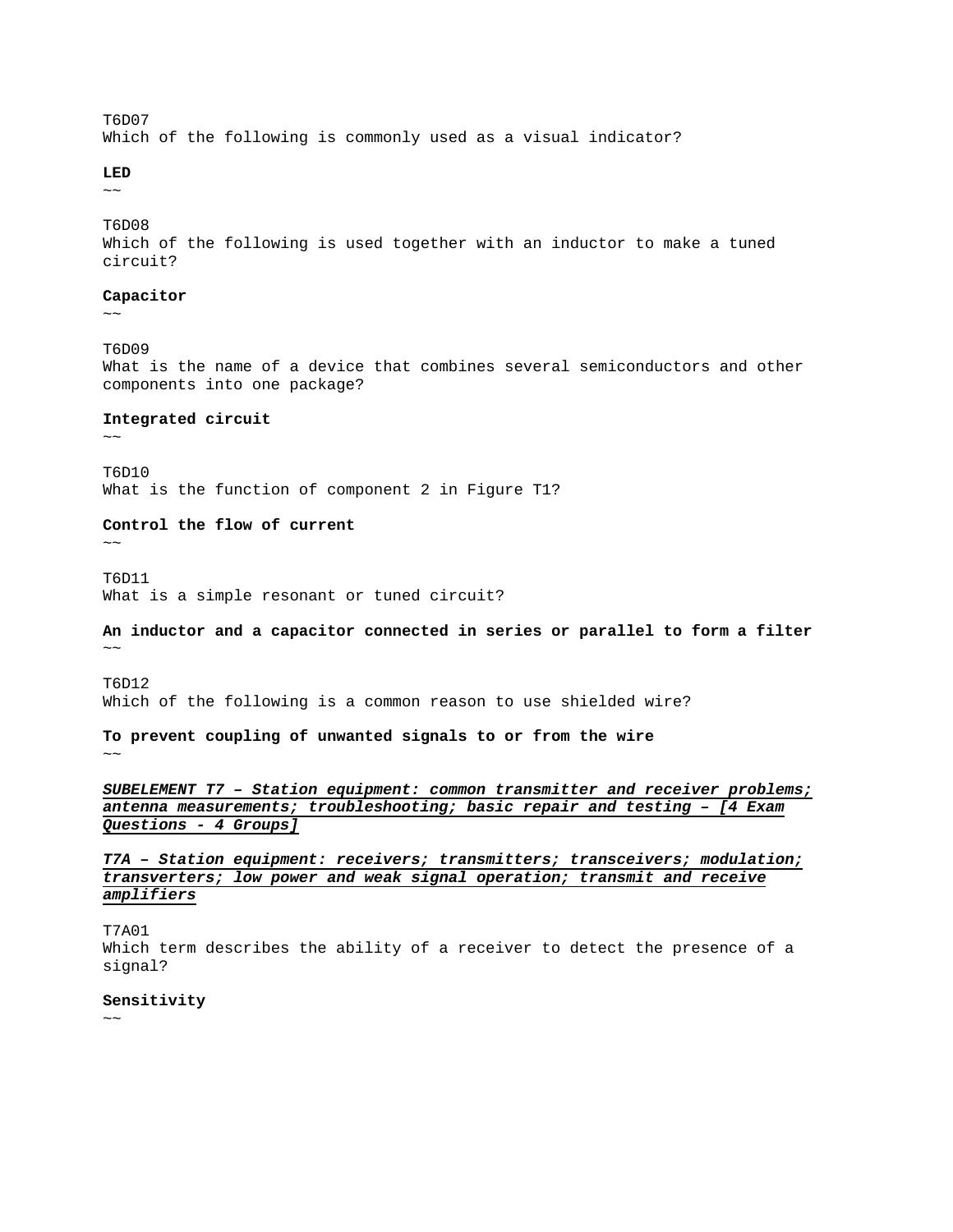T6D07 Which of the following is commonly used as a visual indicator?

**LED**

 $\sim\sim$ 

T6D08 Which of the following is used together with an inductor to make a tuned circuit?

#### **Capacitor**

 $\sim$   $\sim$ 

T6D09 What is the name of a device that combines several semiconductors and other components into one package?

### **Integrated circuit**

 $\sim\!\sim$ 

T6D10 What is the function of component 2 in Figure T1?

#### **Control the flow of current**

 $\sim\sim$ 

T6D11 What is a simple resonant or tuned circuit?

**An inductor and a capacitor connected in series or parallel to form a filter**  $\sim\sim$ 

T6D12 Which of the following is a common reason to use shielded wire?

**To prevent coupling of unwanted signals to or from the wire**  $\sim\sim$ 

*SUBELEMENT T7 – Station equipment: common transmitter and receiver problems; antenna measurements; troubleshooting; basic repair and testing – [4 Exam Questions - 4 Groups]*

# *T7A – Station equipment: receivers; transmitters; transceivers; modulation; transverters; low power and weak signal operation; transmit and receive amplifiers*

T7A01

Which term describes the ability of a receiver to detect the presence of a signal?

#### **Sensitivity**

 $\sim\sim$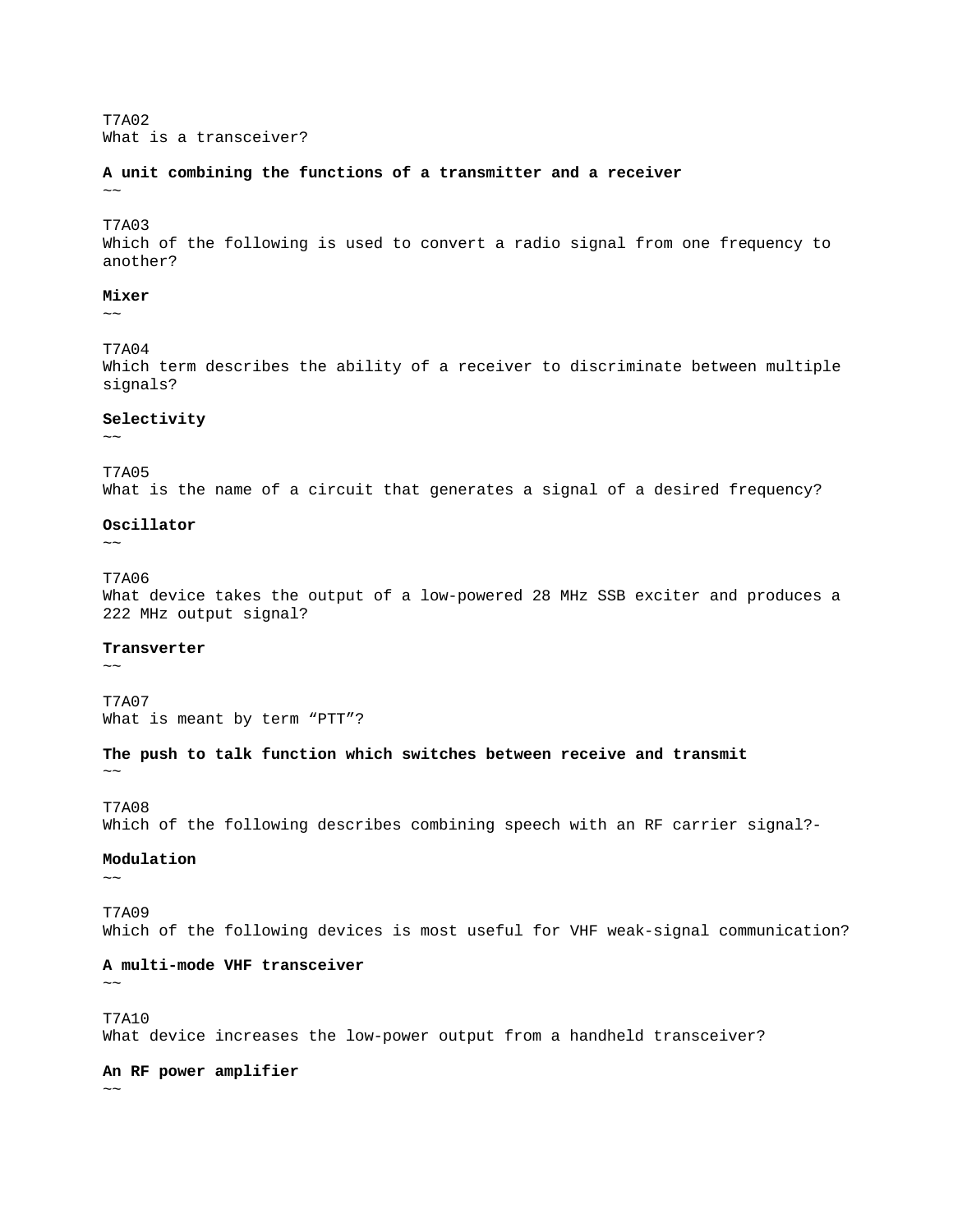T7A02 What is a transceiver?

# **A unit combining the functions of a transmitter and a receiver**

 $\sim\!\sim$ 

T7A03 Which of the following is used to convert a radio signal from one frequency to another?

#### **Mixer**

 $\sim$   $\sim$ 

T7A04

Which term describes the ability of a receiver to discriminate between multiple signals?

### **Selectivity**

 $\sim\!\sim$ 

T7A05

What is the name of a circuit that generates a signal of a desired frequency?

#### **Oscillator**

 $\sim\,$   $\sim$ 

#### T7A06

What device takes the output of a low-powered 28 MHz SSB exciter and produces a 222 MHz output signal?

#### **Transverter**

 $\sim$   $\sim$ 

T7A07 What is meant by term "PTT"?

**The push to talk function which switches between receive and transmit**  $\sim\,$   $\sim$ 

T7A08 Which of the following describes combining speech with an RF carrier signal?-

#### **Modulation**

 $\sim\sim$ 

T7A09 Which of the following devices is most useful for VHF weak-signal communication?

# **A multi-mode VHF transceiver**

 $\sim$   $\sim$ 

T7A10 What device increases the low-power output from a handheld transceiver?

**An RF power amplifier**  $\sim$   $\sim$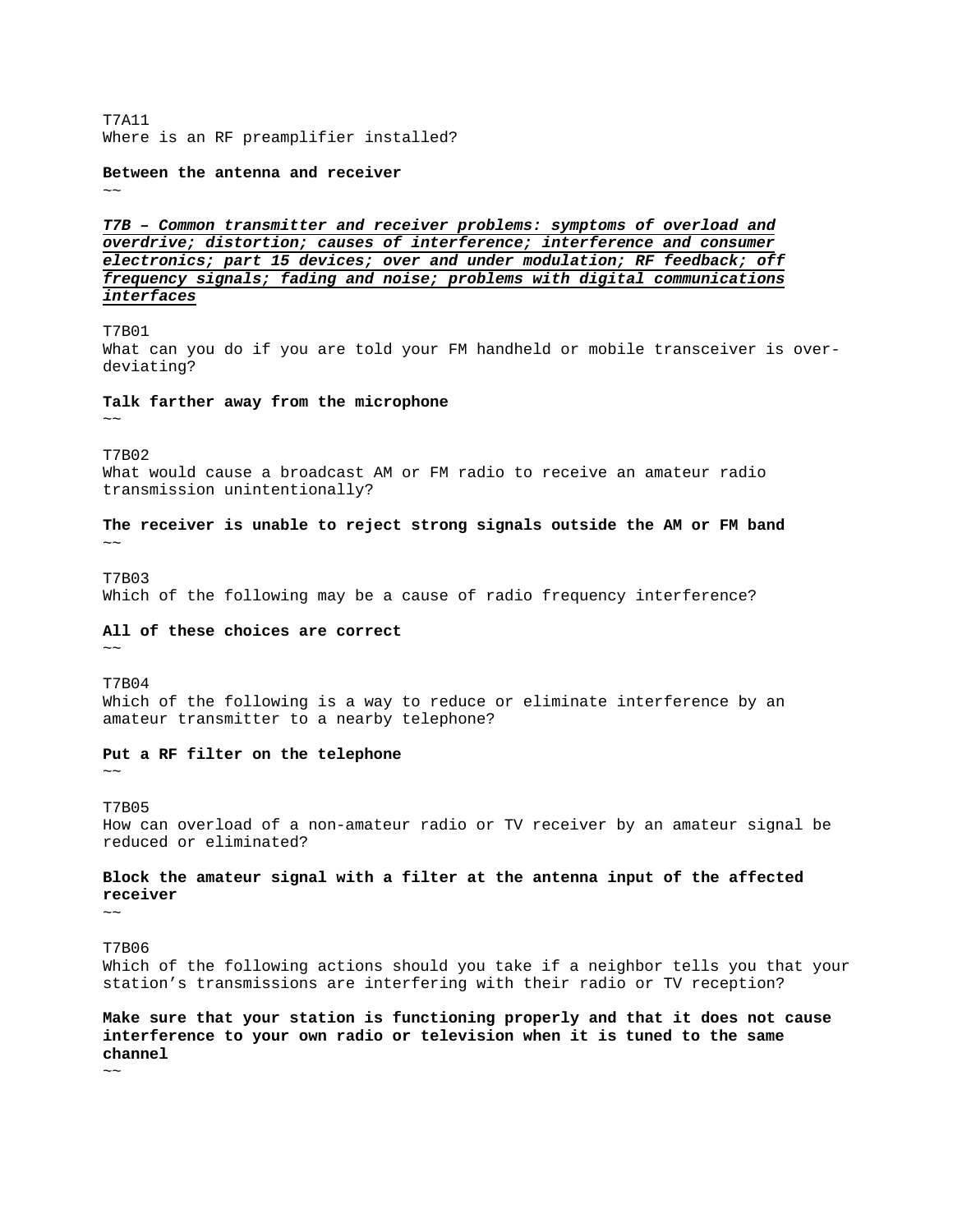T7A11 Where is an RF preamplifier installed?

**Between the antenna and receiver**  $\sim\sim$ 

*T7B – Common transmitter and receiver problems: symptoms of overload and overdrive; distortion; causes of interference; interference and consumer electronics; part 15 devices; over and under modulation; RF feedback; off frequency signals; fading and noise; problems with digital communications interfaces* 

T7B01

What can you do if you are told your FM handheld or mobile transceiver is overdeviating?

#### **Talk farther away from the microphone**

 $\sim\sim$ 

T7B02

What would cause a broadcast AM or FM radio to receive an amateur radio transmission unintentionally?

**The receiver is unable to reject strong signals outside the AM or FM band**  $\sim\sim$ 

T7B03

Which of the following may be a cause of radio frequency interference?

#### **All of these choices are correct**

 $\sim\sim$ 

T7B04 Which of the following is a way to reduce or eliminate interference by an amateur transmitter to a nearby telephone?

#### **Put a RF filter on the telephone**

 $\sim\sim$ 

T7B05

How can overload of a non-amateur radio or TV receiver by an amateur signal be reduced or eliminated?

# **Block the amateur signal with a filter at the antenna input of the affected receiver**

 $\sim$  ~

T7B06 Which of the following actions should you take if a neighbor tells you that your station's transmissions are interfering with their radio or TV reception?

**Make sure that your station is functioning properly and that it does not cause interference to your own radio or television when it is tuned to the same channel** 

 $\sim\!\sim$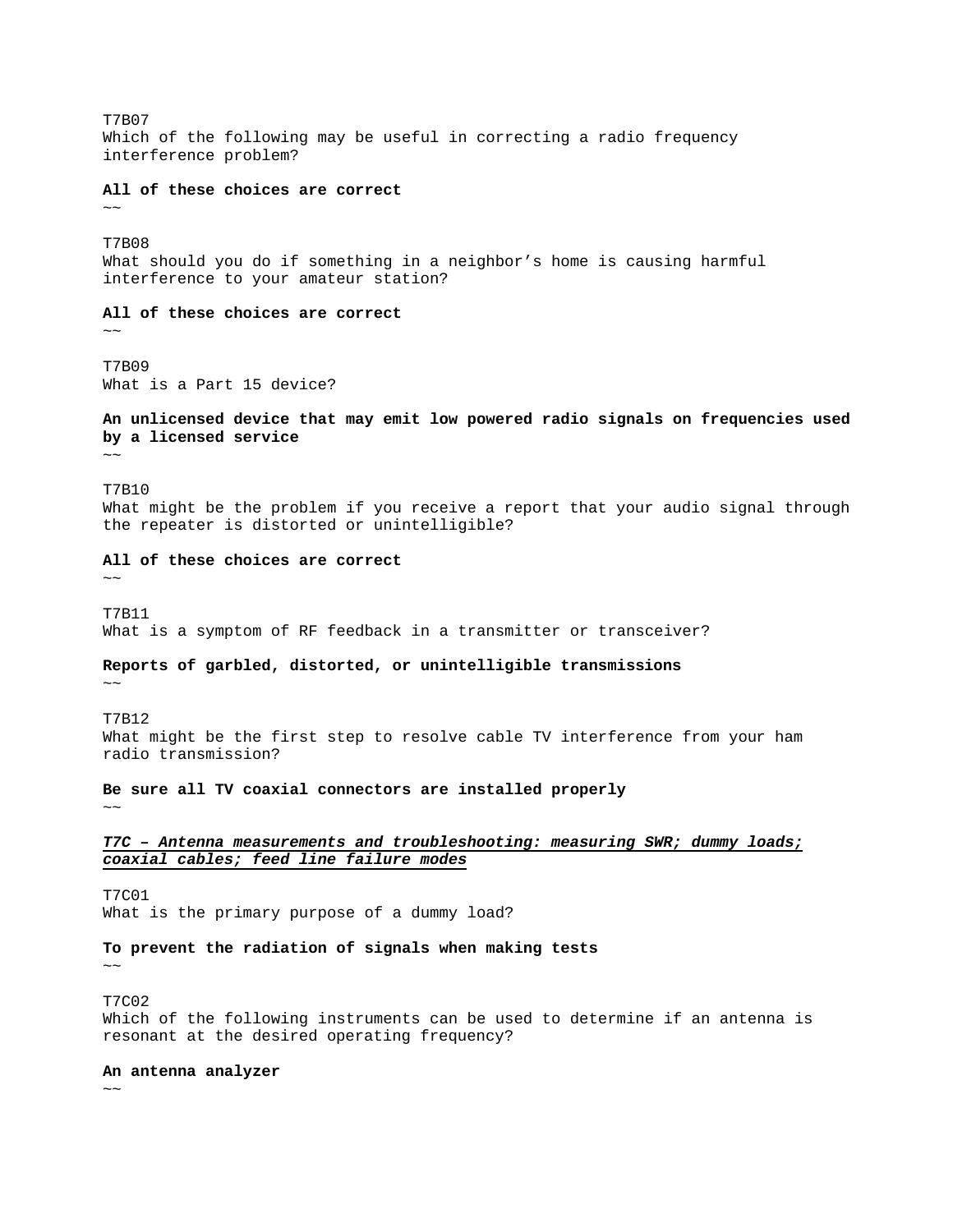T7B07 Which of the following may be useful in correcting a radio frequency interference problem? **All of these choices are correct**  $\sim\sim$ T7B08 What should you do if something in a neighbor's home is causing harmful interference to your amateur station? **All of these choices are correct**  $\sim$   $\sim$ T7B09 What is a Part 15 device? **An unlicensed device that may emit low powered radio signals on frequencies used by a licensed service**  $\sim\, \sim$ T7B10 What might be the problem if you receive a report that your audio signal through the repeater is distorted or unintelligible? **All of these choices are correct**  $\sim\sim$ T7B11 What is a symptom of RF feedback in a transmitter or transceiver? **Reports of garbled, distorted, or unintelligible transmissions**  $\sim$   $\sim$ T7B12 What might be the first step to resolve cable TV interference from your ham radio transmission? **Be sure all TV coaxial connectors are installed properly**  $\sim$   $\sim$ *T7C – Antenna measurements and troubleshooting: measuring SWR; dummy loads; coaxial cables; feed line failure modes*  T7C01 What is the primary purpose of a dummy load? **To prevent the radiation of signals when making tests**  $\sim$  ~ T7C02 Which of the following instruments can be used to determine if an antenna is resonant at the desired operating frequency? **An antenna analyzer**  $\sim$   $\sim$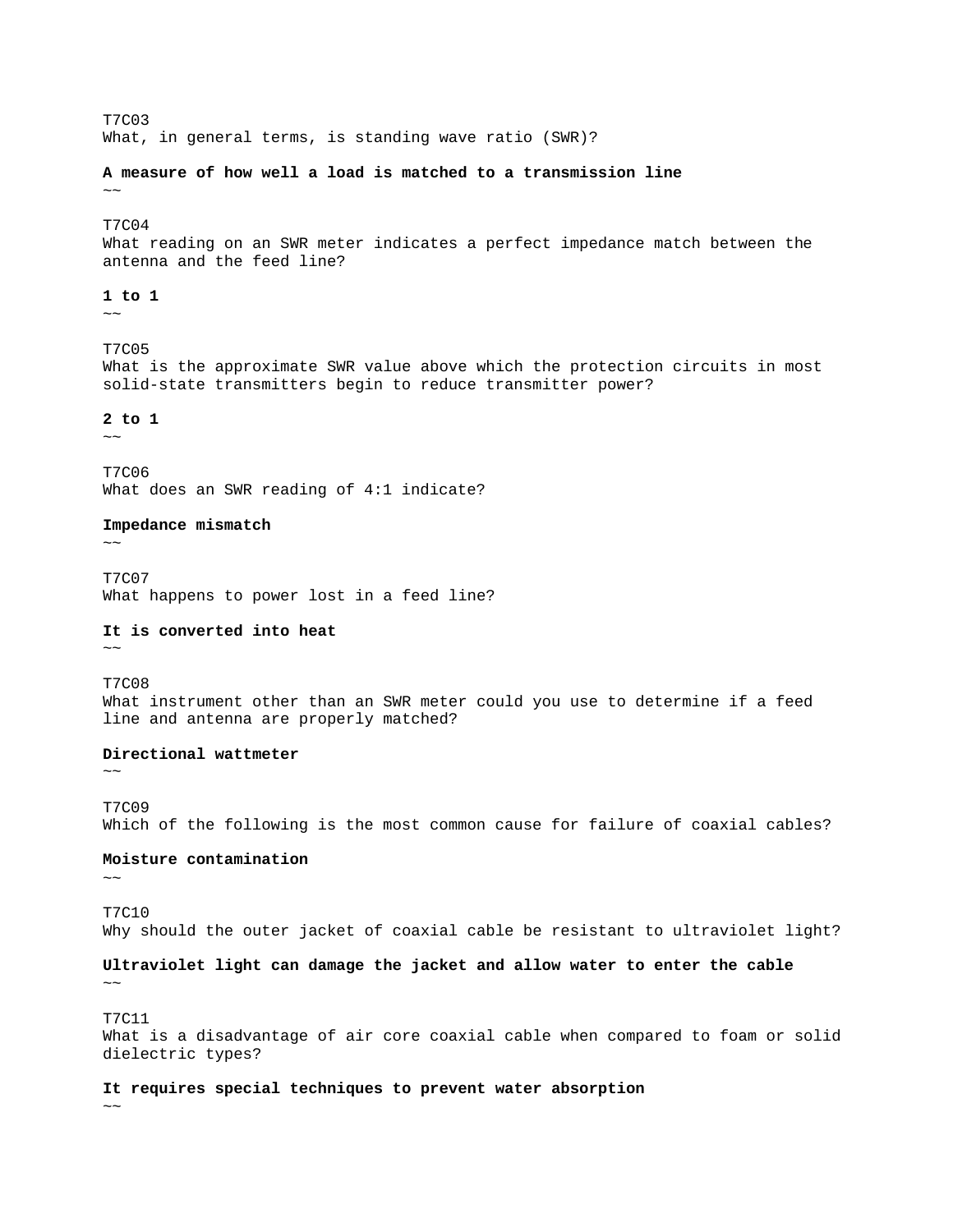T7C03 What, in general terms, is standing wave ratio (SWR)? **A measure of how well a load is matched to a transmission line**  $\sim$   $\sim$ T7C04 What reading on an SWR meter indicates a perfect impedance match between the antenna and the feed line? **1 to 1**  $\sim$   $\sim$ T7C05 What is the approximate SWR value above which the protection circuits in most solid-state transmitters begin to reduce transmitter power? **2 to 1**  $\sim\sim$ T7C06 What does an SWR reading of 4:1 indicate? **Impedance mismatch**  $\sim\,$   $\sim$ T7C07 What happens to power lost in a feed line? **It is converted into heat**  $\sim\sim$ T7C08 What instrument other than an SWR meter could you use to determine if a feed line and antenna are properly matched? **Directional wattmeter**  $\sim\sim$ T7C09 Which of the following is the most common cause for failure of coaxial cables? **Moisture contamination**  $\sim\!\sim$ T7C10 Why should the outer jacket of coaxial cable be resistant to ultraviolet light? **Ultraviolet light can damage the jacket and allow water to enter the cable**  $\sim$   $\sim$ T7C11 What is a disadvantage of air core coaxial cable when compared to foam or solid dielectric types? **It requires special techniques to prevent water absorption**  $\sim$   $\sim$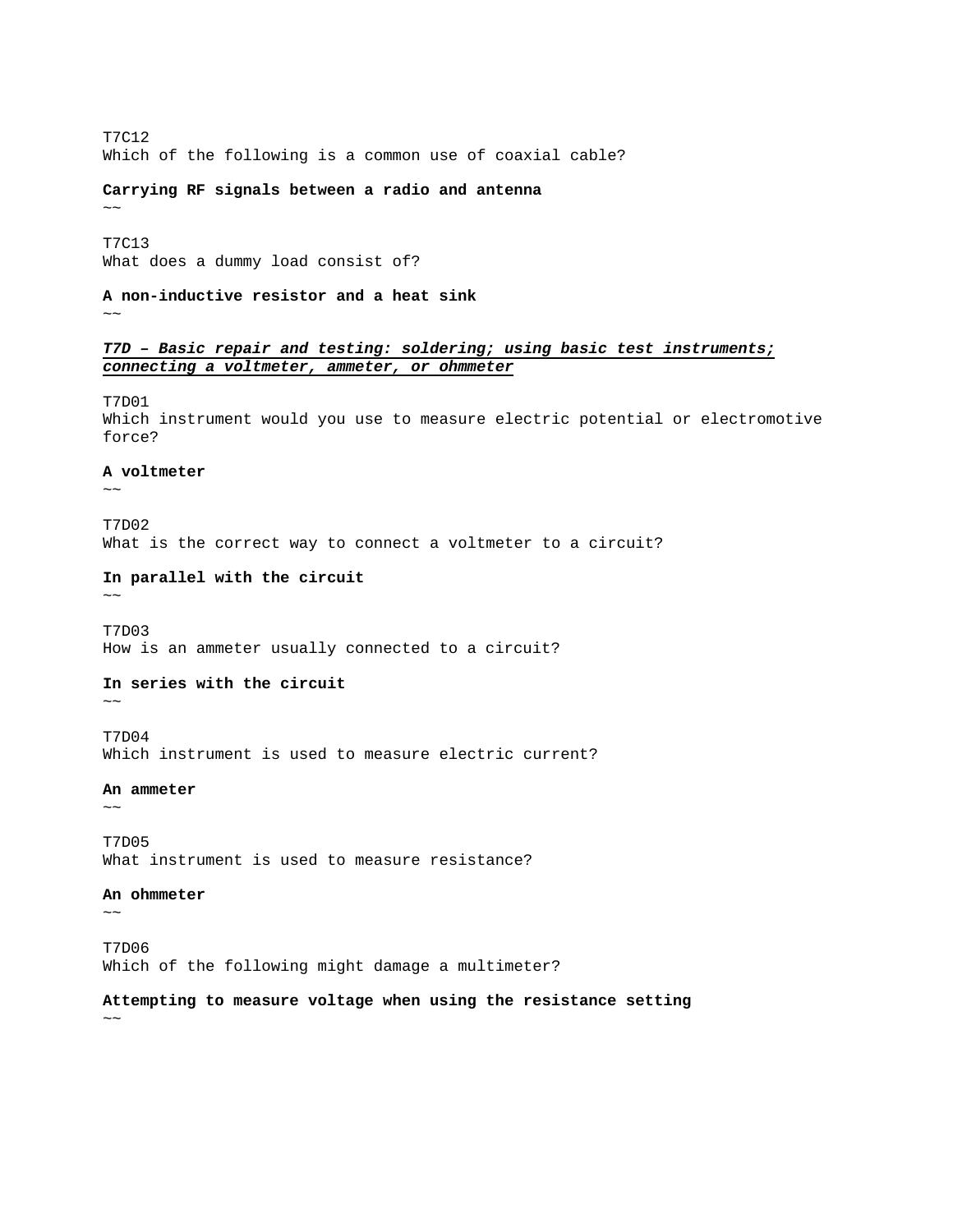T7C12 Which of the following is a common use of coaxial cable?

**Carrying RF signals between a radio and antenna**

T7C13 What does a dummy load consist of?

# **A non-inductive resistor and a heat sink**

 $\sim\sim$ 

 $\sim\, \sim$ 

# *T7D – Basic repair and testing: soldering; using basic test instruments; connecting a voltmeter, ammeter, or ohmmeter*

#### T7D01

Which instrument would you use to measure electric potential or electromotive force?

#### **A voltmeter**

 $\sim\sim$ 

T7D02 What is the correct way to connect a voltmeter to a circuit?

#### **In parallel with the circuit**

 $\sim\sim$ 

T7D03 How is an ammeter usually connected to a circuit?

# **In series with the circuit**

 $\sim\sim$ 

T7D04 Which instrument is used to measure electric current?

### **An ammeter**

 $\sim$   $\sim$ 

T7D05 What instrument is used to measure resistance?

#### **An ohmmeter**

 $\sim\sim$ 

T7D06 Which of the following might damage a multimeter?

**Attempting to measure voltage when using the resistance setting**  $\sim\sim$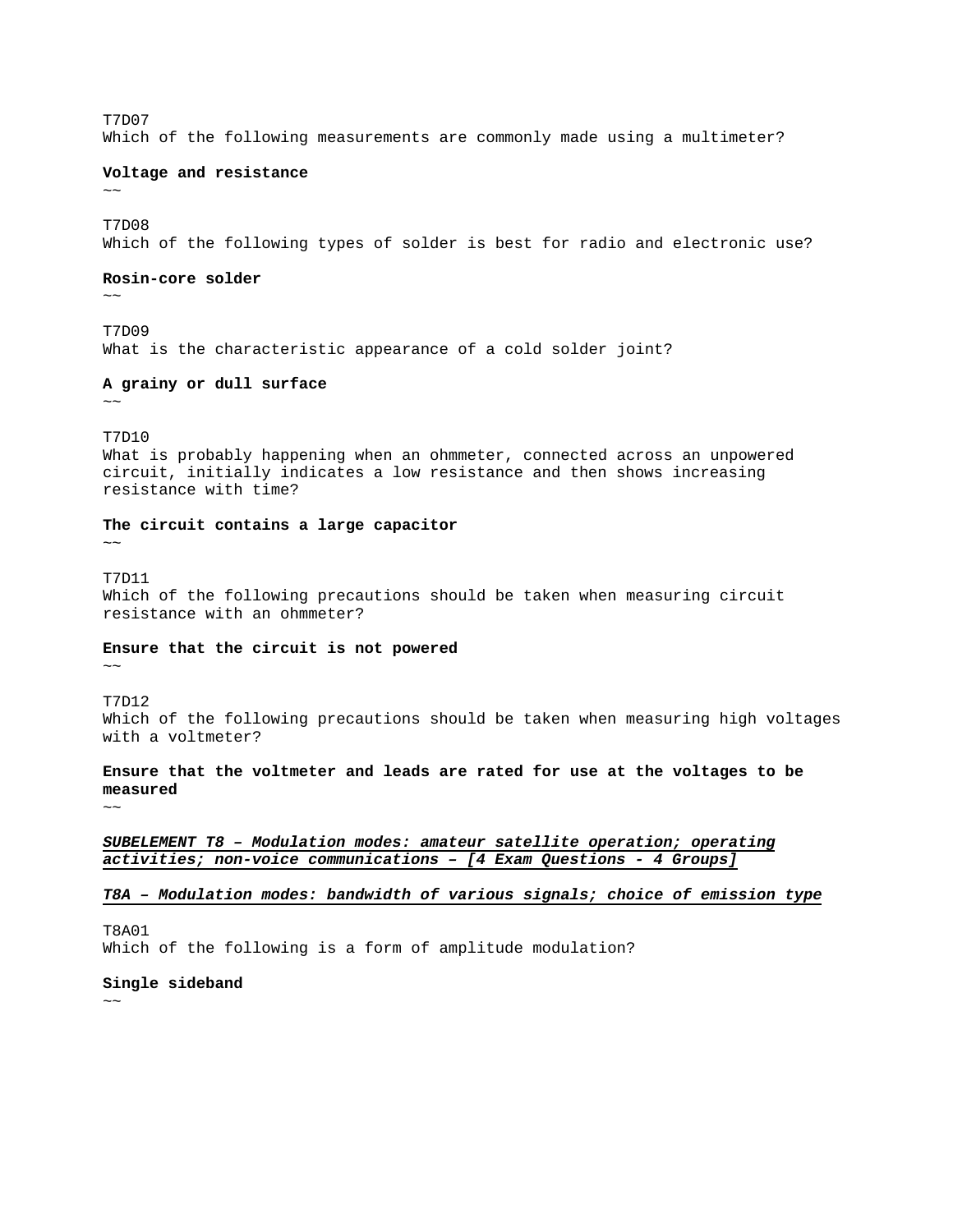T7D07

Which of the following measurements are commonly made using a multimeter?

### **Voltage and resistance**

 $\sim\!\sim$ 

T7D08

Which of the following types of solder is best for radio and electronic use?

#### **Rosin-core solder**

 $\sim\sim$ 

T7D09

What is the characteristic appearance of a cold solder joint?

# **A grainy or dull surface**

 $\sim\, \sim$ 

T7D10

What is probably happening when an ohmmeter, connected across an unpowered circuit, initially indicates a low resistance and then shows increasing resistance with time?

#### **The circuit contains a large capacitor**

 $\sim\, \sim$ 

T7D11 Which of the following precautions should be taken when measuring circuit resistance with an ohmmeter?

#### **Ensure that the circuit is not powered**

 $\sim\sim$ 

T7D12 Which of the following precautions should be taken when measuring high voltages with a voltmeter?

**Ensure that the voltmeter and leads are rated for use at the voltages to be measured**

 $\sim\sim$ 

*SUBELEMENT T8 – Modulation modes: amateur satellite operation; operating activities; non-voice communications – [4 Exam Questions - 4 Groups]*

# *T8A – Modulation modes: bandwidth of various signals; choice of emission type*

T8A01

Which of the following is a form of amplitude modulation?

#### **Single sideband**

 $\sim$   $\sim$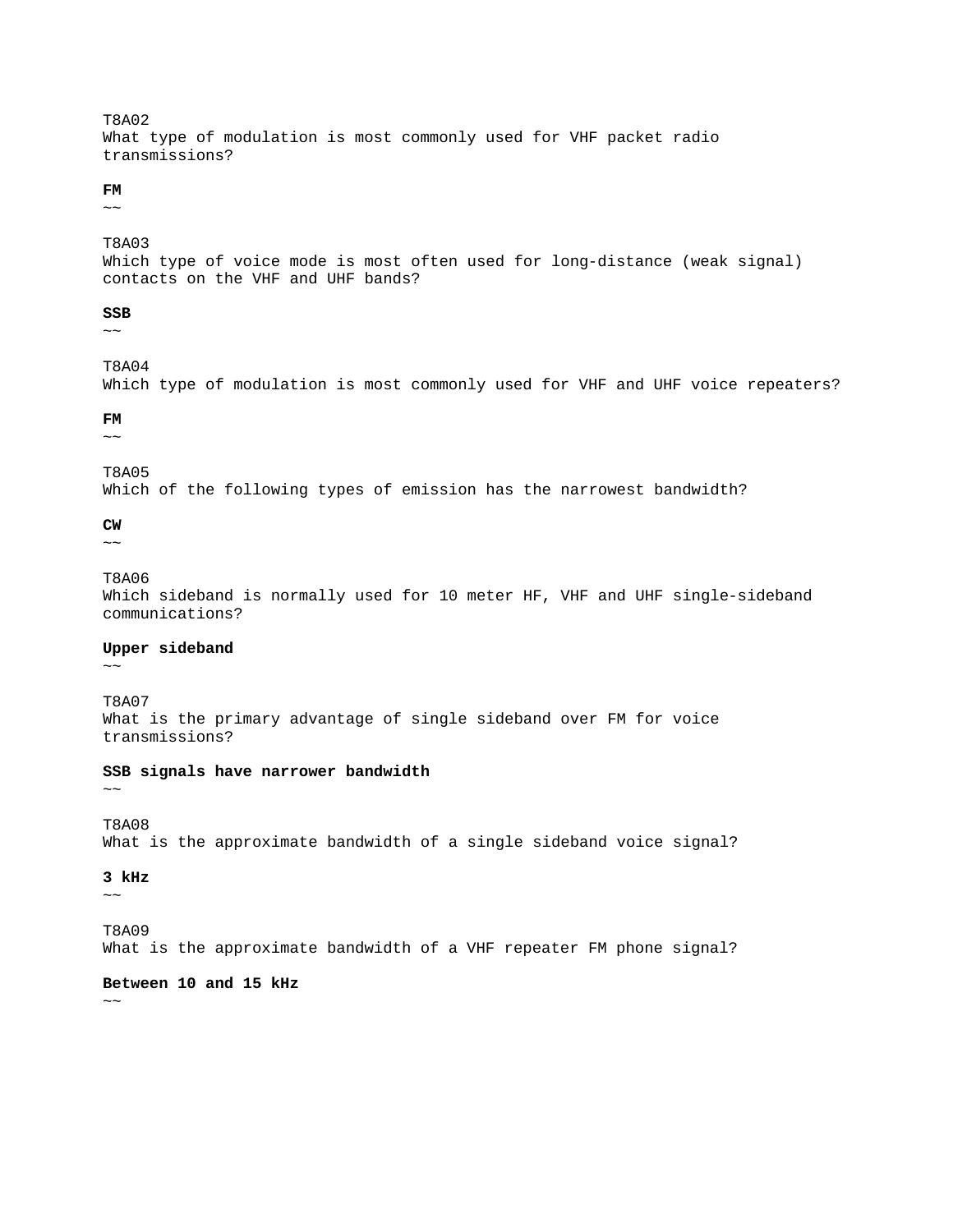What type of modulation is most commonly used for VHF packet radio transmissions? **FM**  $\sim\, \sim$ T8A03 Which type of voice mode is most often used for long-distance (weak signal) contacts on the VHF and UHF bands? **SSB**  $\sim\sim$ T8A04 Which type of modulation is most commonly used for VHF and UHF voice repeaters? **FM**  $\sim\sim$ T8A05 Which of the following types of emission has the narrowest bandwidth? **CW**  $\sim\, \sim$ T8A06 Which sideband is normally used for 10 meter HF, VHF and UHF single-sideband communications? **Upper sideband**  $\sim\sim$ T8A07 What is the primary advantage of single sideband over FM for voice transmissions?

# **SSB signals have narrower bandwidth**

 $\sim\!\sim$ 

T8A08 What is the approximate bandwidth of a single sideband voice signal?

#### **3 kHz**

 $\sim\sim$ 

T8A09 What is the approximate bandwidth of a VHF repeater FM phone signal?

# **Between 10 and 15 kHz**

 $\sim$   $\sim$ 

# T8A02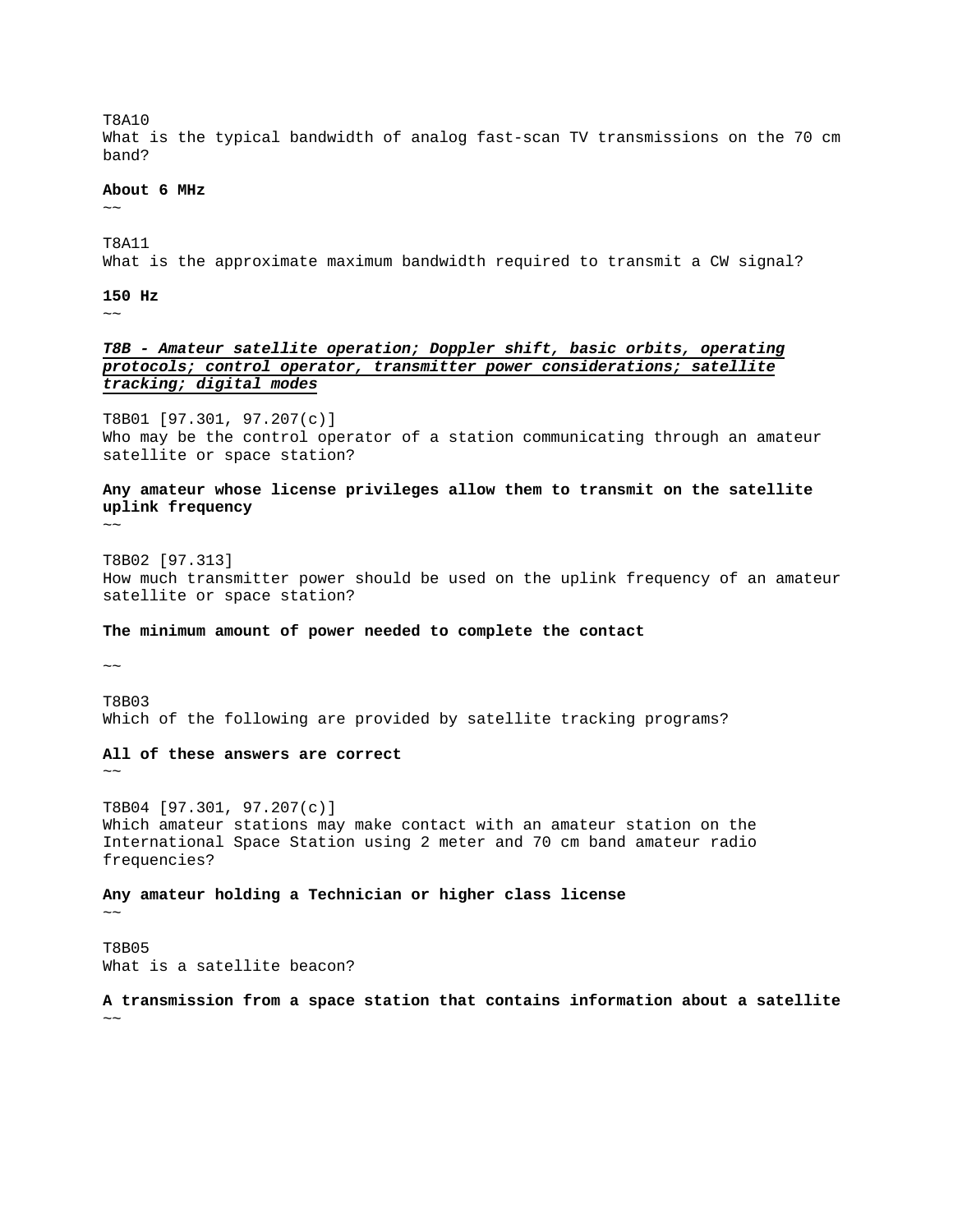T8A10

What is the typical bandwidth of analog fast-scan TV transmissions on the 70 cm band?

### **About 6 MHz**

 $\sim\,$ 

T8A11

What is the approximate maximum bandwidth required to transmit a CW signal?

#### **150 Hz**

 $\sim\sim$ 

# *T8B - Amateur satellite operation; Doppler shift, basic orbits, operating protocols; control operator, transmitter power considerations; satellite tracking; digital modes*

T8B01 [97.301, 97.207(c)] Who may be the control operator of a station communicating through an amateur satellite or space station?

**Any amateur whose license privileges allow them to transmit on the satellite uplink frequency**

 $\sim\, \sim$ 

T8B02 [97.313] How much transmitter power should be used on the uplink frequency of an amateur satellite or space station?

#### **The minimum amount of power needed to complete the contact**

 $\sim\sim$ 

T8B03 Which of the following are provided by satellite tracking programs?

### **All of these answers are correct**

 $\sim\sim$ 

T8B04 [97.301, 97.207(c)] Which amateur stations may make contact with an amateur station on the International Space Station using 2 meter and 70 cm band amateur radio frequencies?

**Any amateur holding a Technician or higher class license**  $\sim\sim$ 

T8B05 What is a satellite beacon?

**A transmission from a space station that contains information about a satellite**  $\sim\sim$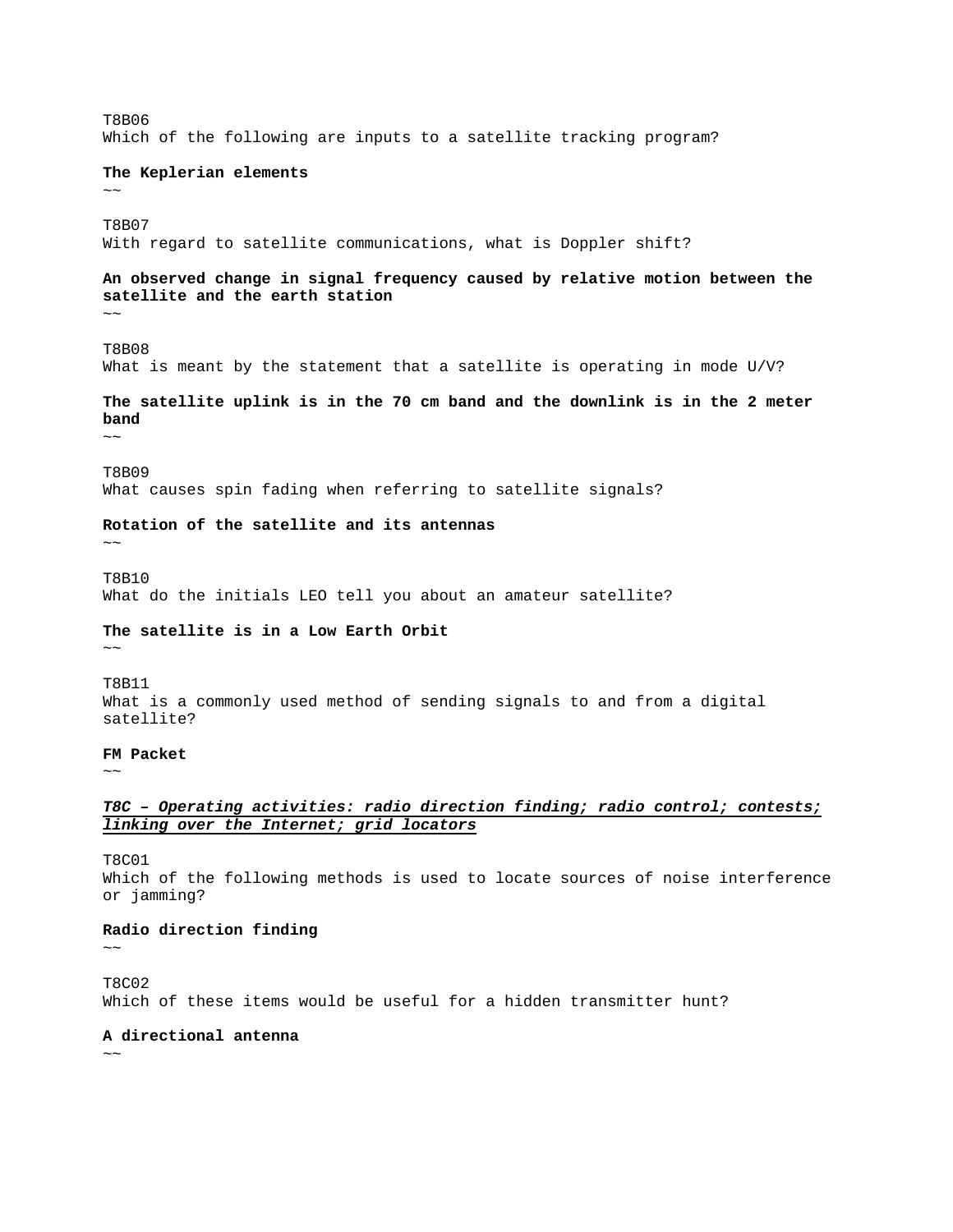T8B06 Which of the following are inputs to a satellite tracking program? **The Keplerian elements**  $\sim$   $\sim$ T8B07 With regard to satellite communications, what is Doppler shift? **An observed change in signal frequency caused by relative motion between the satellite and the earth station**  $\sim\sim$ T8B08 What is meant by the statement that a satellite is operating in mode U/V? **The satellite uplink is in the 70 cm band and the downlink is in the 2 meter band**  $\sim$   $\sim$ T8B09 What causes spin fading when referring to satellite signals? **Rotation of the satellite and its antennas**  $\sim\sim$ T8B10 What do the initials LEO tell you about an amateur satellite? **The satellite is in a Low Earth Orbit**  $\sim\sim$ T8B11 What is a commonly used method of sending signals to and from a digital satellite? **FM Packet**  $\sim\sim$ *T8C – Operating activities: radio direction finding; radio control; contests; linking over the Internet; grid locators*  T8C01 Which of the following methods is used to locate sources of noise interference or jamming? **Radio direction finding**  $\sim\sim$ T8C02 Which of these items would be useful for a hidden transmitter hunt? **A directional antenna**  $\sim\sim$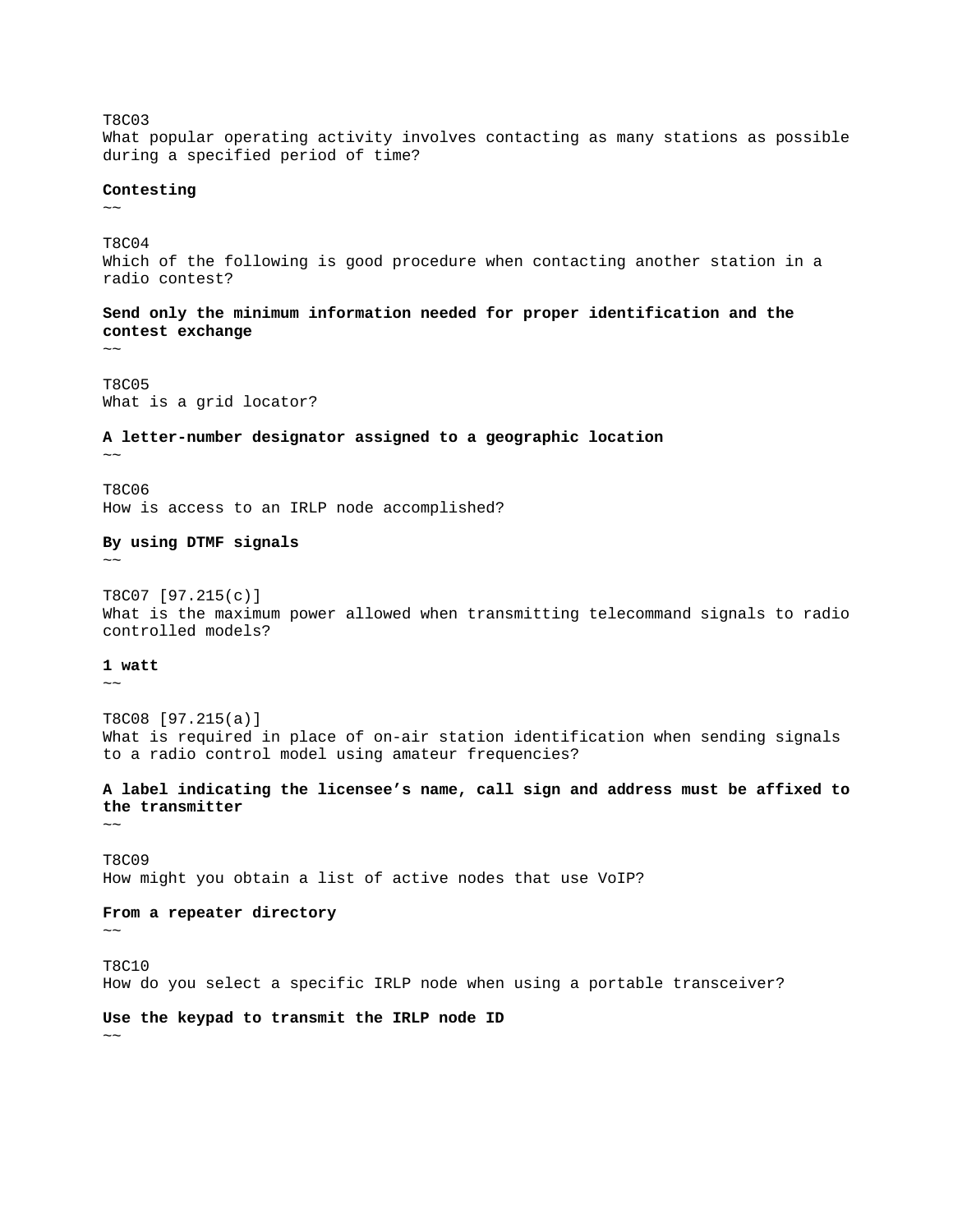T8C03 What popular operating activity involves contacting as many stations as possible during a specified period of time?

#### **Contesting**

 $\sim\, \sim$ 

 $\sim$   $\sim$ 

T8C04 Which of the following is good procedure when contacting another station in a radio contest?

**Send only the minimum information needed for proper identification and the contest exchange**

T8C05

What is a grid locator?

**A letter-number designator assigned to a geographic location**

```
\sim\, \sim
```
T8C06 How is access to an IRLP node accomplished?

# **By using DTMF signals**

 $\sim\, \sim$ 

T8C07 [97.215(c)] What is the maximum power allowed when transmitting telecommand signals to radio controlled models?

#### **1 watt**

 $\sim$   $\sim$ 

T8C08 [97.215(a)] What is required in place of on-air station identification when sending signals to a radio control model using amateur frequencies?

**A label indicating the licensee's name, call sign and address must be affixed to the transmitter**  $\sim$   $\sim$ 

T8C09 How might you obtain a list of active nodes that use VoIP?

# **From a repeater directory**

 $\sim\sim$ 

T8C10 How do you select a specific IRLP node when using a portable transceiver?

**Use the keypad to transmit the IRLP node ID**

 $\sim$   $\sim$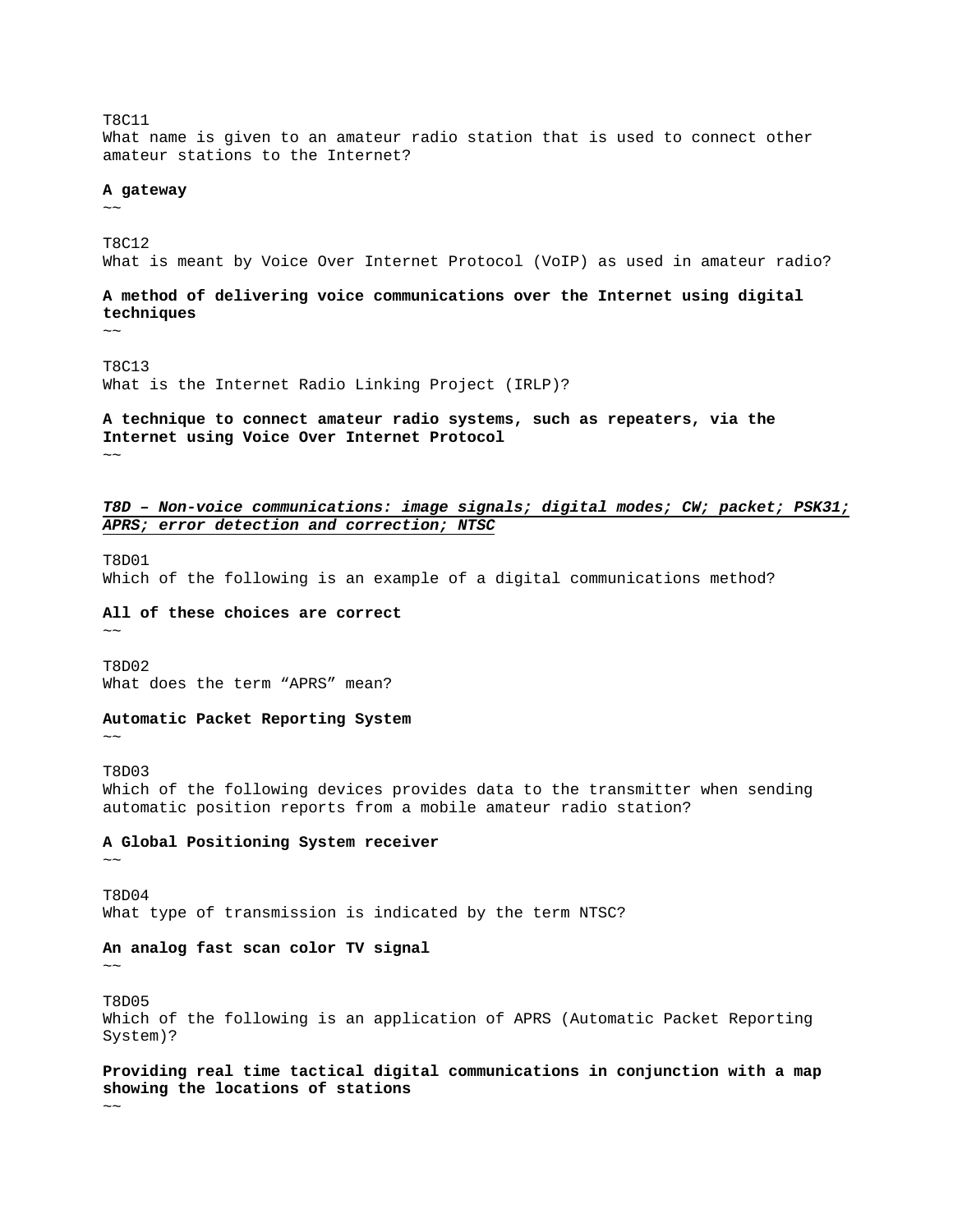What name is given to an amateur radio station that is used to connect other amateur stations to the Internet?

#### **A gateway**

 $\sim\, \sim$ 

T8C12 What is meant by Voice Over Internet Protocol (VoIP) as used in amateur radio?

# **A method of delivering voice communications over the Internet using digital techniques**

 $\sim$   $\sim$ 

T8C13 What is the Internet Radio Linking Project (IRLP)?

**A technique to connect amateur radio systems, such as repeaters, via the Internet using Voice Over Internet Protocol**  $\sim\,$   $\sim$ 

*T8D – Non-voice communications: image signals; digital modes; CW; packet; PSK31; APRS; error detection and correction; NTSC*

T8D01 Which of the following is an example of a digital communications method?

# **All of these choices are correct**

~~~~

T8D02 What does the term "APRS" mean?

### **Automatic Packet Reporting System**

 $\sim\sim$ 

T8D03 Which of the following devices provides data to the transmitter when sending automatic position reports from a mobile amateur radio station?

#### **A Global Positioning System receiver**

 $\sim\sim$ 

 $\sim$   $\sim$ 

T8D04 What type of transmission is indicated by the term NTSC?

# **An analog fast scan color TV signal**

T8D05 Which of the following is an application of APRS (Automatic Packet Reporting System)?

**Providing real time tactical digital communications in conjunction with a map showing the locations of stations**  $\sim$   $\sim$ 

T8C11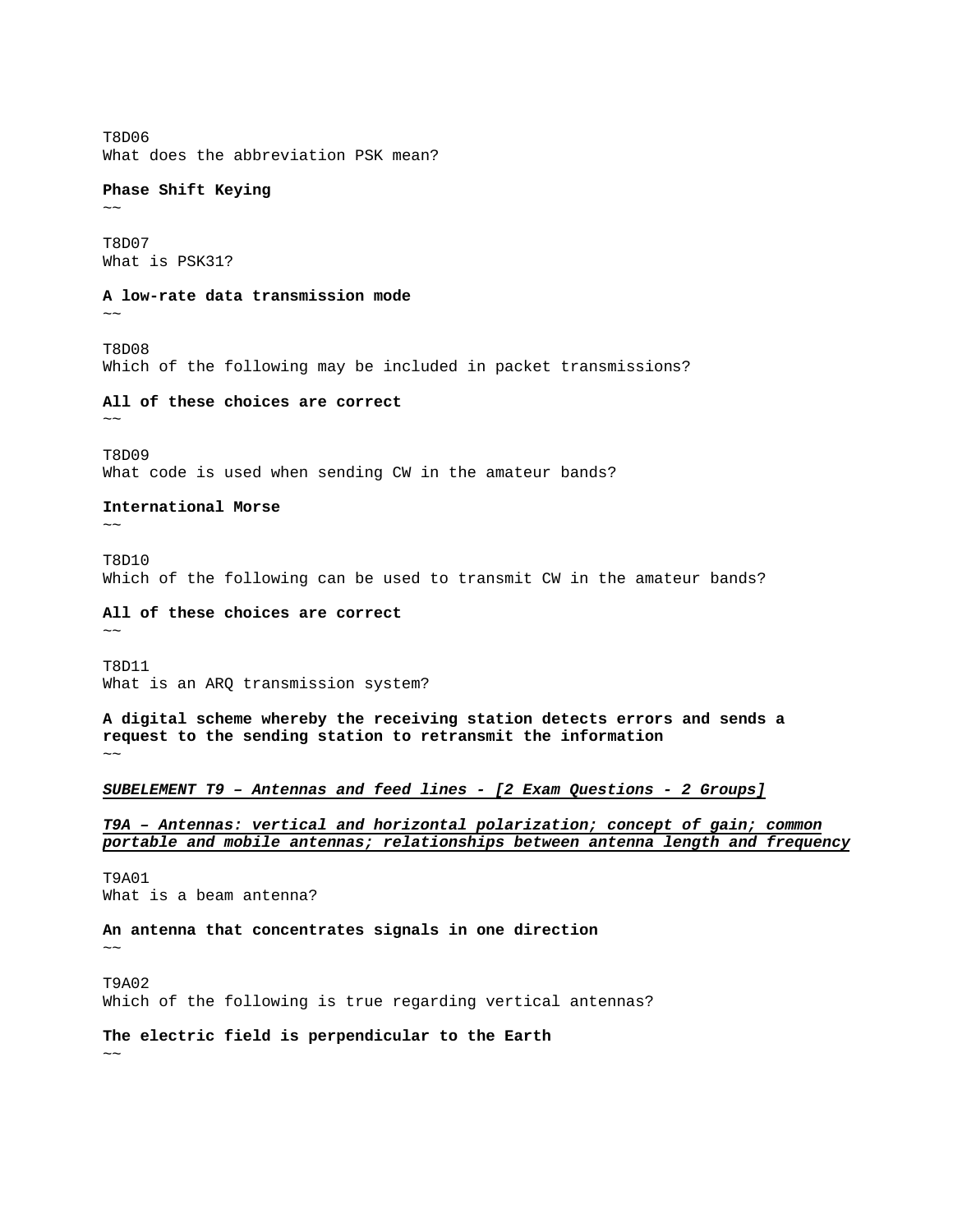T8D06 What does the abbreviation PSK mean?

# **Phase Shift Keying**

 $\sim\, \sim$ 

T8D07 What is PSK31?

# **A low-rate data transmission mode**

 $\sim$   $\sim$ 

T8D08 Which of the following may be included in packet transmissions?

# **All of these choices are correct**

 $\sim\sim$ 

T8D09

What code is used when sending CW in the amateur bands?

#### **International Morse**

 $\sim\, \sim$ 

~~~~

T8D10 Which of the following can be used to transmit CW in the amateur bands?

# **All of these choices are correct**

T8D11 What is an ARQ transmission system?

**A digital scheme whereby the receiving station detects errors and sends a request to the sending station to retransmit the information**   $\sim\sim$ 

*SUBELEMENT T9 – Antennas and feed lines - [2 Exam Questions - 2 Groups]*

# *T9A – Antennas: vertical and horizontal polarization; concept of gain; common portable and mobile antennas; relationships between antenna length and frequency*

T9A01 What is a beam antenna?

**An antenna that concentrates signals in one direction**  $\sim\sim$ 

T9A02 Which of the following is true regarding vertical antennas?

**The electric field is perpendicular to the Earth**  $\sim\sim$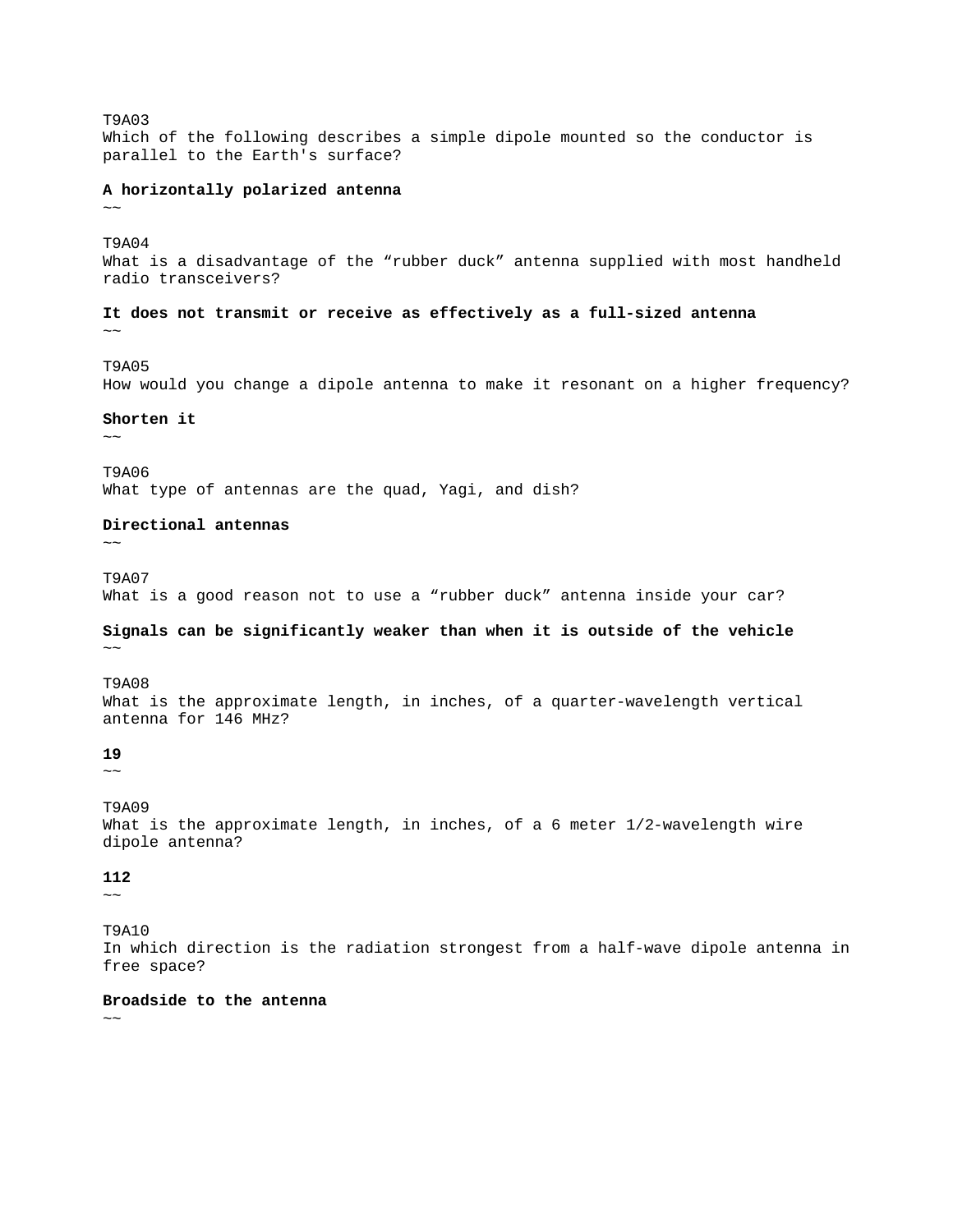T9A03 Which of the following describes a simple dipole mounted so the conductor is parallel to the Earth's surface? **A horizontally polarized antenna**  $\sim\, \sim$ T9A04 What is a disadvantage of the "rubber duck" antenna supplied with most handheld radio transceivers? **It does not transmit or receive as effectively as a full-sized antenna**  $\sim\sim$ T9A05 How would you change a dipole antenna to make it resonant on a higher frequency? **Shorten it**  $\sim\!\sim$ T9A06 What type of antennas are the quad, Yagi, and dish? **Directional antennas**  $\sim\sim$ T9A07 What is a good reason not to use a "rubber duck" antenna inside your car? **Signals can be significantly weaker than when it is outside of the vehicle**  $\sim\sim$ T9A08 What is the approximate length, in inches, of a quarter-wavelength vertical antenna for 146 MHz? **19**  $\sim\,$   $\sim$ T9A09 What is the approximate length, in inches, of a 6 meter 1/2-wavelength wire dipole antenna? **112**  $\sim$  ~ T9A10 In which direction is the radiation strongest from a half-wave dipole antenna in free space? **Broadside to the antenna**  $\sim\sim$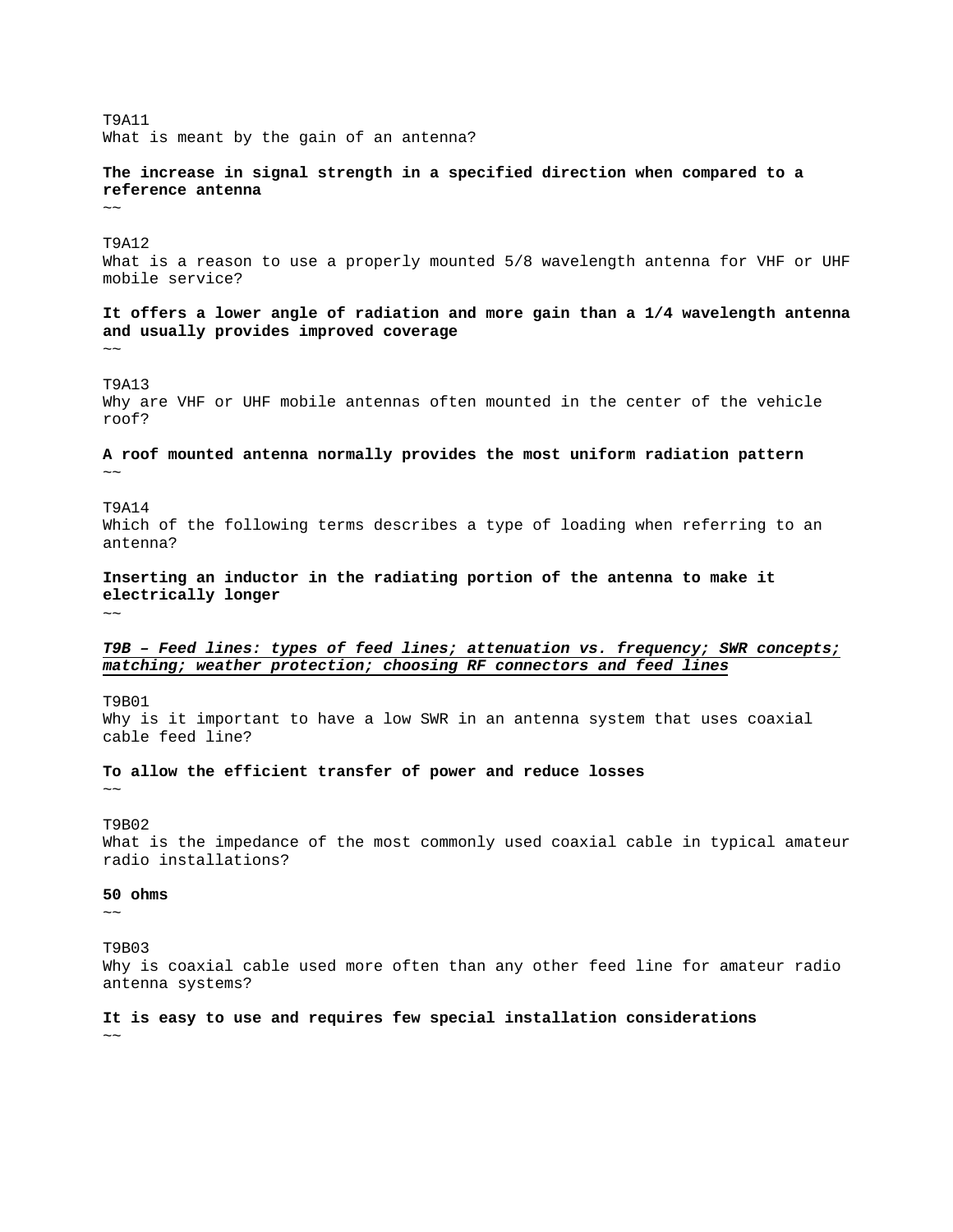T9A11 What is meant by the gain of an antenna?

**The increase in signal strength in a specified direction when compared to a reference antenna**  $\sim\sim$ T9A12 What is a reason to use a properly mounted 5/8 wavelength antenna for VHF or UHF mobile service? **It offers a lower angle of radiation and more gain than a 1/4 wavelength antenna and usually provides improved coverage**  $\sim$  ~ T9A13 Why are VHF or UHF mobile antennas often mounted in the center of the vehicle roof? **A roof mounted antenna normally provides the most uniform radiation pattern**   $\sim\sim$ T9A14 Which of the following terms describes a type of loading when referring to an antenna? **Inserting an inductor in the radiating portion of the antenna to make it electrically longer**  $\sim\sim$ *T9B – Feed lines: types of feed lines; attenuation vs. frequency; SWR concepts; matching; weather protection; choosing RF connectors and feed lines*  T9B01 Why is it important to have a low SWR in an antenna system that uses coaxial cable feed line? **To allow the efficient transfer of power and reduce losses**  $\sim$   $\sim$ T9B02 What is the impedance of the most commonly used coaxial cable in typical amateur radio installations? **50 ohms**  $\sim\sim$ T9B03 Why is coaxial cable used more often than any other feed line for amateur radio antenna systems?

**It is easy to use and requires few special installation considerations**  $\sim$   $\sim$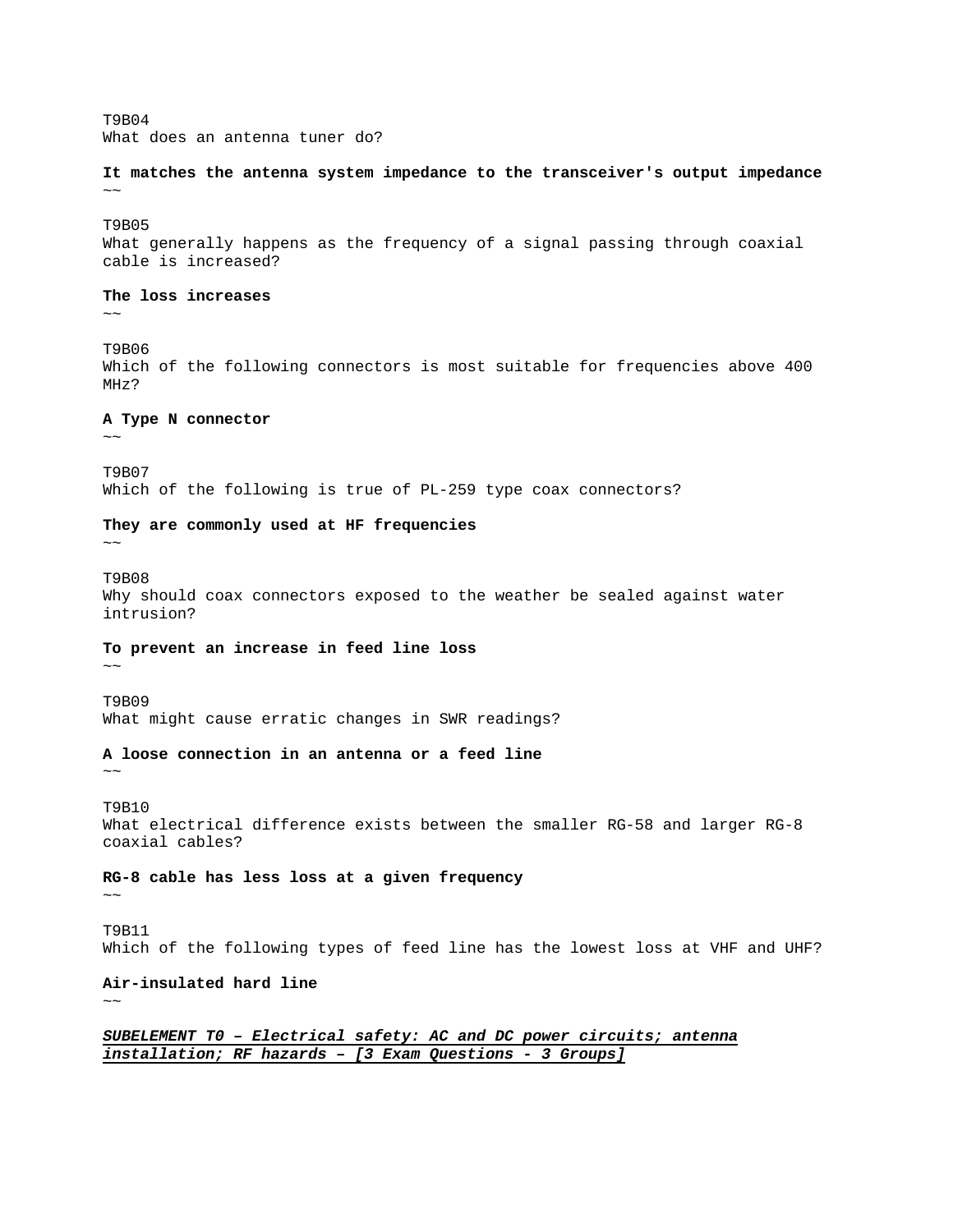T9B04 What does an antenna tuner do?

**It matches the antenna system impedance to the transceiver's output impedance**  $\sim\sim$ 

T9B05

What generally happens as the frequency of a signal passing through coaxial cable is increased?

### **The loss increases**

 $\sim$   $\sim$ 

T9B06

Which of the following connectors is most suitable for frequencies above 400 MHz?

### **A Type N connector**

 $\sim\!\sim$ 

T9B07 Which of the following is true of PL-259 type coax connectors?

### **They are commonly used at HF frequencies**

 $\sim\,$   $\sim$ 

 $\sim\sim$ 

T9B08 Why should coax connectors exposed to the weather be sealed against water intrusion?

### **To prevent an increase in feed line loss**

T9B09 What might cause erratic changes in SWR readings?

**A loose connection in an antenna or a feed line**  $\sim\sim$ 

T9B10 What electrical difference exists between the smaller RG-58 and larger RG-8 coaxial cables?

**RG-8 cable has less loss at a given frequency**

 $\sim\sim$ 

T9B11 Which of the following types of feed line has the lowest loss at VHF and UHF?

**Air-insulated hard line**  $\sim\sim$ 

*SUBELEMENT T0 – Electrical safety: AC and DC power circuits; antenna installation; RF hazards – [3 Exam Questions - 3 Groups]*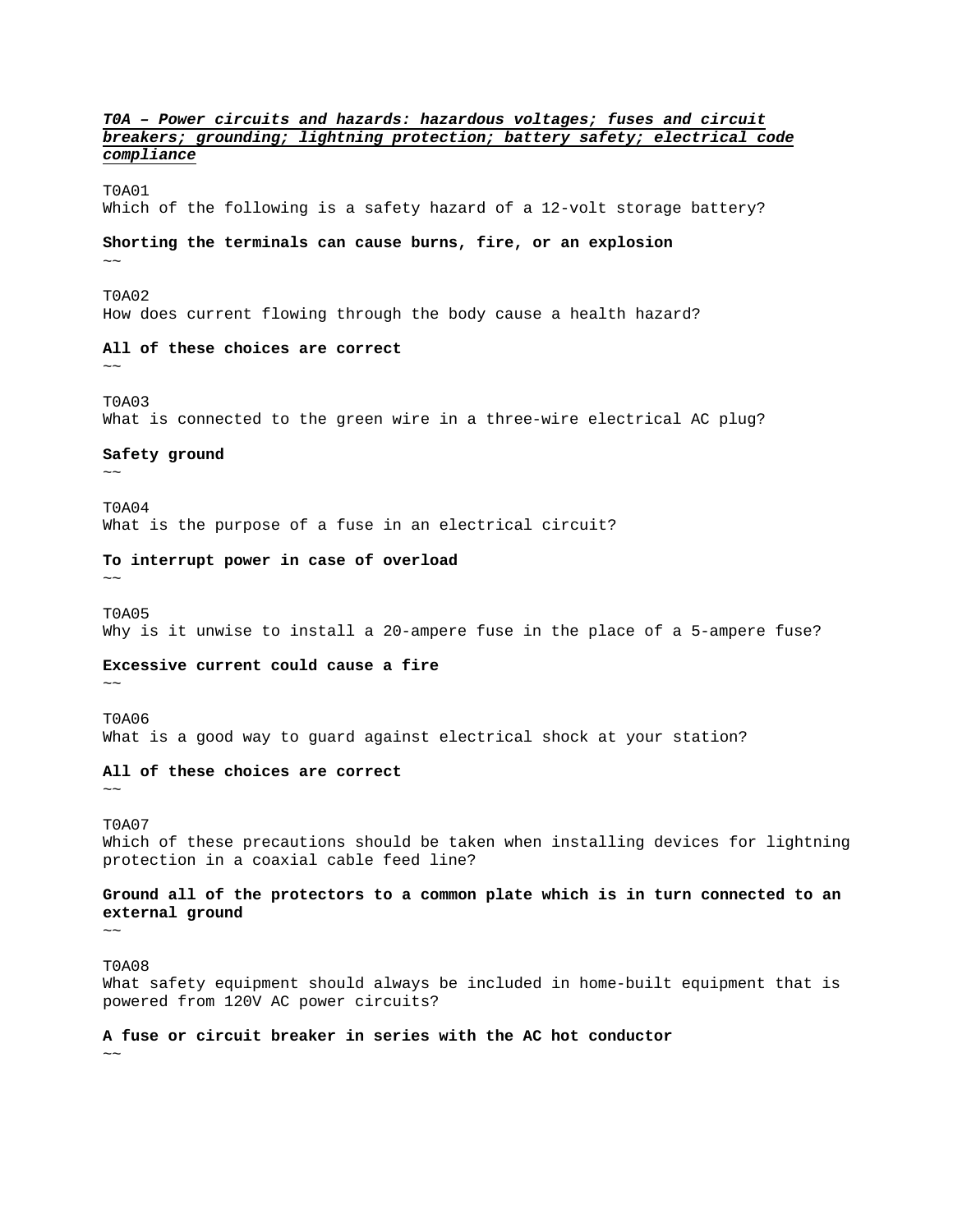# *T0A – Power circuits and hazards: hazardous voltages; fuses and circuit breakers; grounding; lightning protection; battery safety; electrical code compliance*

T0A01

Which of the following is a safety hazard of a 12-volt storage battery?

**Shorting the terminals can cause burns, fire, or an explosion**

 $\sim\sim$ 

T0A02 How does current flowing through the body cause a health hazard?

# **All of these choices are correct**

 $\sim\,$ 

T0A03 What is connected to the green wire in a three-wire electrical AC plug?

### **Safety ground**

 $\sim$  ~

T0A04 What is the purpose of a fuse in an electrical circuit?

# **To interrupt power in case of overload**

 $\sim\, \sim$ 

T0A05 Why is it unwise to install a 20-ampere fuse in the place of a 5-ampere fuse?

### **Excessive current could cause a fire**

~~

T0A06 What is a good way to guard against electrical shock at your station?

# **All of these choices are correct**

 $\sim$   $\sim$ 

T0A07 Which of these precautions should be taken when installing devices for lightning protection in a coaxial cable feed line?

**Ground all of the protectors to a common plate which is in turn connected to an external ground**

 $\sim\, \sim$ 

T0A08 What safety equipment should always be included in home-built equipment that is powered from 120V AC power circuits?

**A fuse or circuit breaker in series with the AC hot conductor**  $\sim\sim$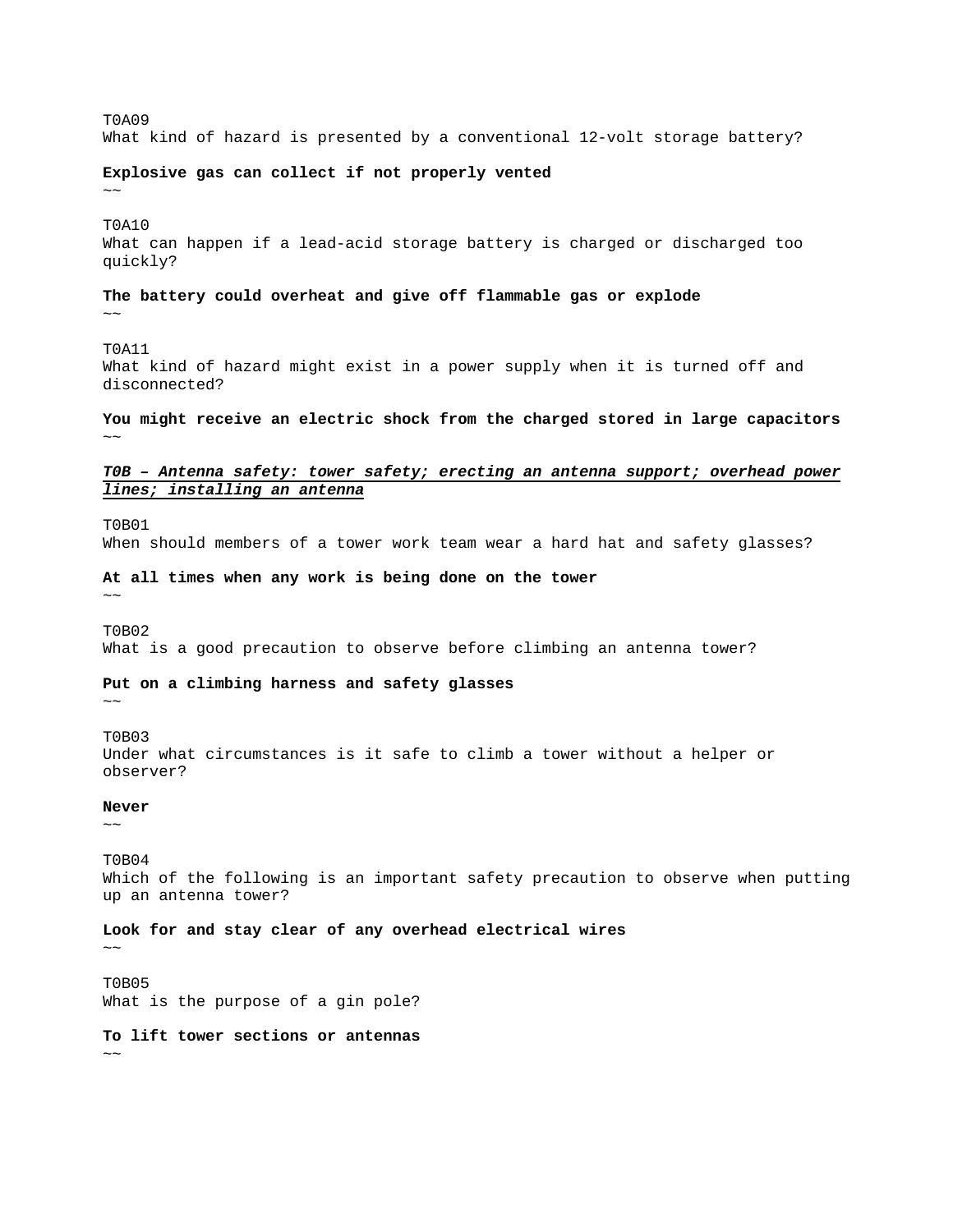T0A09 What kind of hazard is presented by a conventional 12-volt storage battery? **Explosive gas can collect if not properly vented**  $\sim\!\sim$ T0A10 What can happen if a lead-acid storage battery is charged or discharged too quickly? **The battery could overheat and give off flammable gas or explode**  $\sim\sim$ T0A11 What kind of hazard might exist in a power supply when it is turned off and disconnected? **You might receive an electric shock from the charged stored in large capacitors**  $\sim$   $\sim$ *T0B – Antenna safety: tower safety; erecting an antenna support; overhead power lines; installing an antenna* T0B01 When should members of a tower work team wear a hard hat and safety glasses? **At all times when any work is being done on the tower**  $\sim\sim$ T0B02 What is a good precaution to observe before climbing an antenna tower? **Put on a climbing harness and safety glasses**  $\sim\, \sim$ T0B03 Under what circumstances is it safe to climb a tower without a helper or observer? **Never**  $\sim\sim$ T0B04 Which of the following is an important safety precaution to observe when putting up an antenna tower? **Look for and stay clear of any overhead electrical wires**  $\sim$   $\sim$ T0B05 What is the purpose of a gin pole? **To lift tower sections or antennas**  $\sim\sim$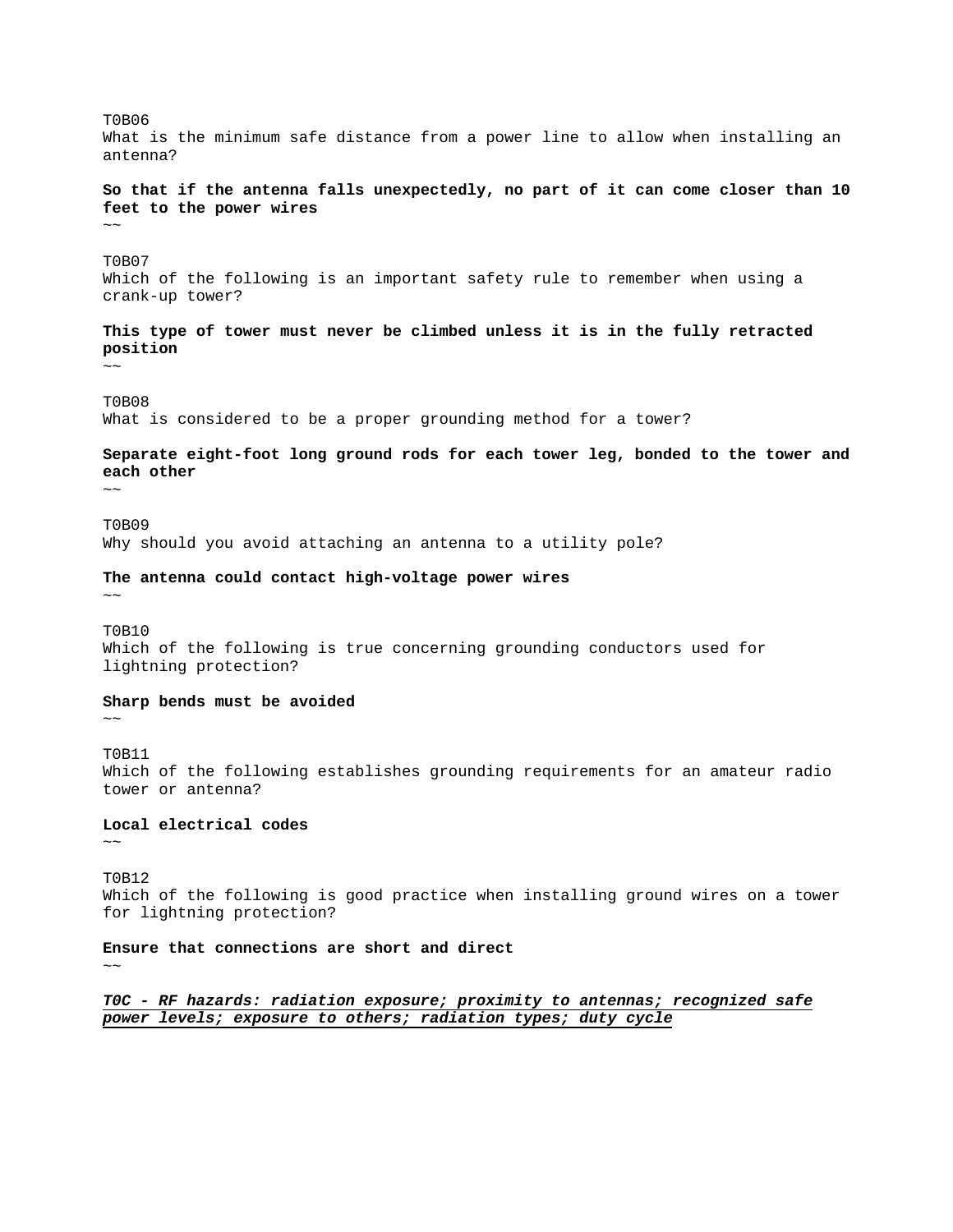T0B06 What is the minimum safe distance from a power line to allow when installing an antenna? **So that if the antenna falls unexpectedly, no part of it can come closer than 10 feet to the power wires**  $\sim\sim$ T0B07 Which of the following is an important safety rule to remember when using a crank-up tower? **This type of tower must never be climbed unless it is in the fully retracted position**  $\sim$   $\sim$ T0B08 What is considered to be a proper grounding method for a tower? **Separate eight-foot long ground rods for each tower leg, bonded to the tower and each other**  $\sim\sim$ T0B09 Why should you avoid attaching an antenna to a utility pole? **The antenna could contact high-voltage power wires**  $\sim\sim$ T0B10 Which of the following is true concerning grounding conductors used for lightning protection? **Sharp bends must be avoided**  $\sim\sim$ T0B11 Which of the following establishes grounding requirements for an amateur radio tower or antenna? **Local electrical codes**  $\sim$   $\sim$ T0B12 Which of the following is good practice when installing ground wires on a tower for lightning protection? **Ensure that connections are short and direct**  $\sim\sim$ *T0C - RF hazards: radiation exposure; proximity to antennas; recognized safe power levels; exposure to others; radiation types; duty cycle*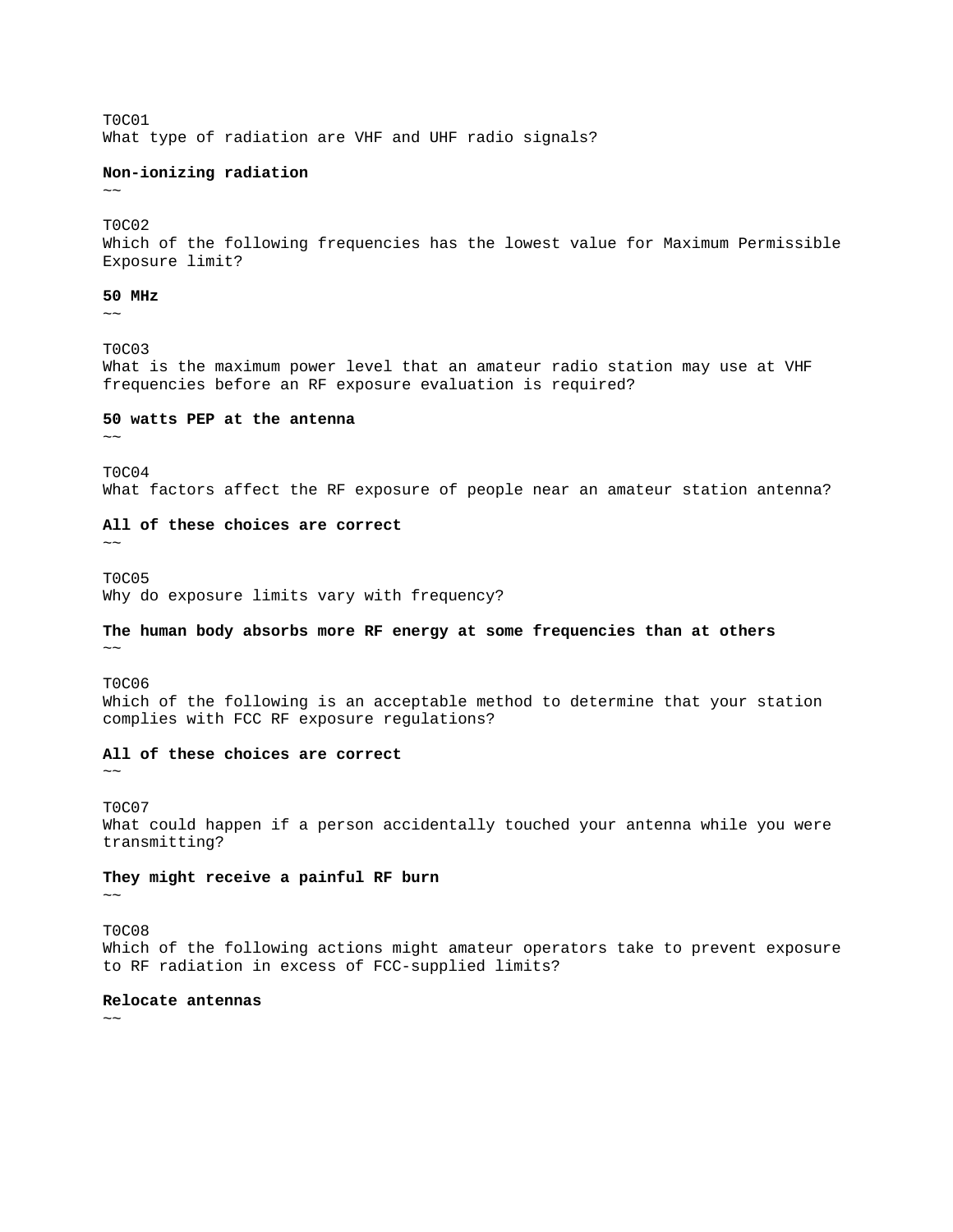T0C01 What type of radiation are VHF and UHF radio signals?

# **Non-ionizing radiation**

 $\sim\sim$ 

T0C02

Which of the following frequencies has the lowest value for Maximum Permissible Exposure limit?

#### **50 MHz**

 $\sim\sim$ 

T0C03 What is the maximum power level that an amateur radio station may use at VHF frequencies before an RF exposure evaluation is required?

#### **50 watts PEP at the antenna**

 $\sim\sim$ 

T0C04

What factors affect the RF exposure of people near an amateur station antenna?

#### **All of these choices are correct**

 $\sim\sim$ 

T0C05 Why do exposure limits vary with frequency?

# **The human body absorbs more RF energy at some frequencies than at others**  $\sim\sim$

T0C06

Which of the following is an acceptable method to determine that your station complies with FCC RF exposure regulations?

#### **All of these choices are correct**

 $\sim\sim$ 

T0C07 What could happen if a person accidentally touched your antenna while you were transmitting?

#### **They might receive a painful RF burn**

 $\sim\sim$ 

T0C08 Which of the following actions might amateur operators take to prevent exposure to RF radiation in excess of FCC-supplied limits?

# **Relocate antennas**

 $\sim\sim$